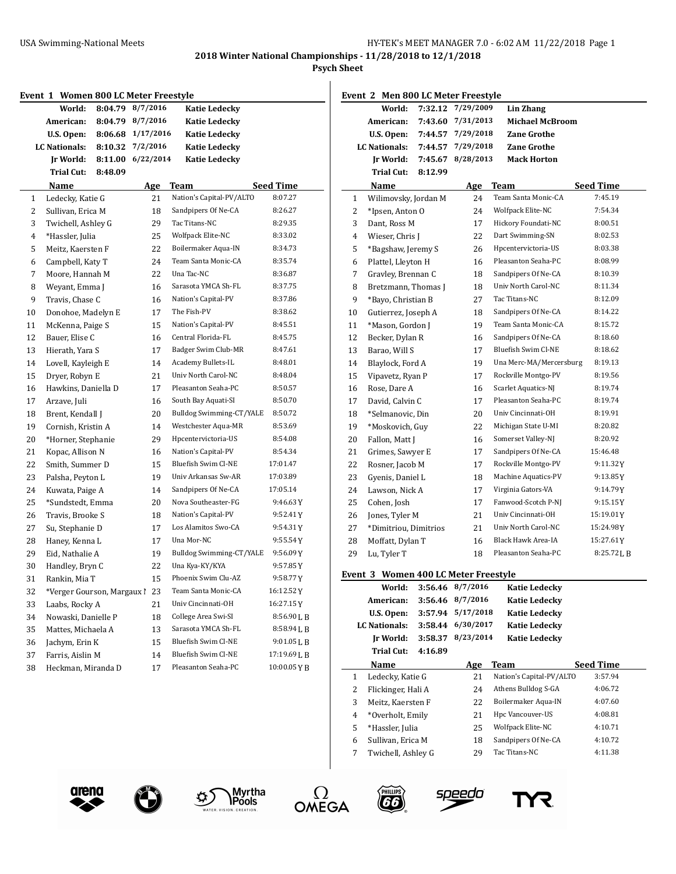**2018 Winter National Championships - 11/28/2018 to 12/1/2018**

**Psych Sheet**

| World:                           | 8:04.79 8/7/2016  | <b>Katie Ledecky</b>     |                  |                | World:                               |         | 7:32.12 7/29/2009 | Lin Zhang                |                  |
|----------------------------------|-------------------|--------------------------|------------------|----------------|--------------------------------------|---------|-------------------|--------------------------|------------------|
| American:                        | 8:04.79 8/7/2016  | <b>Katie Ledecky</b>     |                  |                | American:                            |         | 7:43.60 7/31/2013 | <b>Michael McBroom</b>   |                  |
| U.S. Open:                       | 8:06.68 1/17/2016 | <b>Katie Ledecky</b>     |                  |                | U.S. Open:                           |         | 7:44.57 7/29/2018 | <b>Zane Grothe</b>       |                  |
| <b>LC</b> Nationals:             | 8:10.32 7/2/2016  | Katie Ledecky            |                  |                | <b>LC Nationals:</b>                 |         | 7:44.57 7/29/2018 | <b>Zane Grothe</b>       |                  |
| Ir World:                        | 8:11.00 6/22/2014 | <b>Katie Ledecky</b>     |                  |                | Ir World:                            |         | 7:45.67 8/28/2013 | <b>Mack Horton</b>       |                  |
| 8:48.09<br><b>Trial Cut:</b>     |                   |                          |                  |                | Trial Cut:                           | 8:12.99 |                   |                          |                  |
| Name                             | Age               | <b>Team</b>              | <b>Seed Time</b> |                | Name                                 |         | Age               | <b>Team</b>              | <b>Seed Time</b> |
| Ledecky, Katie G<br>$\mathbf{1}$ | 21                | Nation's Capital-PV/ALTO | 8:07.27          | 1              | Wilimovsky, Jordan M                 |         | 24                | Team Santa Monic-CA      | 7:45.19          |
| 2<br>Sullivan, Erica M           | 18                | Sandpipers Of Ne-CA      | 8:26.27          | $\overline{c}$ | *Ipsen, Anton O                      |         | 24                | Wolfpack Elite-NC        | 7:54.34          |
| 3<br>Twichell, Ashley G          | 29                | Tac Titans-NC            | 8:29.35          | 3              | Dant, Ross M                         |         | 17                | Hickory Foundati-NC      | 8:00.51          |
| *Hassler, Julia<br>4             | 25                | Wolfpack Elite-NC        | 8:33.02          | 4              | Wieser, Chris J                      |         | 22                | Dart Swimming-SN         | 8:02.53          |
| Meitz, Kaersten F<br>5           | 22                | Boilermaker Aqua-IN      | 8:34.73          | 5              | *Bagshaw, Jeremy S                   |         | 26                | Hpcentervictoria-US      | 8:03.38          |
| Campbell, Katy T<br>6            | 24                | Team Santa Monic-CA      | 8:35.74          | 6              | Plattel, Lleyton H                   |         | 16                | Pleasanton Seaha-PC      | 8:08.99          |
| Moore, Hannah M<br>7             | 22                | Una Tac-NC               | 8:36.87          | 7              | Gravley, Brennan C                   |         | 18                | Sandpipers Of Ne-CA      | 8:10.39          |
| 8<br>Weyant, Emma J              | 16                | Sarasota YMCA Sh-FL      | 8:37.75          | 8              | Bretzmann, Thomas J                  |         | 18                | Univ North Carol-NC      | 8:11.34          |
| 9<br>Travis, Chase C             | 16                | Nation's Capital-PV      | 8:37.86          | 9              | *Bayo, Christian B                   |         | 27                | Tac Titans-NC            | 8:12.09          |
| Donohoe, Madelyn E<br>10         | 17                | The Fish-PV              | 8:38.62          | 10             | Gutierrez, Joseph A                  |         | 18                | Sandpipers Of Ne-CA      | 8:14.22          |
| McKenna, Paige S<br>11           | 15                | Nation's Capital-PV      | 8:45.51          | 11             | *Mason, Gordon J                     |         | 19                | Team Santa Monic-CA      | 8:15.72          |
| 12<br>Bauer, Elise C             | 16                | Central Florida-FL       | 8:45.75          | 12             | Becker, Dylan R                      |         | 16                | Sandpipers Of Ne-CA      | 8:18.60          |
| Hierath, Yara S                  | 17                | Badger Swim Club-MR      | 8:47.61          | 13             | Barao, Will S                        |         | 17                | Bluefish Swim Cl-NE      | 8:18.62          |
| Lovell, Kayleigh E               | 14                | Academy Bullets-IL       | 8:48.01          | 14             | Blaylock, Ford A                     |         | 19                | Una Merc-MA/Mercersburg  | 8:19.13          |
| Dryer, Robyn E                   | 21                | Univ North Carol-NC      | 8:48.04          | 15             | Vipavetz, Ryan P                     |         | 17                | Rockville Montgo-PV      | 8:19.56          |
| Hawkins, Daniella D              | 17                | Pleasanton Seaha-PC      | 8:50.57          | 16             | Rose, Dare A                         |         | 16                | Scarlet Aquatics-NJ      | 8:19.74          |
| Arzave, Juli                     | 16                | South Bay Aquati-SI      | 8:50.70          | 17             | David, Calvin C                      |         | 17                | Pleasanton Seaha-PC      | 8:19.74          |
| Brent, Kendall J                 | 20                | Bulldog Swimming-CT/YALE | 8:50.72          | 18             | *Selmanovic, Din                     |         | 20                | Univ Cincinnati-OH       | 8:19.91          |
| Cornish, Kristin A               | 14                | Westchester Aqua-MR      | 8:53.69          | 19             | *Moskovich, Guy                      |         | 22                | Michigan State U-MI      | 8:20.82          |
| *Horner, Stephanie               | 29                | Hpcentervictoria-US      | 8:54.08          | 20             | Fallon, Matt J                       |         | 16                | Somerset Valley-NJ       | 8:20.92          |
| Kopac, Allison N                 | 16                | Nation's Capital-PV      | 8:54.34          | 21             | Grimes, Sawyer E                     |         | 17                | Sandpipers Of Ne-CA      | 15:46.48         |
| Smith, Summer D                  | 15                | Bluefish Swim Cl-NE      | 17:01.47         | 22             | Rosner, Jacob M                      |         | 17                | Rockville Montgo-PV      | 9:11.32Y         |
| Palsha, Peyton L                 | 19                | Univ Arkansas Sw-AR      | 17:03.89         | 23             | Gyenis, Daniel L                     |         | 18                | Machine Aquatics-PV      | $9:13.85$ Y      |
| Kuwata, Paige A                  | 14                | Sandpipers Of Ne-CA      | 17:05.14         | 24             | Lawson, Nick A                       |         | 17                | Virginia Gators-VA       | 9:14.79Y         |
| *Sundstedt, Emma                 | 20                | Nova Southeaster-FG      | 9:46.63Y         | 25             | Cohen, Josh                          |         | 17                | Fanwood-Scotch P-NJ      | 9:15.15Y         |
| Travis, Brooke S                 | 18                | Nation's Capital-PV      | $9:52.41$ Y      | 26             | Jones, Tyler M                       |         | 21                | Univ Cincinnati-OH       | 15:19.01Y        |
| Su, Stephanie D                  | 17                | Los Alamitos Swo-CA      | 9:54.31Y         | 27             | *Dimitriou, Dimitrios                |         | 21                | Univ North Carol-NC      | 15:24.98Y        |
| Haney, Kenna L                   | 17                | Una Mor-NC               | 9:55.54Y         | 28             | Moffatt, Dylan T                     |         | 16                | Black Hawk Area-IA       | 15:27.61Y        |
| Eid, Nathalie A                  | 19                | Bulldog Swimming-CT/YALE | 9:56.09Y         | 29             | Lu, Tyler T                          |         | 18                | Pleasanton Seaha-PC      | $8:25.72$ J, B   |
| Handley, Bryn C                  | 22                | Una Kya-KY/KYA           | 9:57.85Y         |                |                                      |         |                   |                          |                  |
| Rankin, Mia T<br>31              | 15                | Phoenix Swim Clu-AZ      | 9:58.77 Y        |                | Event 3 Women 400 LC Meter Freestyle |         |                   |                          |                  |
| *Verger Gourson, Margaux 1 23    |                   | Team Santa Monic-CA      | 16:12.52 Y       |                | World:                               |         | 3:56.46 8/7/2016  | <b>Katie Ledecky</b>     |                  |
| Laabs, Rocky A                   | 21                | Univ Cincinnati-OH       | 16:27.15 Y       |                | American:                            |         | 3:56.46 8/7/2016  | <b>Katie Ledecky</b>     |                  |
| Nowaski, Danielle P              | 18                | College Area Swi-SI      | 8:56.90LB        |                | U.S. Open:                           |         | 3:57.94 5/17/2018 | <b>Katie Ledecky</b>     |                  |
| 34<br>Mattes, Michaela A<br>35   | 13                | Sarasota YMCA Sh-FL      | 8:58.94 L B      |                | LC Nationals:                        |         | 3:58.44 6/30/2017 | <b>Katie Ledecky</b>     |                  |
| Jachym, Erin K<br>36             | 15                | Bluefish Swim Cl-NE      | 9:01.05LB        |                | Ir World:                            |         | 3:58.37 8/23/2014 | <b>Katie Ledecky</b>     |                  |
| Farris, Aislin M                 | 14                | Bluefish Swim Cl-NE      | 17:19.69 L B     |                | Trial Cut:                           | 4:16.89 |                   |                          |                  |
| Heckman, Miranda D               | 17                | Pleasanton Seaha-PC      | 10:00.05YB       |                | Name                                 |         | <b>Age</b>        | Team                     | <b>Seed Time</b> |
| 38                               |                   |                          |                  | 1              | Ledecky, Katie G                     |         | 21                | Nation's Capital-PV/ALTO | 3:57.94          |
|                                  |                   |                          |                  | 2              | Flickinger, Hali A                   |         | 24                | Athens Bulldog S-GA      | 4:06.72          |
|                                  |                   |                          |                  | 3              | Meitz, Kaersten F                    |         | 22                | Boilermaker Aqua-IN      | 4:07.60          |

 \*Hassler, Julia 25 Wolfpack Elite-NC 4:10.71 Sullivan, Erica M 18 Sandpipers Of Ne-CA 4:10.72 Twichell, Ashley G 29 Tac Titans-NC 4:11.38

s<u>peed</u>o

\*Overholt, Emily 21 Hpc Vancouver-US 4:08.81











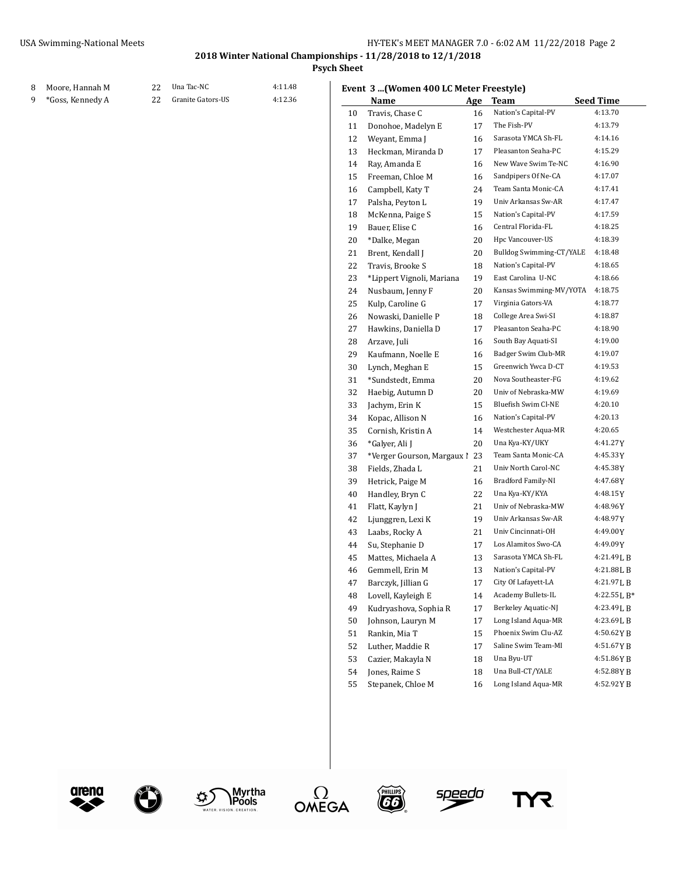8 Moore, Hannah M 22 Una Tac-NC 4:11.48

## **2018 Winter National Championships - 11/28/2018 to 12/1/2018**

**Psych Sheet**

### **Event 3 ...(Women 400 LC Meter Freestyle)**

| *Goss, Kennedy A | 22 | Granite Gators-US | 4:12.36 |    | Name                          | <b>Age</b> | Team                     | <b>Seed Time</b> |
|------------------|----|-------------------|---------|----|-------------------------------|------------|--------------------------|------------------|
|                  |    |                   |         | 10 | Travis, Chase C               | 16         | Nation's Capital-PV      | 4:13.70          |
|                  |    |                   |         | 11 | Donohoe, Madelyn E            | 17         | The Fish-PV              | 4:13.79          |
|                  |    |                   |         | 12 | Weyant, Emma J                | 16         | Sarasota YMCA Sh-FL      | 4:14.16          |
|                  |    |                   |         | 13 | Heckman, Miranda D            | 17         | Pleasanton Seaha-PC      | 4:15.29          |
|                  |    |                   |         | 14 | Ray, Amanda E                 | 16         | New Wave Swim Te-NC      | 4:16.90          |
|                  |    |                   |         | 15 | Freeman, Chloe M              | 16         | Sandpipers Of Ne-CA      | 4:17.07          |
|                  |    |                   |         | 16 | Campbell, Katy T              | 24         | Team Santa Monic-CA      | 4:17.41          |
|                  |    |                   |         | 17 | Palsha, Peyton L              | 19         | Univ Arkansas Sw-AR      | 4:17.47          |
|                  |    |                   |         | 18 | McKenna, Paige S              | 15         | Nation's Capital-PV      | 4:17.59          |
|                  |    |                   |         | 19 | Bauer, Elise C                | 16         | Central Florida-FL       | 4:18.25          |
|                  |    |                   |         | 20 | *Dalke, Megan                 | 20         | Hpc Vancouver-US         | 4:18.39          |
|                  |    |                   |         | 21 | Brent, Kendall J              | 20         | Bulldog Swimming-CT/YALE | 4:18.48          |
|                  |    |                   |         | 22 | Travis, Brooke S              | 18         | Nation's Capital-PV      | 4:18.65          |
|                  |    |                   |         | 23 | *Lippert Vignoli, Mariana     | 19         | East Carolina U-NC       | 4:18.66          |
|                  |    |                   |         | 24 | Nusbaum, Jenny F              | 20         | Kansas Swimming-MV/YOTA  | 4:18.75          |
|                  |    |                   |         | 25 | Kulp, Caroline G              | 17         | Virginia Gators-VA       | 4:18.77          |
|                  |    |                   |         | 26 | Nowaski, Danielle P           | 18         | College Area Swi-SI      | 4:18.87          |
|                  |    |                   |         | 27 | Hawkins, Daniella D           | 17         | Pleasanton Seaha-PC      | 4:18.90          |
|                  |    |                   |         | 28 | Arzave, Juli                  | 16         | South Bay Aquati-SI      | 4:19.00          |
|                  |    |                   |         | 29 | Kaufmann, Noelle E            | 16         | Badger Swim Club-MR      | 4:19.07          |
|                  |    |                   |         | 30 | Lynch, Meghan E               | 15         | Greenwich Ywca D-CT      | 4:19.53          |
|                  |    |                   |         | 31 | *Sundstedt, Emma              | 20         | Nova Southeaster-FG      | 4:19.62          |
|                  |    |                   |         | 32 | Haebig, Autumn D              | 20         | Univ of Nebraska-MW      | 4:19.69          |
|                  |    |                   |         | 33 | Jachym, Erin K                | 15         | Bluefish Swim Cl-NE      | 4:20.10          |
|                  |    |                   |         | 34 | Kopac, Allison N              | 16         | Nation's Capital-PV      | 4:20.13          |
|                  |    |                   |         | 35 | Cornish, Kristin A            | 14         | Westchester Aqua-MR      | 4:20.65          |
|                  |    |                   |         | 36 | *Galyer, Ali J                | 20         | Una Kya-KY/UKY           | 4:41.27Y         |
|                  |    |                   |         | 37 | *Verger Gourson, Margaux 1 23 |            | Team Santa Monic-CA      | 4:45.33Y         |
|                  |    |                   |         | 38 | Fields, Zhada L               | 21         | Univ North Carol-NC      | 4:45.38Y         |
|                  |    |                   |         | 39 | Hetrick, Paige M              | 16         | Bradford Family-NI       | 4:47.68Y         |
|                  |    |                   |         | 40 | Handley, Bryn C               | 22         | Una Kya-KY/KYA           | 4:48.15Y         |
|                  |    |                   |         | 41 | Flatt, Kaylyn J               | 21         | Univ of Nebraska-MW      | 4:48.96Y         |
|                  |    |                   |         | 42 | Ljunggren, Lexi K             | 19         | Univ Arkansas Sw-AR      | 4:48.97Y         |
|                  |    |                   |         | 43 | Laabs, Rocky A                | 21         | Univ Cincinnati-OH       | 4:49.00Y         |
|                  |    |                   |         | 44 | Su, Stephanie D               | 17         | Los Alamitos Swo-CA      | 4:49.09Y         |
|                  |    |                   |         | 45 | Mattes, Michaela A            | 13         | Sarasota YMCA Sh-FL      | 4:21.49LB        |
|                  |    |                   |         | 46 | Gemmell, Erin M               | 13         | Nation's Capital-PV      | 4:21.88LB        |
|                  |    |                   |         | 47 | Barczyk, Jillian G            | 17         | City Of Lafayett-LA      | 4:21.97LB        |
|                  |    |                   |         | 48 | Lovell, Kayleigh E            | 14         | Academy Bullets-IL       | 4:22.55 L B*     |
|                  |    |                   |         | 49 | Kudryashova, Sophia R         | 17         | Berkeley Aquatic-NJ      | 4:23.49 L B      |
|                  |    |                   |         | 50 | Johnson, Lauryn M             | 17         | Long Island Aqua-MR      | 4:23.69 L B      |
|                  |    |                   |         | 51 | Rankin, Mia T                 | 15         | Phoenix Swim Clu-AZ      | 4:50.62YB        |
|                  |    |                   |         | 52 | Luther, Maddie R              | 17         | Saline Swim Team-MI      | 4:51.67YB        |
|                  |    |                   |         | 53 | Cazier, Makayla N             | 18         | Una Byu-UT               | 4:51.86YB        |
|                  |    |                   |         | 54 | Jones, Raime S                | 18         | Una Bull-CT/YALE         | 4:52.88YB        |
|                  |    |                   |         | 55 | Stepanek, Chloe M             | 16         | Long Island Aqua-MR      | 4:52.92YB        |
|                  |    |                   |         |    |                               |            |                          |                  |











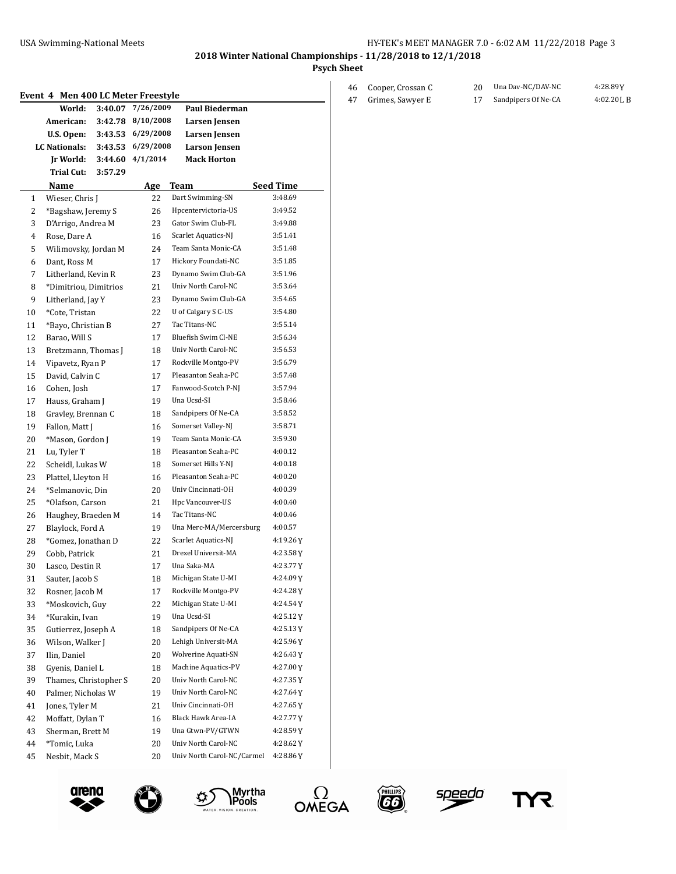46 Cooper, Crossan C 20 Una Dav-NC/DAV-NC

**2018 Winter National Championships - 11/28/2018 to 12/1/2018**

**Psych Sheet**

|    | Event 4 Men 400 LC Meter Freestyle |         |                  |                            |                  |
|----|------------------------------------|---------|------------------|----------------------------|------------------|
|    | World:                             | 3:40.07 | 7/26/2009        | <b>Paul Biederman</b>      |                  |
|    | American:                          | 3:42.78 | 8/10/2008        | Larsen Jensen              |                  |
|    | U.S. Open:                         | 3:43.53 | 6/29/2008        | Larsen Jensen              |                  |
|    | LC Nationals:                      | 3:43.53 | 6/29/2008        | <b>Larson</b> Jensen       |                  |
|    | Jr World:                          |         | 3:44.60 4/1/2014 | <b>Mack Horton</b>         |                  |
|    | Trial Cut:                         | 3:57.29 |                  |                            |                  |
|    | Name                               |         | <u>Age</u>       | Team                       | <b>Seed Time</b> |
| 1  | Wieser, Chris J                    |         | 22               | Dart Swimming-SN           | 3:48.69          |
| 2  | *Bagshaw, Jeremy S                 |         | 26               | Hpcentervictoria-US        | 3:49.52          |
| 3  | D'Arrigo, Andrea M                 |         | 23               | Gator Swim Club-FL         | 3:49.88          |
| 4  | Rose, Dare A                       |         | 16               | Scarlet Aquatics-NJ        | 3:51.41          |
| 5  | Wilimovsky, Jordan M               |         | 24               | Team Santa Monic-CA        | 3:51.48          |
| 6  | Dant, Ross M                       |         | 17               | Hickory Foundati-NC        | 3:51.85          |
| 7  | Litherland, Kevin R                |         | 23               | Dynamo Swim Club-GA        | 3:51.96          |
| 8  | *Dimitriou, Dimitrios              |         | 21               | Univ North Carol-NC        | 3:53.64          |
| 9  | Litherland, Jay Y                  |         | 23               | Dynamo Swim Club-GA        | 3:54.65          |
| 10 | *Cote, Tristan                     |         | 22               | U of Calgary S C-US        | 3:54.80          |
| 11 | *Bayo, Christian B                 |         | 27               | Tac Titans-NC              | 3:55.14          |
| 12 | Barao, Will S                      |         | 17               | Bluefish Swim Cl-NE        | 3:56.34          |
| 13 | Bretzmann, Thomas J                |         | 18               | Univ North Carol-NC        | 3:56.53          |
| 14 | Vipavetz, Ryan P                   |         | 17               | Rockville Montgo-PV        | 3:56.79          |
| 15 | David, Calvin C                    |         | 17               | Pleasanton Seaha-PC        | 3:57.48          |
| 16 | Cohen, Josh                        |         | 17               | Fanwood-Scotch P-NJ        | 3:57.94          |
| 17 | Hauss, Graham J                    |         | 19               | Una Ucsd-SI                | 3:58.46          |
| 18 | Gravley, Brennan C                 |         | 18               | Sandpipers Of Ne-CA        | 3:58.52          |
| 19 | Fallon, Matt J                     |         | 16               | Somerset Valley-NJ         | 3:58.71          |
| 20 | *Mason, Gordon J                   |         | 19               | Team Santa Monic-CA        | 3:59.30          |
| 21 | Lu, Tyler T                        |         | 18               | Pleasanton Seaha-PC        | 4:00.12          |
| 22 | Scheidl, Lukas W                   |         | 18               | Somerset Hills Y-NJ        | 4:00.18          |
| 23 | Plattel, Lleyton H                 |         | 16               | Pleasanton Seaha-PC        | 4:00.20          |
| 24 | *Selmanovic, Din                   |         | 20               | Univ Cincinnati-OH         | 4:00.39          |
| 25 | *Olafson, Carson                   |         | 21               | Hpc Vancouver-US           | 4:00.40          |
| 26 | Haughey, Braeden M                 |         | 14               | Tac Titans-NC              | 4:00.46          |
| 27 | Blaylock, Ford A                   |         | 19               | Una Merc-MA/Mercersburg    | 4:00.57          |
| 28 | *Gomez, Jonathan D                 |         | 22               | Scarlet Aquatics-NJ        | 4:19.26Y         |
| 29 | Cobb, Patrick                      |         | 21               | Drexel Universit-MA        | 4:23.58Y         |
| 30 | Lasco, Destin R                    |         | 17               | Una Saka-MA                | 4:23.77Y         |
| 31 | Sauter, Jacob S                    |         | 18               | Michigan State U-MI        | 4:24.09Y         |
| 32 | Rosner, Jacob M                    |         | 17               | Rockville Montgo-PV        | 4:24.28 Y        |
| 33 | *Moskovich, Guy                    |         | 22               | Michigan State U-MI        | 4:24.54 Y        |
| 34 | *Kurakin, Ivan                     |         | 19               | Una Ucsd-SI                | 4:25.12 Y        |
| 35 | Gutierrez, Joseph A                |         | 18               | Sandpipers Of Ne-CA        | 4:25.13 Y        |
| 36 | Wilson, Walker J                   |         | 20               | Lehigh Universit-MA        | 4:25.96 Y        |
| 37 | Ilin, Daniel                       |         | 20               | Wolverine Aquati-SN        | 4:26.43 Y        |
| 38 | Gyenis, Daniel L                   |         | 18               | Machine Aquatics-PV        | 4:27.00 Y        |
| 39 | Thames, Christopher S              |         | 20               | Univ North Carol-NC        | 4:27.35 Y        |
| 40 | Palmer, Nicholas W                 |         | 19               | Univ North Carol-NC        | 4:27.64Y         |
| 41 | Jones, Tyler M                     |         | 21               | Univ Cincinnati-OH         | 4:27.65 Y        |
| 42 | Moffatt, Dylan T                   |         | 16               | Black Hawk Area-IA         | 4:27.77 Y        |
| 43 | Sherman, Brett M                   |         | 19               | Una Gtwn-PV/GTWN           | 4:28.59Y         |
| 44 | *Tomic, Luka                       |         | 20               | Univ North Carol-NC        | 4:28.62 Y        |
| 45 | Nesbit, Mack S                     |         | 20               | Univ North Carol-NC/Carmel | 4:28.86Y         |











YR

Grimes, Sawyer E 17 Sandpipers Of Ne-CA 4:02.20L B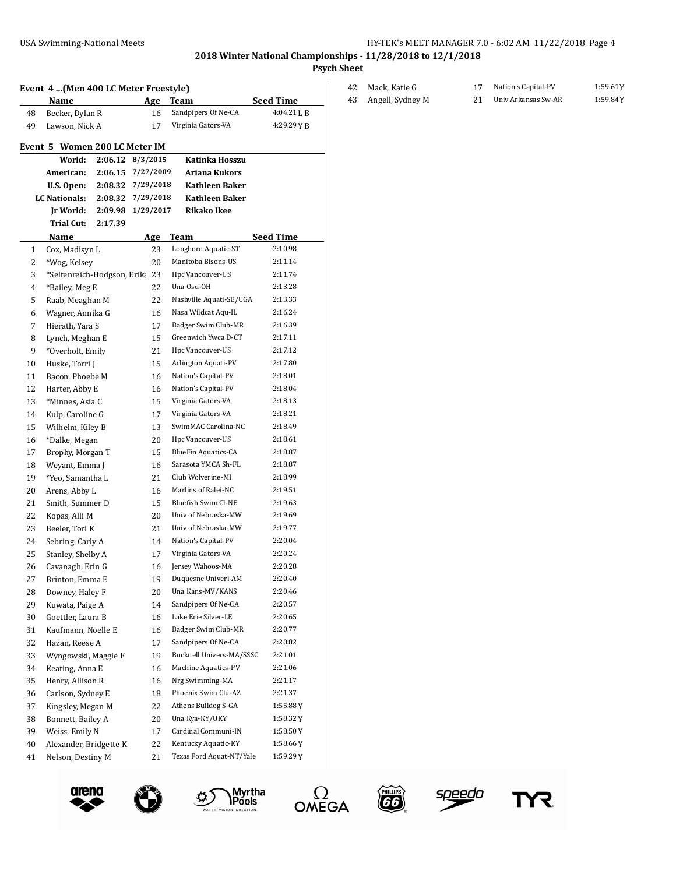**Psych Sheet**

## **Event 4 ...(Men 400 LC Meter Freestyle) Age Team Seed Time**<br>Becker, Dylan R 16 Sandpipers Of Ne-CA 4:04:211. R 48 Becker, Dylan R 16 Sandpipers Of Ne-CA

| 48 | вескег, џунап к               |                    | ΙO        | Sandpipers Of Ne-CA        | 4.04.41 L D      |
|----|-------------------------------|--------------------|-----------|----------------------------|------------------|
| 49 | Lawson, Nick A                |                    | 17        | Virginia Gators-VA         | 4:29.29 Y B      |
|    |                               |                    |           |                            |                  |
|    | Event 5 Women 200 LC Meter IM |                    |           |                            |                  |
|    | World:                        | $2:06.12$ 8/3/2015 |           | Katinka Hosszu             |                  |
|    | American:                     | 2:06.15            | 7/27/2009 | Ariana Kukors              |                  |
|    | U.S. Open:                    | 2:08.32            | 7/29/2018 | <b>Kathleen Baker</b>      |                  |
|    | LC Nationals:                 | 2:08.32            | 7/29/2018 | <b>Kathleen Baker</b>      |                  |
|    | Ir World:                     | 2:09.98            | 1/29/2017 | <b>Rikako Ikee</b>         |                  |
|    | Trial Cut:                    | 2:17.39            |           |                            |                  |
|    | Name                          |                    | Age       | Team                       | <b>Seed Time</b> |
| 1  | Cox, Madisyn L                |                    | 23        | Longhorn Aquatic-ST        | 2:10.98          |
| 2  | *Wog, Kelsey                  |                    | 20        | Manitoba Bisons-US         | 2:11.14          |
| 3  | *Seltenreich-Hodgson, Erika   |                    | 23        | Hpc Vancouver-US           | 2:11.74          |
| 4  | *Bailey, Meg E                |                    | 22        | Una Osu-OH                 | 2:13.28          |
| 5  | Raab, Meaghan M               |                    | 22        | Nashville Aquati-SE/UGA    | 2:13.33          |
| 6  | Wagner, Annika G              |                    | 16        | Nasa Wildcat Aqu-IL        | 2:16.24          |
| 7  | Hierath, Yara S               |                    | 17        | Badger Swim Club-MR        | 2:16.39          |
| 8  | Lynch, Meghan E               |                    | 15        | Greenwich Ywca D-CT        | 2:17.11          |
| 9  | *Overholt, Emily              |                    | 21        | Hpc Vancouver-US           | 2:17.12          |
| 10 | Huske, Torri J                |                    | 15        | Arlington Aquati-PV        | 2:17.80          |
| 11 | Bacon, Phoebe M               |                    | 16        | Nation's Capital-PV        | 2:18.01          |
| 12 | Harter, Abby E                |                    | 16        | Nation's Capital-PV        | 2:18.04          |
| 13 | *Minnes. Asia C               |                    | 15        | Virginia Gators-VA         | 2:18.13          |
| 14 | Kulp, Caroline G              |                    | 17        | Virginia Gators-VA         | 2:18.21          |
| 15 | Wilhelm, Kiley B              |                    | 13        | SwimMAC Carolina-NC        | 2:18.49          |
| 16 | *Dalke, Megan                 |                    | 20        | Hpc Vancouver-US           | 2:18.61          |
| 17 | Brophy, Morgan T              |                    | 15        | <b>BlueFin Aquatics-CA</b> | 2:18.87          |
| 18 | Weyant, Emma J                |                    | 16        | Sarasota YMCA Sh-FL        | 2:18.87          |
| 19 | *Yeo, Samantha L              |                    | 21        | Club Wolverine-MI          | 2:18.99          |
| 20 | Arens, Abby L                 |                    | 16        | Marlins of Ralei-NC        | 2:19.51          |
| 21 | Smith, Summer D               |                    | 15        | Bluefish Swim Cl-NE        | 2:19.63          |
| 22 | Kopas, Alli M                 |                    | 20        | Univ of Nebraska-MW        | 2:19.69          |
| 23 | Beeler, Tori K                |                    | 21        | Univ of Nebraska-MW        | 2:19.77          |
| 24 | Sebring, Carly A              |                    | 14        | Nation's Capital-PV        | 2:20.04          |
| 25 | Stanley, Shelby A             |                    | 17        | Virginia Gators-VA         | 2:20.24          |
| 26 | Cavanagh, Erin G              |                    | 16        | Jersey Wahoos-MA           | 2:20.28          |
| 27 | Brinton, Emma E               |                    | 19        | Duquesne Univeri-AM        | 2:20.40          |
| 28 | Downey, Haley F               |                    | 20        | Una Kans-MV/KANS           | 2:20.46          |
| 29 | Kuwata, Paige A               |                    | 14        | Sandpipers Of Ne-CA        | 2:20.57          |
| 30 | Goettler, Laura B             |                    | 16        | Lake Erie Silver-LE        | 2:20.65          |
| 31 | Kaufmann, Noelle E            |                    | 16        | Badger Swim Club-MR        | 2:20.77          |
| 32 | Hazan, Reese A                |                    | 17        | Sandpipers Of Ne-CA        | 2:20.82          |
| 33 | Wyngowski, Maggie F           |                    | 19        | Bucknell Univers-MA/SSSC   | 2:21.01          |
| 34 | Keating, Anna E               |                    | 16        | Machine Aquatics-PV        | 2:21.06          |
| 35 | Henry, Allison R              |                    | 16        | Nrg Swimming-MA            | 2:21.17          |
| 36 | Carlson, Sydney E             |                    | 18        | Phoenix Swim Clu-AZ        | 2:21.37          |
| 37 | Kingsley, Megan M             |                    | 22        | Athens Bulldog S-GA        | 1:55.88Y         |
| 38 | Bonnett, Bailey A             |                    | 20        | Una Kya-KY/UKY             | 1:58.32 Y        |
| 39 | Weiss, Emily N                |                    | 17        | Cardinal Communi-IN        | 1:58.50Y         |
| 40 | Alexander, Bridgette K        |                    | 22        | Kentucky Aquatic-KY        | 1:58.66Y         |
| 41 | Nelson, Destiny M             |                    | 21        | Texas Ford Aquat-NT/Yale   | 1:59.29 Y        |
|    |                               |                    |           |                            |                  |











TYR

 Mack, Katie G 17 Nation's Capital-PV 1:59.61Y Angell, Sydney M 21 Univ Arkansas Sw-AR 1:59.84Y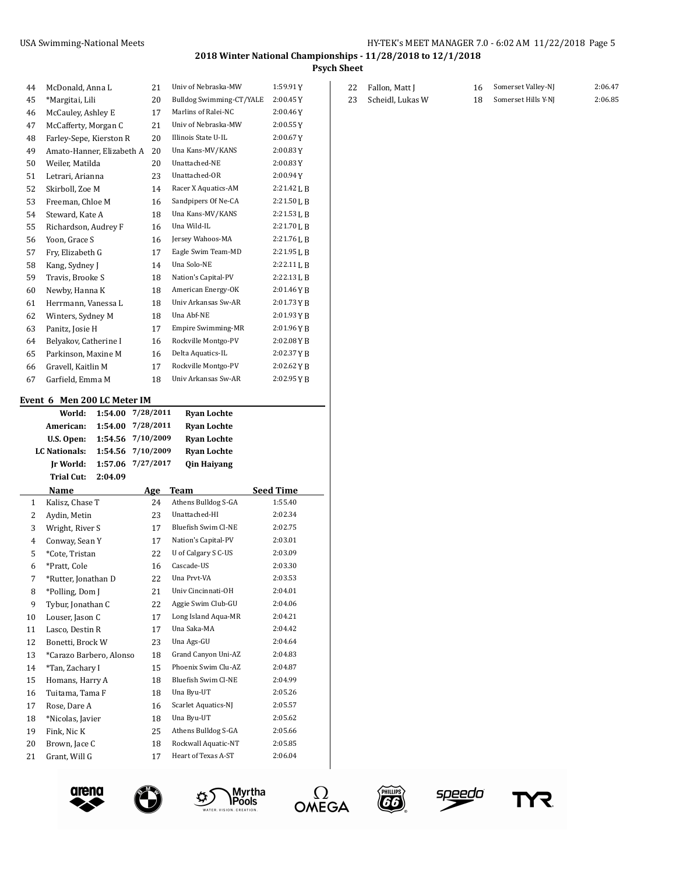#### **2018 Winter National Championships - 11/28/2018 to 12/1/2018 Psych Sheet**

| 44             | McDonald, Anna L            |         | 21        | Univ of Nebraska-MW             | 1:59.91Y         |
|----------------|-----------------------------|---------|-----------|---------------------------------|------------------|
| 45             | *Margitai, Lili             |         | 20        | <b>Bulldog Swimming-CT/YALE</b> | 2:00.45Y         |
| 46             | McCauley, Ashley E          |         | 17        | Marlins of Ralei-NC             | 2:00.46Y         |
| 47             | McCafferty, Morgan C        |         | 21        | Univ of Nebraska-MW             | 2:00.55Y         |
| 48             | Farley-Sepe, Kierston R     |         | 20        | Illinois State U-IL             | 2:00.67Y         |
| 49             | Amato-Hanner, Elizabeth A   |         | 20        | Una Kans-MV/KANS                | 2:00.83Y         |
| 50             | Weiler, Matilda             |         | 20        | Unattached-NE                   | $2:00.83$ Y      |
| 51             | Letrari, Arianna            |         | 23        | Unattached-OR                   | 2:00.94Y         |
| 52             | Skirboll, Zoe M             |         | 14        | Racer X Aquatics-AM             | 2:21.42 L B      |
| 53             | Freeman, Chloe M            |         | 16        | Sandpipers Of Ne-CA             | 2:21.50 L B      |
| 54             | Steward, Kate A             |         | 18        | Una Kans-MV/KANS                | 2:21.53 L B      |
| 55             | Richardson, Audrey F        |         | 16        | Una Wild-IL                     | 2:21.70 L B      |
| 56             | Yoon, Grace S               |         | 16        | Jersey Wahoos-MA                | 2:21.76 L B      |
| 57             | Fry, Elizabeth G            |         | 17        | Eagle Swim Team-MD              | 2:21.95 L B      |
| 58             | Kang, Sydney J              |         | 14        | Una Solo-NE                     | 2:22.11 L B      |
| 59             | Travis, Brooke S            |         | 18        | Nation's Capital-PV             | 2:22.13 L B      |
| 60             | Newby, Hanna K              |         | 18        | American Energy-OK              | 2:01.46 Y B      |
| 61             | Herrmann, Vanessa L         |         | 18        | Univ Arkansas Sw-AR             | 2:01.73 Y B      |
| 62             | Winters, Sydney M           |         | 18        | Una Abf-NE                      | 2:01.93 Y B      |
| 63             | Panitz, Josie H             |         | 17        | <b>Empire Swimming-MR</b>       | 2:01.96YB        |
| 64             | Belyakov, Catherine I       |         | 16        | Rockville Montgo-PV             | 2:02.08 Y B      |
| 65             | Parkinson, Maxine M         |         | 16        | Delta Aquatics-IL               | 2:02.37YB        |
| 66             | Gravell, Kaitlin M          |         | 17        | Rockville Montgo-PV             | 2:02.62YB        |
| 67             | Garfield, Emma M            |         | 18        | Univ Arkansas Sw-AR             | 2:02.95 Y B      |
|                | Event 6 Men 200 LC Meter IM |         |           |                                 |                  |
|                | World:                      | 1:54.00 | 7/28/2011 | <b>Ryan Lochte</b>              |                  |
|                | American:                   | 1:54.00 | 7/28/2011 | <b>Ryan Lochte</b>              |                  |
|                | U.S. Open:                  | 1:54.56 | 7/10/2009 | <b>Ryan Lochte</b>              |                  |
|                | <b>LC</b> Nationals:        | 1:54.56 | 7/10/2009 | <b>Ryan Lochte</b>              |                  |
|                | Ir World:                   | 1:57.06 | 7/27/2017 | <b>Qin Haiyang</b>              |                  |
|                | <b>Trial Cut:</b>           | 2:04.09 |           |                                 |                  |
|                | Name                        |         | Age       | Team                            | <b>Seed Time</b> |
| $\mathbf{1}$   | Kalisz, Chase T             |         | 24        | Athens Bulldog S-GA             | 1:55.40          |
| 2              | Aydin, Metin                |         | 23        | Unattached-HI                   | 2:02.34          |
| 3              | Wright, River S             |         | 17        | Bluefish Swim Cl-NE             | 2:02.75          |
| $\overline{4}$ | Conway, Sean Y              |         | 17        | Nation's Capital-PV             | 2:03.01          |
| 5              | *Cote, Tristan              |         | 22        | U of Calgary S C-US             | 2:03.09          |

 \*Pratt, Cole 16 Cascade-US 2:03.30 \*Rutter, Jonathan D 22 Una Prvt-VA 2:03.53 8 \*Polling, Dom J 21 Univ Cincinnati-OH 2:04.01 Tybur, Jonathan C 22 Aggie Swim Club-GU 2:04.06 10 Louser, Jason C 17 Long Island Aqua-MR 2:04.21 11 Lasco, Destin R 17 Una Saka-MA 2:04.42 Bonetti, Brock W 23 Una Ags-GU 2:04.64 \*Carazo Barbero, Alonso 18 Grand Canyon Uni-AZ 2:04.83 14 \*Tan, Zachary I 15 Phoenix Swim Clu-AZ 2:04.87 Homans, Harry A 18 Bluefish Swim Cl-NE 2:04.99 16 Tuitama, Tama F 18 Una Byu-UT 2:05.26 17 Rose, Dare A 16 Scarlet Aquatics-NJ 2:05.57 \*Nicolas, Javier 18 Una Byu-UT 2:05.62 19 Fink, Nic K 25 Athens Bulldog S-GA 2:05.66 20 Brown, Jace C 18 Rockwall Aquatic-NT 2:05.85 21 Grant, Will G 17 Heart of Texas A-ST 2:06.04

| 22 Fallon, Matt J   | 16 Somerset Valley-NJ  | 2:06.47 |
|---------------------|------------------------|---------|
| 23 Scheidl, Lukas W | 18 Somerset Hills Y-NJ | 2:06.85 |









œ,

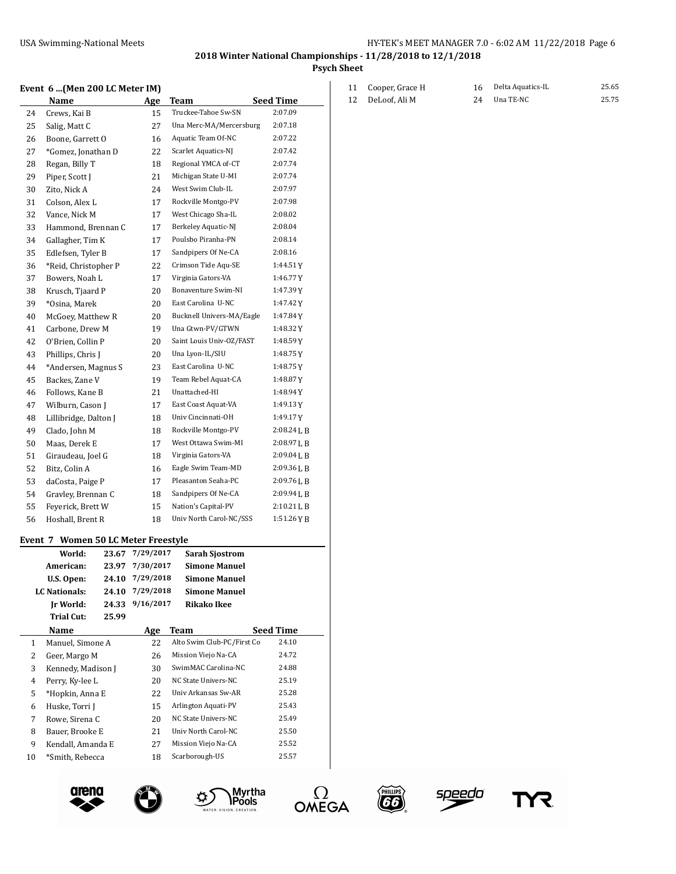**2018 Winter National Championships - 11/28/2018 to 12/1/2018**

**Psych Sheet**

#### **Event 6 ...(Men 200 LC Meter IM)**

|    | Name                  | Age | <b>Team</b>               | <b>Seed Time</b> |
|----|-----------------------|-----|---------------------------|------------------|
| 24 |                       | 15  | Truckee-Tahoe Sw-SN       | 2:07.09          |
|    | Crews, Kai B          |     | Una Merc-MA/Mercersburg   |                  |
| 25 | Salig, Matt C         | 27  |                           | 2:07.18          |
| 26 | Boone, Garrett O      | 16  | Aquatic Team Of-NC        | 2:07.22          |
| 27 | *Gomez, Jonathan D    | 22  | Scarlet Aquatics-NJ       | 2:07.42          |
| 28 | Regan, Billy T        | 18  | Regional YMCA of-CT       | 2:07.74          |
| 29 | Piper, Scott J        | 21  | Michigan State U-MI       | 2:07.74          |
| 30 | Zito, Nick A          | 24  | West Swim Club-IL         | 2:07.97          |
| 31 | Colson, Alex L        | 17  | Rockville Montgo-PV       | 2:07.98          |
| 32 | Vance, Nick M         | 17  | West Chicago Sha-IL       | 2:08.02          |
| 33 | Hammond, Brennan C    | 17  | Berkeley Aquatic-NJ       | 2:08.04          |
| 34 | Gallagher, Tim K      | 17  | Poulsbo Piranha-PN        | 2:08.14          |
| 35 | Edlefsen, Tyler B     | 17  | Sandpipers Of Ne-CA       | 2:08.16          |
| 36 | *Reid, Christopher P  | 22  | Crimson Tide Aqu-SE       | 1:44.51 Y        |
| 37 | Bowers, Noah L        | 17  | Virginia Gators-VA        | 1:46.77Y         |
| 38 | Krusch, Tjaard P      | 20  | Bonaventure Swim-NI       | 1:47.39Y         |
| 39 | *Osina, Marek         | 20  | East Carolina U-NC        | 1:47.42Y         |
| 40 | McGoey, Matthew R     | 20  | Bucknell Univers-MA/Eagle | 1:47.84Y         |
| 41 | Carbone, Drew M       | 19  | Una Gtwn-PV/GTWN          | 1:48.32Y         |
| 42 | O'Brien, Collin P     | 20  | Saint Louis Univ-OZ/FAST  | 1:48.59Y         |
| 43 | Phillips, Chris J     | 20  | Una Lyon-IL/SIU           | 1:48.75 Y        |
| 44 | *Andersen, Magnus S   | 23  | East Carolina U-NC        | 1:48.75 Y        |
| 45 | Backes, Zane V        | 19  | Team Rebel Aquat-CA       | 1:48.87Y         |
| 46 | Follows, Kane B       | 21  | Unattached-HI             | 1:48.94Y         |
| 47 | Wilburn, Cason J      | 17  | East Coast Aquat-VA       | 1:49.13Y         |
| 48 | Lillibridge, Dalton J | 18  | Univ Cincinnati-OH        | 1:49.17Y         |
| 49 | Clado, John M         | 18  | Rockville Montgo-PV       | 2:08.24 L B      |
| 50 | Maas, Derek E         | 17  | West Ottawa Swim-MI       | 2:08.97 J, B     |
| 51 | Giraudeau, Joel G     | 18  | Virginia Gators-VA        | 2:09.04 L B      |
| 52 | Bitz, Colin A         | 16  | Eagle Swim Team-MD        | 2:09.36 L B      |
| 53 | daCosta, Paige P      | 17  | Pleasanton Seaha-PC       | 2:09.76LB        |
| 54 | Gravley, Brennan C    | 18  | Sandpipers Of Ne-CA       | 2:09.94 L B      |
| 55 | Feyerick, Brett W     | 15  | Nation's Capital-PV       | 2:10.21 L B      |
| 56 | Hoshall, Brent R      | 18  | Univ North Carol-NC/SSS   | 1:51.26YB        |

### **Event 7 Women 50 LC Meter Freestyle**

|    | World:             | 23.67 | 7/29/2017 | <b>Sarah Sjostrom</b>      |                  |
|----|--------------------|-------|-----------|----------------------------|------------------|
|    | American:          | 23.97 | 7/30/2017 | <b>Simone Manuel</b>       |                  |
|    | U.S. Open:         | 24.10 | 7/29/2018 | <b>Simone Manuel</b>       |                  |
|    | LC Nationals:      | 24.10 | 7/29/2018 | <b>Simone Manuel</b>       |                  |
|    | Ir World:          | 24.33 | 9/16/2017 | <b>Rikako Ikee</b>         |                  |
|    | <b>Trial Cut:</b>  | 25.99 |           |                            |                  |
|    | Name               |       | Age       | Team                       | <b>Seed Time</b> |
| 1  | Manuel, Simone A   |       | 22        | Alto Swim Club-PC/First Co | 24.10            |
| 2  | Geer, Margo M      |       | 26        | Mission Viejo Na-CA        | 24.72            |
| 3  | Kennedy, Madison J |       | 30        | SwimMAC Carolina-NC        | 24.88            |
| 4  | Perry, Ky-lee L    |       | 20        | NC State Univers-NC        | 25.19            |
| 5  | *Hopkin, Anna E    |       | 22        | Univ Arkansas Sw-AR        | 25.28            |
| 6  | Huske, Torri J     |       | 15        | Arlington Aquati-PV        | 25.43            |
| 7  | Rowe, Sirena C     |       | 20        | NC State Univers-NC        | 25.49            |
| 8  | Bauer, Brooke E    |       | 21        | Univ North Carol-NC        | 25.50            |
| 9  | Kendall, Amanda E  |       | 27        | Mission Viejo Na-CA        | 25.52            |
| 10 | *Smith. Rebecca    |       | 18        | Scarborough-US             | 25.57            |









û)



| 11 Cooper, Grace H | 16 Delta Aquatics-IL | 25.65 |
|--------------------|----------------------|-------|
| 12 DeLoof. Ali M   | 24 Una TE-NC         | 25.75 |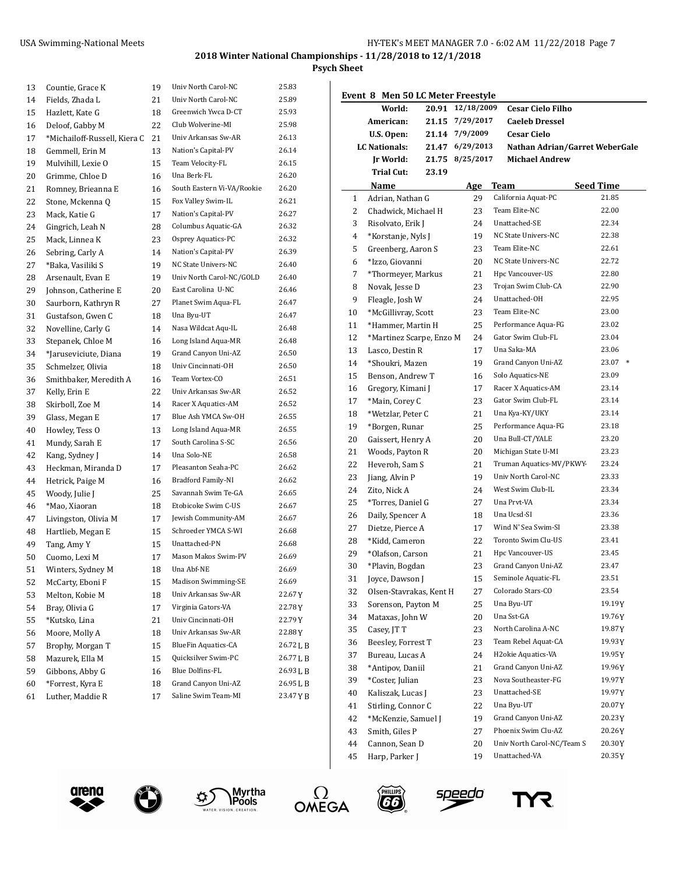**2018 Winter National Championships - 11/28/2018 to 12/1/2018**

**Psych Sheet**

 $\overline{\phantom{0}}$ 

| 13 | Countie, Grace K             | 19 | Univ North Carol-NC        | 25.83     |
|----|------------------------------|----|----------------------------|-----------|
| 14 | Fields, Zhada L              | 21 | Univ North Carol-NC        | 25.89     |
| 15 | Hazlett, Kate G              | 18 | Greenwich Ywca D-CT        | 25.93     |
| 16 | Deloof, Gabby M              | 22 | Club Wolverine-MI          | 25.98     |
| 17 | *Michailoff-Russell, Kiera C | 21 | Univ Arkansas Sw-AR        | 26.13     |
| 18 | Gemmell, Erin M              | 13 | Nation's Capital-PV        | 26.14     |
| 19 | Mulvihill. Lexie O           | 15 | Team Velocity-FL           | 26.15     |
| 20 | Grimme, Chloe D              | 16 | Una Berk-FL                | 26.20     |
| 21 | Romney, Brieanna E           | 16 | South Eastern Vi-VA/Rookie | 26.20     |
| 22 | Stone, Mckenna Q             | 15 | Fox Valley Swim-IL         | 26.21     |
| 23 | Mack, Katie G                | 17 | Nation's Capital-PV        | 26.27     |
| 24 | Gingrich, Leah N             | 28 | Columbus Aquatic-GA        | 26.32     |
| 25 | Mack. Linnea K               | 23 | Osprey Aquatics-PC         | 26.32     |
| 26 | Sebring, Carly A             | 14 | Nation's Capital-PV        | 26.39     |
| 27 | *Baka, Vasiliki S            | 19 | NC State Univers-NC        | 26.40     |
| 28 | Arsenault, Evan E            | 19 | Univ North Carol-NC/GOLD   | 26.40     |
| 29 | Johnson, Catherine E         | 20 | East Carolina U-NC         | 26.46     |
| 30 | Saurborn, Kathryn R          | 27 | Planet Swim Aqua-FL        | 26.47     |
| 31 | Gustafson, Gwen C            | 18 | Una Byu-UT                 | 26.47     |
| 32 | Novelline, Carly G           | 14 | Nasa Wildcat Aqu-IL        | 26.48     |
| 33 | Stepanek, Chloe M            | 16 | Long Island Aqua-MR        | 26.48     |
| 34 | *Jaruseviciute, Diana        | 19 | Grand Canyon Uni-AZ        | 26.50     |
| 35 | Schmelzer, Olivia            | 18 | Univ Cincinnati-OH         | 26.50     |
| 36 | Smithbaker, Meredith A       | 16 | Team Vortex-CO             | 26.51     |
| 37 | Kelly, Erin E                | 22 | Univ Arkansas Sw-AR        | 26.52     |
| 38 | Skirboll, Zoe M              | 14 | Racer X Aquatics-AM        | 26.52     |
| 39 | Glass, Megan E               | 17 | Blue Ash YMCA Sw-OH        | 26.55     |
| 40 | Howley, Tess O               | 13 | Long Island Aqua-MR        | 26.55     |
| 41 | Mundy, Sarah E               | 17 | South Carolina S-SC        | 26.56     |
| 42 | Kang, Sydney J               | 14 | Una Solo-NE                | 26.58     |
| 43 | Heckman, Miranda D           | 17 | Pleasanton Seaha-PC        | 26.62     |
| 44 | Hetrick, Paige M             | 16 | Bradford Family-NI         | 26.62     |
| 45 | Woody, Julie J               | 25 | Savannah Swim Te-GA        | 26.65     |
| 46 | *Mao, Xiaoran                | 18 | Etobicoke Swim C-US        | 26.67     |
| 47 | Livingston, Olivia M         | 17 | Jewish Community-AM        | 26.67     |
| 48 | Hartlieb, Megan E            | 15 | Schroeder YMCA S-WI        | 26.68     |
| 49 | Tang, Amy Y                  | 15 | Unattached-PN              | 26.68     |
| 50 | Cuomo, Lexi M                | 17 | Mason Makos Swim-PV        | 26.69     |
| 51 | Winters, Sydney M            | 18 | Una Abf-NE                 | 26.69     |
| 52 | McCarty, Eboni F             | 15 | Madison Swimming-SE        | 26.69     |
| 53 | Melton, Kobie M              | 18 | Univ Arkansas Sw-AR        | 22.67Y    |
| 54 | Bray, Olivia G               | 17 | Virginia Gators-VA         | 22.78Y    |
| 55 | *Kutsko, Lina                | 21 | Univ Cincinnati-OH         | 22.79 Y   |
| 56 | Moore, Molly A               | 18 | Univ Arkansas Sw-AR        | 22.88Y    |
| 57 | Brophy, Morgan T             | 15 | <b>BlueFin Aquatics-CA</b> | 26.72 L B |
| 58 | Mazurek, Ella M              | 15 | Quicksilver Swim-PC        | 26.77LB   |
| 59 | Gibbons, Abby G              | 16 | <b>Blue Dolfins-FL</b>     | 26.93LB   |
| 60 | *Forrest, Kyra E             | 18 | Grand Canyon Uni-AZ        | 26.95 L B |
| 61 | Luther, Maddie R             | 17 | Saline Swim Team-MI        | 23.47 Y B |

|    | Event 8 Men 50 LC Meter Freestyle |       |            |                                 |                  |
|----|-----------------------------------|-------|------------|---------------------------------|------------------|
|    | World:                            | 20.91 | 12/18/2009 | <b>Cesar Cielo Filho</b>        |                  |
|    | American:                         | 21.15 | 7/29/2017  | <b>Caeleb Dressel</b>           |                  |
|    | U.S. Open:                        | 21.14 | 7/9/2009   | <b>Cesar Cielo</b>              |                  |
|    | <b>LC Nationals:</b>              | 21.47 | 6/29/2013  | Nathan Adrian/Garret WeberGale  |                  |
|    | Ir World:                         | 21.75 | 8/25/2017  | <b>Michael Andrew</b>           |                  |
|    | <b>Trial Cut:</b>                 | 23.19 |            |                                 |                  |
|    | Name                              |       | Age        | Team                            | <b>Seed Time</b> |
| 1  | Adrian, Nathan G                  |       | 29         | California Aquat-PC             | 21.85            |
| 2  | Chadwick, Michael H               |       | 23         | Team Elite-NC                   | 22.00            |
| 3  | Risolvato, Erik J                 |       | 24         | Unattached-SE                   | 22.34            |
| 4  | *Korstanje, Nyls J                |       | 19         | NC State Univers-NC             | 22.38            |
| 5  | Greenberg, Aaron S                |       | 23         | Team Elite-NC                   | 22.61            |
| 6  | *Izzo, Giovanni                   |       | 20         | NC State Univers-NC             | 22.72            |
| 7  | *Thormeyer, Markus                |       | 21         | Hpc Vancouver-US                | 22.80            |
| 8  | Novak, Jesse D                    |       | 23         | Trojan Swim Club-CA             | 22.90            |
| 9  | Fleagle, Josh W                   |       | 24         | Unattached-OH                   | 22.95            |
| 10 | *McGillivray, Scott               |       | 23         | Team Elite-NC                   | 23.00            |
| 11 | *Hammer. Martin H                 |       | 25         | Performance Aqua-FG             | 23.02            |
| 12 | *Martinez Scarpe, Enzo M          |       | 24         | Gator Swim Club-FL              | 23.04            |
| 13 | Lasco, Destin R                   |       | 17         | Una Saka-MA                     | 23.06            |
| 14 | *Shoukri, Mazen                   |       | 19         | Grand Canyon Uni-AZ             | 23.07 *          |
| 15 | Benson, Andrew T                  |       | 16         | Solo Aquatics-NE                | 23.09            |
| 16 | Gregory, Kimani J                 |       | 17         | Racer X Aquatics-AM             | 23.14            |
| 17 | *Main, Corey C                    |       | 23         | Gator Swim Club-FL              | 23.14            |
| 18 | *Wetzlar, Peter C                 |       | 21         | Una Kya-KY/UKY                  | 23.14            |
| 19 | *Borgen, Runar                    |       | 25         | Performance Aqua-FG             | 23.18            |
| 20 | Gaissert, Henry A                 |       | 20         | Una Bull-CT/YALE                | 23.20            |
| 21 | Woods, Payton R                   |       | 20         | Michigan State U-MI             | 23.23            |
| 22 | Heveroh, Sam S                    |       | 21         | Truman Aquatics-MV/PKWY-        | 23.24            |
| 23 | Jiang, Alvin P                    |       | 19         | Univ North Carol-NC             | 23.33            |
| 24 | Zito, Nick A                      |       | 24         | West Swim Club-IL               | 23.34            |
| 25 | *Torres, Daniel G                 |       | 27         | Una Prvt-VA                     | 23.34            |
| 26 | Daily, Spencer A                  |       | 18         | Una Ucsd-SI                     | 23.36            |
| 27 | Dietze, Pierce A                  |       | 17         | Wind N' Sea Swim-SI             | 23.38            |
| 28 | *Kidd, Cameron                    |       | 22         | Toronto Swim Clu-US             | 23.41            |
| 29 | *Olafson, Carson                  |       | 21         | Hpc Vancouver-US                | 23.45            |
| 30 | *Plavin, Bogdan                   |       | 23         | Grand Canyon Uni-AZ             | 23.47            |
| 31 | Joyce, Dawson J                   |       | 15         | Seminole Aquatic-FL             | 23.51            |
| 32 | Olsen-Stavrakas, Kent H           |       | 27         | Colorado Stars-CO               | 23.54            |
| 33 | Sorenson, Payton M                |       | 25         | Una Byu-UT                      | 19.19 Y          |
| 34 | Mataxas, John W                   |       | 20         | Una Sst-GA                      | 19.76Y           |
| 35 | Casev. IT T                       |       | 23         | North Carolina A-NC             | 19.87Y           |
| 36 | Beesley, Forrest T                |       | 23         | Team Rebel Aquat-CA             | 19.93 Y          |
| 37 | Bureau, Lucas A                   |       | 24         | H <sub>2</sub> okie Aquatics-VA | 19.95Y           |
| 38 | *Antipov, Daniil                  |       | 21         | Grand Canyon Uni-AZ             | 19.96 Y          |
| 39 | *Coster, Julian                   |       | 23         | Nova Southeaster-FG             | 19.97Y           |
| 40 | Kaliszak, Lucas J                 |       | 23         | Unattached-SE                   | 19.97Y           |
| 41 | Stirling, Connor C                |       | 22         | Una Byu-UT                      | 20.07Y           |
| 42 | *McKenzie, Samuel J               |       | 19         | Grand Canyon Uni-AZ             | 20.23Y           |
| 43 | Smith, Giles P                    |       | 27         | Phoenix Swim Clu-AZ             | 20.26Y           |
| 44 | Cannon, Sean D                    |       | 20         | Univ North Carol-NC/Team S      | 20.30Y           |
| 45 | Harp, Parker J                    |       | 19         | Unattached-VA                   | 20.35Y           |
|    |                                   |       |            |                                 |                  |









<u>speedo</u>

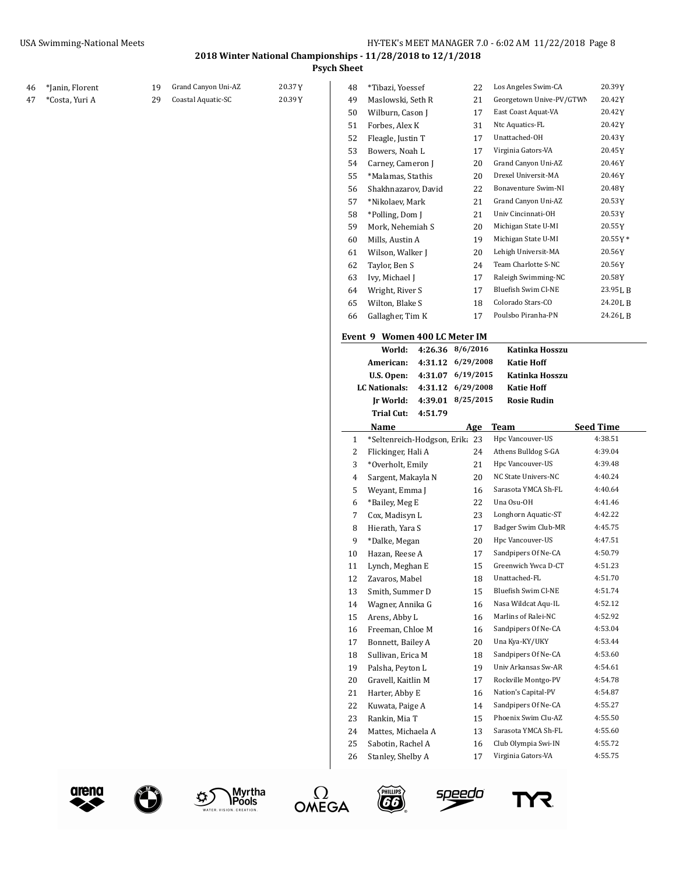**Psych Sheet**

| 46 | *Janin, Florent | 19 | Grand Canyon Uni-AZ | 20.37Y | 48 | *Tibazi, Yoessef               |         | 22                | Los Angeles Swim-CA      | 20.39Y           |
|----|-----------------|----|---------------------|--------|----|--------------------------------|---------|-------------------|--------------------------|------------------|
| 47 | *Costa, Yuri A  | 29 | Coastal Aquatic-SC  | 20.39Y | 49 | Maslowski, Seth R              |         | 21                | Georgetown Unive-PV/GTWN | 20.42Y           |
|    |                 |    |                     |        | 50 | Wilburn, Cason J               |         | 17                | East Coast Aquat-VA      | 20.42Y           |
|    |                 |    |                     |        | 51 | Forbes, Alex K                 |         | 31                | Ntc Aquatics-FL          | 20.42Y           |
|    |                 |    |                     |        | 52 | Fleagle, Justin T              |         | 17                | Unattached-OH            | 20.43Y           |
|    |                 |    |                     |        | 53 | Bowers, Noah L                 |         | 17                | Virginia Gators-VA       | 20.45Y           |
|    |                 |    |                     |        | 54 | Carney, Cameron J              |         | 20                | Grand Canyon Uni-AZ      | 20.46Y           |
|    |                 |    |                     |        | 55 | *Malamas, Stathis              |         | 20                | Drexel Universit-MA      | 20.46Y           |
|    |                 |    |                     |        | 56 | Shakhnazarov, David            |         | 22                | Bonaventure Swim-NI      | 20.48Y           |
|    |                 |    |                     |        | 57 | *Nikolaev, Mark                |         | 21                | Grand Canyon Uni-AZ      | 20.53Y           |
|    |                 |    |                     |        | 58 | *Polling, Dom J                |         | 21                | Univ Cincinnati-OH       | 20.53Y           |
|    |                 |    |                     |        | 59 | Mork, Nehemiah S               |         | 20                | Michigan State U-MI      | 20.55Y           |
|    |                 |    |                     |        | 60 | Mills, Austin A                |         | 19                | Michigan State U-MI      | 20.55Y*          |
|    |                 |    |                     |        | 61 | Wilson, Walker J               |         | 20                | Lehigh Universit-MA      | 20.56Y           |
|    |                 |    |                     |        | 62 | Taylor, Ben S                  |         | 24                | Team Charlotte S-NC      | 20.56Y           |
|    |                 |    |                     |        | 63 | Ivy, Michael J                 |         | 17                | Raleigh Swimming-NC      | 20.58Y           |
|    |                 |    |                     |        | 64 | Wright, River S                |         | 17                | Bluefish Swim Cl-NE      | 23.95 L B        |
|    |                 |    |                     |        |    |                                |         |                   | Colorado Stars-CO        | 24.20 L B        |
|    |                 |    |                     |        | 65 | Wilton, Blake S                |         | 18                | Poulsbo Piranha-PN       |                  |
|    |                 |    |                     |        | 66 | Gallagher, Tim K               |         | 17                |                          | 24.26LB          |
|    |                 |    |                     |        |    | Event 9 Women 400 LC Meter IM  |         |                   |                          |                  |
|    |                 |    |                     |        |    | World:                         |         | 4:26.36 8/6/2016  | Katinka Hosszu           |                  |
|    |                 |    |                     |        |    | American:                      |         | 4:31.12 6/29/2008 | <b>Katie Hoff</b>        |                  |
|    |                 |    |                     |        |    | U.S. Open:                     |         | 4:31.07 6/19/2015 | Katinka Hosszu           |                  |
|    |                 |    |                     |        |    | <b>LC Nationals:</b>           |         | 4:31.12 6/29/2008 | <b>Katie Hoff</b>        |                  |
|    |                 |    |                     |        |    |                                |         |                   |                          |                  |
|    |                 |    |                     |        |    | Jr World:                      |         | 4:39.01 8/25/2015 | <b>Rosie Rudin</b>       |                  |
|    |                 |    |                     |        |    | <b>Trial Cut:</b>              | 4:51.79 |                   |                          |                  |
|    |                 |    |                     |        |    | Name                           |         | Age               | <b>Team</b>              | <b>Seed Time</b> |
|    |                 |    |                     |        | 1  | *Seltenreich-Hodgson, Erik; 23 |         |                   | Hpc Vancouver-US         | 4:38.51          |
|    |                 |    |                     |        | 2  | Flickinger, Hali A             |         | 24                | Athens Bulldog S-GA      | 4:39.04          |
|    |                 |    |                     |        | 3  | *Overholt, Emily               |         | 21                | Hpc Vancouver-US         | 4:39.48          |
|    |                 |    |                     |        | 4  | Sargent, Makayla N             |         | 20                | NC State Univers-NC      | 4:40.24          |
|    |                 |    |                     |        | 5  | Weyant, Emma J                 |         | 16                | Sarasota YMCA Sh-FL      | 4:40.64          |
|    |                 |    |                     |        | 6  | *Bailey, Meg E                 |         | 22                | Una Osu-OH               | 4:41.46          |
|    |                 |    |                     |        | 7  | Cox, Madisyn L                 |         | 23                | Longhorn Aquatic-ST      | 4:42.22          |
|    |                 |    |                     |        | 8  | Hierath, Yara S                |         | 17                | Badger Swim Club-MR      | 4:45.75          |
|    |                 |    |                     |        | 9  | *Dalke, Megan                  |         | 20                | Hpc Vancouver-US         | 4:47.51          |
|    |                 |    |                     |        | 10 | Hazan, Reese A                 |         | 17                | Sandpipers Of Ne-CA      | 4:50.79          |
|    |                 |    |                     |        | 11 | Lynch, Meghan E                |         | 15                | Greenwich Ywca D-CT      | 4:51.23          |
|    |                 |    |                     |        | 12 | Zavaros, Mabel                 |         | 18                | Unattached-FL            | 4:51.70          |
|    |                 |    |                     |        | 13 | Smith, Summer D                |         | 15                | Bluefish Swim Cl-NE      | 4:51.74          |
|    |                 |    |                     |        | 14 | Wagner, Annika G               |         | 16                | Nasa Wildcat Aqu-IL      | 4:52.12          |
|    |                 |    |                     |        | 15 | Arens, Abby L                  |         | 16                | Marlins of Ralei-NC      | 4:52.92          |
|    |                 |    |                     |        | 16 | Freeman, Chloe M               |         | 16                | Sandpipers Of Ne-CA      | 4:53.04          |
|    |                 |    |                     |        | 17 | Bonnett, Bailey A              |         | 20                | Una Kya-KY/UKY           | 4:53.44          |
|    |                 |    |                     |        | 18 | Sullivan, Erica M              |         | 18                | Sandpipers Of Ne-CA      | 4:53.60          |
|    |                 |    |                     |        | 19 | Palsha, Peyton L               |         | 19                | Univ Arkansas Sw-AR      | 4:54.61          |
|    |                 |    |                     |        | 20 | Gravell, Kaitlin M             |         | 17                | Rockville Montgo-PV      | 4:54.78          |
|    |                 |    |                     |        | 21 | Harter, Abby E                 |         | 16                | Nation's Capital-PV      | 4:54.87          |
|    |                 |    |                     |        | 22 | Kuwata, Paige A                |         | 14                | Sandpipers Of Ne-CA      | 4:55.27          |
|    |                 |    |                     |        | 23 | Rankin, Mia T                  |         | 15                | Phoenix Swim Clu-AZ      | 4:55.50          |
|    |                 |    |                     |        | 24 | Mattes, Michaela A             |         | 13                | Sarasota YMCA Sh-FL      | 4:55.60          |
|    |                 |    |                     |        | 25 | Sabotin, Rachel A              |         | 16                | Club Olympia Swi-IN      | 4:55.72          |



Œ







<u>speedo</u>

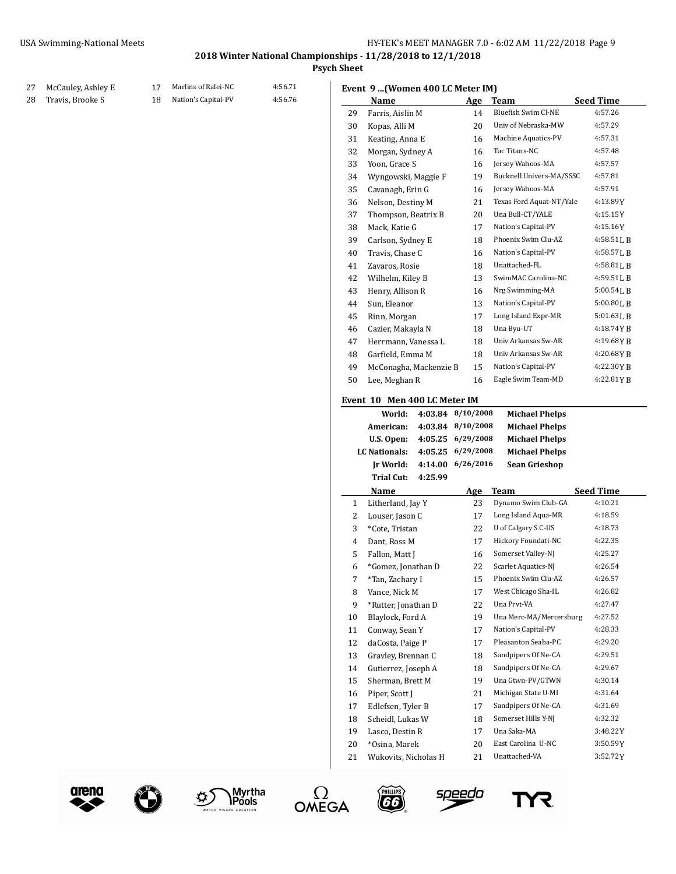**Psych Sheet**

#### 27 McCauley, Ashley E 17 Marlins of Ralei-NC 4:56.71 28 Travis, Brooke S 18 Nation's Capital-PV 4:56.76

|  |  | Event 9  (Women 400 LC Meter IM) |  |  |  |  |
|--|--|----------------------------------|--|--|--|--|
|--|--|----------------------------------|--|--|--|--|

|        | EVENT 9 [WOMEN 4UU LU METEL IMJ |         |                                                                                  |                          |                  |  |
|--------|---------------------------------|---------|----------------------------------------------------------------------------------|--------------------------|------------------|--|
|        | Name                            |         | Age                                                                              | <b>Team</b>              | <b>Seed Time</b> |  |
| 29     | Farris, Aislin M                |         | 14                                                                               | Bluefish Swim Cl-NE      | 4:57.26          |  |
| 30     | Kopas, Alli M                   |         | 20                                                                               | Univ of Nebraska-MW      | 4:57.29          |  |
| 31     | Keating, Anna E                 |         | 16                                                                               | Machine Aquatics-PV      | 4:57.31          |  |
| 32     | Morgan, Sydney A                |         | 16                                                                               | Tac Titans-NC            | 4:57.48          |  |
| 33     | Yoon, Grace S                   |         | 16                                                                               | Jersey Wahoos-MA         | 4:57.57          |  |
| 34     | Wyngowski, Maggie F             |         | 19                                                                               | Bucknell Univers-MA/SSSC | 4:57.81          |  |
| 35     | Cavanagh, Erin G                |         | 16                                                                               | Jersey Wahoos-MA         | 4:57.91          |  |
| 36     | Nelson, Destiny M               |         | 21                                                                               | Texas Ford Aquat-NT/Yale | 4:13.89 Y        |  |
| 37     | Thompson, Beatrix B             |         | 20                                                                               | Una Bull-CT/YALE         | 4:15.15 Y        |  |
| 38     | Mack, Katie G                   |         | 17                                                                               | Nation's Capital-PV      | 4:15.16Y         |  |
| 39     | Carlson, Sydney E               |         | 18                                                                               | Phoenix Swim Clu-AZ      | 4:58.51 L B      |  |
| 40     | Travis, Chase C                 |         | 16                                                                               | Nation's Capital-PV      | 4:58.57 L B      |  |
| 41     | Zavaros, Rosie                  |         | 18                                                                               | Unattached-FL            | 4:58.81 L B      |  |
| 42     | Wilhelm, Kiley B                |         | 13                                                                               | SwimMAC Carolina-NC      | 4:59.51 L B      |  |
| 43     | Henry, Allison R                |         | 16                                                                               | Nrg Swimming-MA          | 5:00.54 L B      |  |
| 44     | Sun, Eleanor                    |         | 13                                                                               | Nation's Capital-PV      | 5:00.80LB        |  |
| 45     | Rinn, Morgan                    |         | 17                                                                               | Long Island Expr-MR      | 5:01.63LB        |  |
| 46     | Cazier, Makayla N               |         | 18                                                                               | Una Byu-UT               | 4:18.74 Y B      |  |
| 47     | Herrmann, Vanessa L             |         | 18                                                                               | Univ Arkansas Sw-AR      | 4:19.68YB        |  |
| 48     | Garfield, Emma M                |         | 18                                                                               | Univ Arkansas Sw-AR      | 4:20.68Y B       |  |
| 49     | McConagha, Mackenzie B          |         | 15                                                                               | Nation's Capital-PV      | 4:22.30YB        |  |
| 50     | Lee, Meghan R                   |         | 16                                                                               | Eagle Swim Team-MD       | 4:22.81YB        |  |
|        |                                 |         |                                                                                  |                          |                  |  |
|        | Event 10 Men 400 LC Meter IM    |         |                                                                                  |                          |                  |  |
|        | World:                          | 4:03.84 | 8/10/2008                                                                        | <b>Michael Phelps</b>    |                  |  |
|        | American:                       | 4:03.84 | 8/10/2008                                                                        | <b>Michael Phelps</b>    |                  |  |
|        | U.S. Open:                      |         | 4:05.25 6/29/2008<br><b>Michael Phelps</b><br>6/29/2008<br><b>Michael Phelps</b> |                          |                  |  |
|        | LC Nationals:                   | 4:05.25 |                                                                                  |                          |                  |  |
|        | Jr World:                       |         | 4:14.00 6/26/2016                                                                | Sean Grieshop            |                  |  |
|        | <b>Trial Cut:</b>               | 4:25.99 |                                                                                  |                          |                  |  |
|        | Name                            |         | Age                                                                              | Team                     | <b>Seed Time</b> |  |
| 1      | Litherland, Jay Y               |         | 23                                                                               | Dynamo Swim Club-GA      | 4:10.21          |  |
| 2      | Louser, Jason C                 |         | 17                                                                               | Long Island Aqua-MR      | 4:18.59          |  |
| 3      | *Cote, Tristan                  |         | 22                                                                               | U of Calgary S C-US      | 4:18.73          |  |
| 4      | Dant, Ross M                    |         | 17                                                                               | Hickory Foundati-NC      | 4:22.35          |  |
| 5      | Fallon, Matt J                  |         | 16                                                                               | Somerset Valley-NJ       | 4:25.27          |  |
| 6      | *Gomez, Jonathan D              |         | 22                                                                               | Scarlet Aquatics-NJ      | 4:26.54          |  |
| 7      | *Tan, Zachary I                 |         | 15                                                                               | Phoenix Swim Clu-AZ      | 4:26.57          |  |
| 8      | Vance, Nick M                   |         | 17                                                                               | West Chicago Sha-IL      | 4:26.82          |  |
| 9      | *Rutter, Jonathan D             |         | 22                                                                               | Una Prvt-VA              | 4:27.47          |  |
| 10     | Blaylock, Ford A                |         | 19                                                                               | Una Merc-MA/Mercersburg  | 4:27.52          |  |
| 11     | Conway, Sean Y                  |         | 17                                                                               | Nation's Capital-PV      | 4:28.33          |  |
| 12     | daCosta, Paige P                |         | 17                                                                               | Pleasanton Seaha-PC      | 4:29.20          |  |
| 13     | Gravley, Brennan C              |         | 18                                                                               | Sandpipers Of Ne-CA      | 4:29.51          |  |
| 14     | Gutierrez, Joseph A             |         | 18                                                                               | Sandpipers Of Ne-CA      | 4:29.67          |  |
| 15     | Sherman, Brett M                |         | 19                                                                               | Una Gtwn-PV/GTWN         | 4:30.14          |  |
| 16     | Piper, Scott J                  |         | 21                                                                               | Michigan State U-MI      | 4:31.64          |  |
| 17     | Edlefsen, Tyler B               |         | 17                                                                               | Sandpipers Of Ne-CA      | 4:31.69          |  |
| 18     | Scheidl. Lukas W                |         | 18                                                                               | Somerset Hills Y-NJ      | 4:32.32          |  |
| 19     | Lasco, Destin R                 |         | 17                                                                               | Una Saka-MA              | 3:48.22 Y        |  |
|        |                                 |         | 20                                                                               | East Carolina U-NC       | 3:50.59Y         |  |
| $20\,$ | *Osina, Marek                   |         |                                                                                  | Unattached-VA            | 3:52.72Y         |  |
| 21     | Wukovits, Nicholas H            |         | 21                                                                               |                          |                  |  |











s<u>peed</u>o

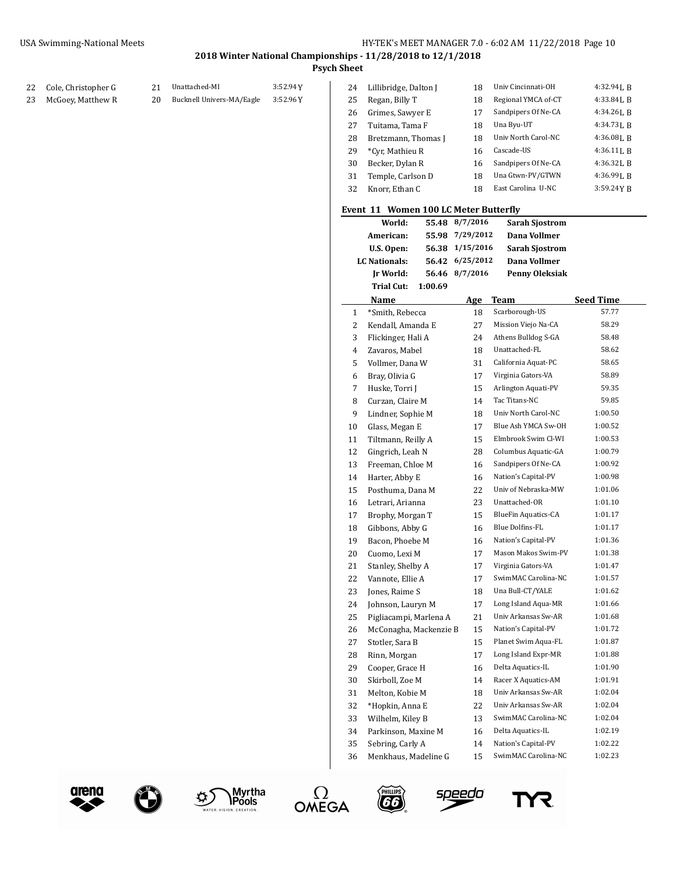## **Psych Sheet**

|  | 22 Cole, Christopher G | 21 |
|--|------------------------|----|
|--|------------------------|----|

- McGoey, Matthew R 20 Bucknell Univers-MA/Eagle 3:52.96Y
- Cole, Christopher G 21 Unattached-MI 3:52.94Y

| 24 | Lillibridge, Dalton J | 18 | Univ Cincinnati-OH  | $4:32.94$ J. R |
|----|-----------------------|----|---------------------|----------------|
| 25 | Regan, Billy T        | 18 | Regional YMCA of-CT | 4:33.84 L B    |
| 26 | Grimes, Sawyer E      | 17 | Sandpipers Of Ne-CA | $4:34.26$ J. R |
| 27 | Tuitama, Tama F       | 18 | Una Byu-UT          | 4:34.731. R    |
| 28 | Bretzmann, Thomas I   | 18 | Univ North Carol-NC | 4:36.08LB      |
| 29 | *Cyr, Mathieu R       | 16 | Cascade-US          | $4:36.11$ J, R |
| 30 | Becker, Dylan R       | 16 | Sandpipers Of Ne-CA | $4:36.32$ J. R |
| 31 | Temple, Carlson D     | 18 | Una Gtwn-PV/GTWN    | 4:36.99LB      |
| 32 | Knorr, Ethan C        | 18 | East Carolina U-NC  | 3:59.24YB      |
|    |                       |    |                     |                |

|                | Event 11 Women 100 LC Meter Butterfly |           |                            |                  |
|----------------|---------------------------------------|-----------|----------------------------|------------------|
|                | World:<br>55.48                       | 8/7/2016  | Sarah Sjostrom             |                  |
|                | American:<br>55.98                    | 7/29/2012 | Dana Vollmer               |                  |
|                | U.S. Open:<br>56.38                   | 1/15/2016 | <b>Sarah Sjostrom</b>      |                  |
|                | <b>LC Nationals:</b><br>56.42         | 6/25/2012 | Dana Vollmer               |                  |
|                | Ir World:<br>56.46                    | 8/7/2016  | Penny Oleksiak             |                  |
|                | <b>Trial Cut:</b><br>1:00.69          |           |                            |                  |
|                | Name                                  | Age       | Team                       | <b>Seed Time</b> |
| 1              | *Smith, Rebecca                       | 18        | Scarborough-US             | 57.77            |
| 2              | Kendall, Amanda E                     | 27        | Mission Viejo Na-CA        | 58.29            |
| 3              | Flickinger, Hali A                    | 24        | Athens Bulldog S-GA        | 58.48            |
| 4              | Zavaros, Mabel                        | 18        | Unattached-FL              | 58.62            |
| 5              | Vollmer, Dana W                       | 31        | California Aquat-PC        | 58.65            |
| 6              | Bray, Olivia G                        | 17        | Virginia Gators-VA         | 58.89            |
| $\overline{7}$ | Huske, Torri J                        | 15        | Arlington Aquati-PV        | 59.35            |
| 8              | Curzan, Claire M                      | 14        | Tac Titans-NC              | 59.85            |
| 9              | Lindner, Sophie M                     | 18        | Univ North Carol-NC        | 1:00.50          |
| 10             | Glass, Megan E                        | 17        | Blue Ash YMCA Sw-OH        | 1:00.52          |
| 11             | Tiltmann, Reilly A                    | 15        | Elmbrook Swim Cl-WI        | 1:00.53          |
| 12             | Gingrich, Leah N                      | 28        | Columbus Aquatic-GA        | 1:00.79          |
| 13             | Freeman, Chloe M                      | 16        | Sandpipers Of Ne-CA        | 1:00.92          |
| 14             | Harter, Abby E                        | 16        | Nation's Capital-PV        | 1:00.98          |
| 15             | Posthuma, Dana M                      | 22        | Univ of Nebraska-MW        | 1:01.06          |
| 16             | Letrari, Arianna                      | 23        | Unattached-OR              | 1:01.10          |
| 17             | Brophy, Morgan T                      | 15        | <b>BlueFin Aquatics-CA</b> | 1:01.17          |
| 18             | Gibbons, Abby G                       | 16        | Blue Dolfins-FL            | 1:01.17          |
| 19             | Bacon, Phoebe M                       | 16        | Nation's Capital-PV        | 1:01.36          |
| 20             | Cuomo, Lexi M                         | 17        | Mason Makos Swim-PV        | 1:01.38          |
| 21             | Stanley, Shelby A                     | 17        | Virginia Gators-VA         | 1:01.47          |
| 22             | Vannote, Ellie A                      | 17        | SwimMAC Carolina-NC        | 1:01.57          |
| 23             | Jones, Raime S                        | 18        | Una Bull-CT/YALE           | 1:01.62          |
| 24             | Johnson, Lauryn M                     | 17        | Long Island Aqua-MR        | 1:01.66          |
| 25             | Pigliacampi, Marlena A                | 21        | Univ Arkansas Sw-AR        | 1:01.68          |
| 26             | McConagha, Mackenzie B                | 15        | Nation's Capital-PV        | 1:01.72          |
| 27             | Stotler, Sara B                       | 15        | Planet Swim Aqua-FL        | 1:01.87          |
| 28             | Rinn, Morgan                          | 17        | Long Island Expr-MR        | 1:01.88          |
| 29             | Cooper, Grace H                       | 16        | Delta Aquatics-IL          | 1:01.90          |
| 30             | Skirboll, Zoe M                       | 14        | Racer X Aquatics-AM        | 1:01.91          |
| 31             | Melton, Kobie M                       | 18        | Univ Arkansas Sw-AR        | 1:02.04          |
| 32             | *Hopkin, Anna E                       | 22        | Univ Arkansas Sw-AR        | 1:02.04          |
| 33             | Wilhelm, Kiley B                      | 13        | SwimMAC Carolina-NC        | 1:02.04          |
| 34             | Parkinson, Maxine M                   | 16        | Delta Aquatics-IL          | 1:02.19          |
| 35             | Sebring, Carly A                      | 14        | Nation's Capital-PV        | 1:02.22          |
| 36             | Menkhaus, Madeline G                  | 15        | SwimMAC Carolina-NC        | 1:02.23          |











s<u>peed</u>o

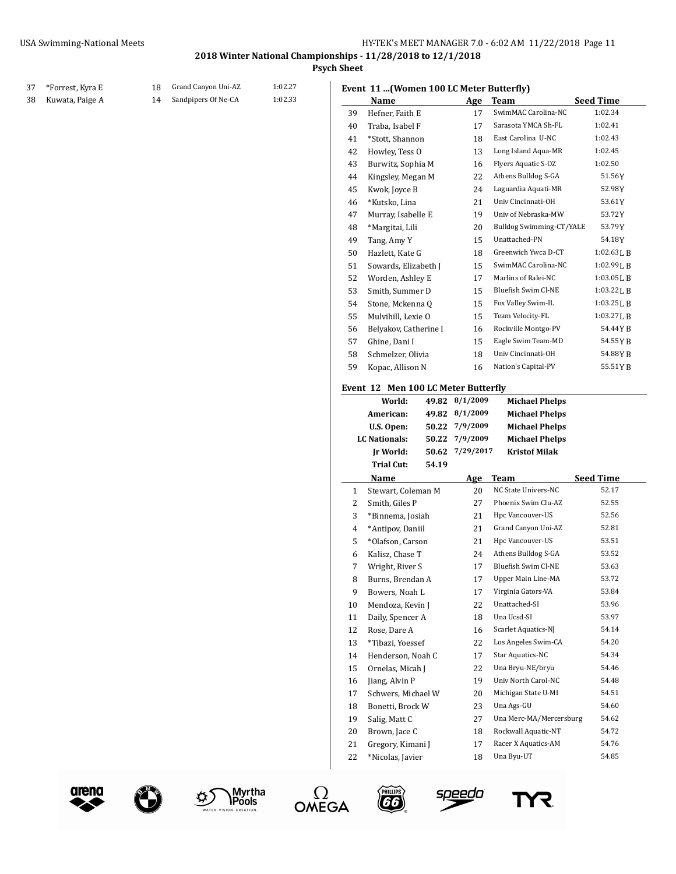**Psych Sheet**

## \*Forrest, Kyra E 18 Grand Canyon Uni-AZ 1:02.27 Kuwata, Paige A 14 Sandpipers Of Ne-CA 1:02.33

### **Event 11 ...(Women 100 LC Meter Butterfly)**

|    | Name                                |       | Age       | Team                            | <b>Seed Time</b> |
|----|-------------------------------------|-------|-----------|---------------------------------|------------------|
| 39 | Hefner, Faith E                     |       | 17        | SwimMAC Carolina-NC             | 1:02.34          |
| 40 | Traba, Isabel F                     |       | 17        | Sarasota YMCA Sh-FL             | 1:02.41          |
| 41 | *Stott, Shannon                     |       | 18        | East Carolina U-NC              | 1:02.43          |
| 42 | Howley, Tess O                      |       | 13        | Long Island Aqua-MR             | 1:02.45          |
| 43 | Burwitz, Sophia M                   |       | 16        | Flyers Aquatic S-OZ             | 1:02.50          |
| 44 | Kingsley, Megan M                   |       | 22        | Athens Bulldog S-GA             | 51.56Y           |
| 45 | Kwok, Joyce B                       |       | 24        | Laguardia Aquati-MR             | 52.98Y           |
| 46 | *Kutsko, Lina                       |       | 21        | Univ Cincinnati-OH              | 53.61Y           |
| 47 | Murray, Isabelle E                  |       | 19        | Univ of Nebraska-MW             | 53.72Y           |
| 48 | *Margitai, Lili                     |       | 20        | <b>Bulldog Swimming-CT/YALE</b> | 53.79Y           |
| 49 | Tang, Amy Y                         |       | 15        | Unattached-PN                   | 54.18Y           |
| 50 | Hazlett, Kate G                     |       | 18        | Greenwich Ywca D-CT             | $1:02.63$ J, B   |
| 51 | Sowards, Elizabeth J                |       | 15        | SwimMAC Carolina-NC             | $1:02.99$ J, B   |
| 52 | Worden, Ashley E                    |       | 17        | Marlins of Ralei-NC             | 1:03.05 L B      |
| 53 | Smith, Summer D                     |       | 15        | <b>Bluefish Swim Cl-NE</b>      | $1:03.22$ J, B   |
| 54 | Stone, Mckenna Q                    |       | 15        | Fox Valley Swim-IL              | 1:03.25L B       |
| 55 | Mulvihill, Lexie O                  |       | 15        | Team Velocity-FL                | $1:03.27$ J, B   |
| 56 | Belyakov, Catherine I               |       | 16        | Rockville Montgo-PV             | 54.44 Y B        |
| 57 | Ghine, Dani I                       |       | 15        | Eagle Swim Team-MD              | 54.55 Y B        |
| 58 | Schmelzer, Olivia                   |       | 18        | Univ Cincinnati-OH              | 54.88YB          |
| 59 | Kopac, Allison N                    |       | 16        | Nation's Capital-PV             | 55.51YB          |
|    | Event 12 Men 100 LC Meter Butterfly |       |           |                                 |                  |
|    | World:                              | 49.82 | 8/1/2009  | <b>Michael Phelps</b>           |                  |
|    | American:                           | 49.82 | 8/1/2009  | <b>Michael Phelps</b>           |                  |
|    | U.S. Open:                          | 50.22 | 7/9/2009  | <b>Michael Phelps</b>           |                  |
|    | <b>LC</b> Nationals:                | 50.22 | 7/9/2009  | <b>Michael Phelps</b>           |                  |
|    | Ir World:                           | 50.62 | 7/29/2017 | <b>Kristof Milak</b>            |                  |

|              | Trial Cut:<br>54.19 |     |                         |                  |
|--------------|---------------------|-----|-------------------------|------------------|
|              | Name                | Age | <b>Team</b>             | <b>Seed Time</b> |
| $\mathbf{1}$ | Stewart, Coleman M  | 20  | NC State Univers-NC     | 52.17            |
| 2            | Smith, Giles P      | 27  | Phoenix Swim Clu-AZ     | 52.55            |
| 3            | *Binnema, Josiah    | 21  | Hpc Vancouver-US        | 52.56            |
| 4            | *Antipov, Daniil    | 21  | Grand Canyon Uni-AZ     | 52.81            |
| 5            | *Olafson, Carson    | 21  | Hpc Vancouver-US        | 53.51            |
| 6            | Kalisz, Chase T     | 24  | Athens Bulldog S-GA     | 53.52            |
| 7            | Wright, River S     | 17  | Bluefish Swim Cl-NE     | 53.63            |
| 8            | Burns, Brendan A    | 17  | Upper Main Line-MA      | 53.72            |
| 9            | Bowers, Noah L      | 17  | Virginia Gators-VA      | 53.84            |
| 10           | Mendoza, Kevin J    | 22  | Unattached-SI           | 53.96            |
| 11           | Daily, Spencer A    | 18  | Una Ucsd-SI             | 53.97            |
| 12           | Rose, Dare A        | 16  | Scarlet Aquatics-NJ     | 54.14            |
| 13           | *Tibazi, Yoessef    | 22  | Los Angeles Swim-CA     | 54.20            |
| 14           | Henderson, Noah C   | 17  | Star Aquatics-NC        | 54.34            |
| 15           | Ornelas, Micah J    | 22  | Una Bryu-NE/bryu        | 54.46            |
| 16           | Jiang, Alvin P      | 19  | Univ North Carol-NC     | 54.48            |
| 17           | Schwers, Michael W  | 20  | Michigan State U-MI     | 54.51            |
| 18           | Bonetti, Brock W    | 23  | Una Ags-GU              | 54.60            |
| 19           | Salig, Matt C       | 27  | Una Merc-MA/Mercersburg | 54.62            |
| 20           | Brown, Jace C       | 18  | Rockwall Aquatic-NT     | 54.72            |
| 21           | Gregory, Kimani J   | 17  | Racer X Aquatics-AM     | 54.76            |
| 22           | *Nicolas, Javier    | 18  | Una Byu-UT              | 54.85            |





TER VISION







speedo

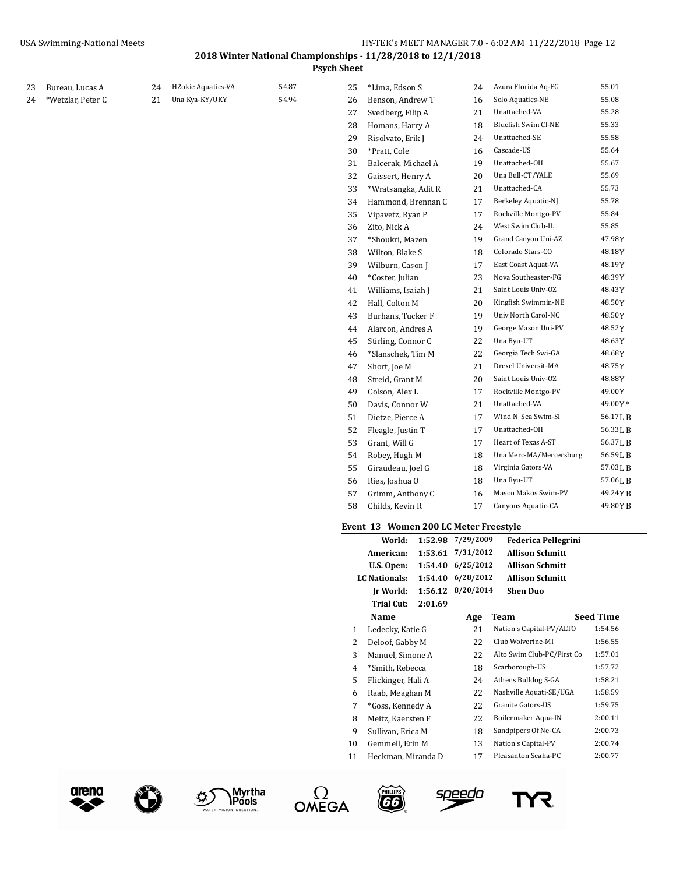**Psych Sheet**

| 23 | Bureau, Lucas A   | 24 | H2okie Aquatics-VA | 54.87 | 25           | *Lima, Edson S                                  |         | 24                                     | Azura Florida Aq-FG                                  | 55.01            |
|----|-------------------|----|--------------------|-------|--------------|-------------------------------------------------|---------|----------------------------------------|------------------------------------------------------|------------------|
| 24 | *Wetzlar, Peter C | 21 | Una Kya-KY/UKY     | 54.94 | 26           | Benson, Andrew T                                |         | 16                                     | Solo Aquatics-NE                                     | 55.08            |
|    |                   |    |                    |       | 27           | Svedberg, Filip A                               |         | 21                                     | Unattached-VA                                        | 55.28            |
|    |                   |    |                    |       | 28           | Homans, Harry A                                 |         | 18                                     | Bluefish Swim Cl-NE                                  | 55.33            |
|    |                   |    |                    |       | 29           | Risolvato, Erik J                               |         | 24                                     | Unattached-SE                                        | 55.58            |
|    |                   |    |                    |       | 30           | *Pratt, Cole                                    |         | 16                                     | Cascade-US                                           | 55.64            |
|    |                   |    |                    |       | 31           | Balcerak, Michael A                             |         | 19                                     | Unattached-OH                                        | 55.67            |
|    |                   |    |                    |       | 32           | Gaissert, Henry A                               |         | 20                                     | Una Bull-CT/YALE                                     | 55.69            |
|    |                   |    |                    |       | 33           | *Wratsangka, Adit R                             |         | 21                                     | Unattached-CA                                        | 55.73            |
|    |                   |    |                    |       | 34           | Hammond, Brennan C                              |         | 17                                     | Berkeley Aquatic-NJ                                  | 55.78            |
|    |                   |    |                    |       | 35           | Vipavetz, Ryan P                                |         | 17                                     | Rockville Montgo-PV                                  | 55.84            |
|    |                   |    |                    |       | 36           | Zito, Nick A                                    |         | 24                                     | West Swim Club-IL                                    | 55.85            |
|    |                   |    |                    |       | 37           | *Shoukri, Mazen                                 |         | 19                                     | Grand Canyon Uni-AZ                                  | 47.98Y           |
|    |                   |    |                    |       | 38           | Wilton, Blake S                                 |         | 18                                     | Colorado Stars-CO                                    | 48.18Y           |
|    |                   |    |                    |       | 39           | Wilburn, Cason J                                |         | 17                                     | East Coast Aquat-VA                                  | 48.19Y           |
|    |                   |    |                    |       | 40           | *Coster, Julian                                 |         | 23                                     | Nova Southeaster-FG                                  | 48.39Y           |
|    |                   |    |                    |       | 41           | Williams, Isaiah J                              |         | 21                                     | Saint Louis Univ-OZ                                  | 48.43 Y          |
|    |                   |    |                    |       | 42           | Hall, Colton M                                  |         | 20                                     | Kingfish Swimmin-NE                                  | 48.50Y           |
|    |                   |    |                    |       | 43           | Burhans, Tucker F                               |         | 19                                     | Univ North Carol-NC                                  | 48.50Y           |
|    |                   |    |                    |       | 44           | Alarcon, Andres A                               |         | 19                                     | George Mason Uni-PV                                  | 48.52Y           |
|    |                   |    |                    |       | 45           | Stirling, Connor C                              |         | 22                                     | Una Byu-UT                                           | 48.63Y           |
|    |                   |    |                    |       | 46           | *Slanschek, Tim M                               |         | 22                                     | Georgia Tech Swi-GA                                  | 48.68Y           |
|    |                   |    |                    |       | 47           | Short, Joe M                                    |         | 21                                     | Drexel Universit-MA                                  | 48.75Y           |
|    |                   |    |                    |       | 48           | Streid, Grant M                                 |         | 20                                     | Saint Louis Univ-OZ                                  | 48.88Y           |
|    |                   |    |                    |       | 49           | Colson, Alex L                                  |         | 17                                     | Rockville Montgo-PV                                  | 49.00Y           |
|    |                   |    |                    |       | 50           | Davis, Connor W                                 |         | 21                                     | Unattached-VA                                        | 49.00Y*          |
|    |                   |    |                    |       | 51           | Dietze, Pierce A                                |         | 17                                     | Wind N' Sea Swim-SI                                  | 56.17 L B        |
|    |                   |    |                    |       | 52           | Fleagle, Justin T                               |         | 17                                     | Unattached-OH                                        | 56.33LB          |
|    |                   |    |                    |       | 53           | Grant, Will G                                   |         | 17                                     | Heart of Texas A-ST                                  | 56.37LB          |
|    |                   |    |                    |       | 54           | Robey, Hugh M                                   |         | 18                                     | Una Merc-MA/Mercersburg                              | 56.59LB          |
|    |                   |    |                    |       | 55           | Giraudeau, Joel G                               |         | 18                                     | Virginia Gators-VA                                   | 57.03LB          |
|    |                   |    |                    |       | 56           | Ries, Joshua O                                  |         | 18                                     | Una Byu-UT                                           | 57.06LB          |
|    |                   |    |                    |       | 57           | Grimm, Anthony C                                |         | 16                                     | Mason Makos Swim-PV                                  | 49.24YB          |
|    |                   |    |                    |       | 58           | Childs, Kevin R                                 |         | 17                                     | Canyons Aquatic-CA                                   | 49.80YB          |
|    |                   |    |                    |       |              |                                                 |         |                                        |                                                      |                  |
|    |                   |    |                    |       |              | Event 13 Women 200 LC Meter Freestyle<br>World: |         | 1:52.98 7/29/2009                      |                                                      |                  |
|    |                   |    |                    |       |              | American:                                       |         | 1:53.61 7/31/2012                      | <b>Federica Pellegrini</b><br><b>Allison Schmitt</b> |                  |
|    |                   |    |                    |       |              | U.S. Open:                                      |         | 1:54.40 6/25/2012                      | <b>Allison Schmitt</b>                               |                  |
|    |                   |    |                    |       |              | LC Nationals:                                   |         |                                        | <b>Allison Schmitt</b>                               |                  |
|    |                   |    |                    |       |              | <b>Jr World:</b>                                |         | 1:54.40 6/28/2012<br>1:56.12 8/20/2014 | <b>Shen Duo</b>                                      |                  |
|    |                   |    |                    |       |              | Trial Cut:                                      | 2:01.69 |                                        |                                                      |                  |
|    |                   |    |                    |       |              | Name                                            |         | Age                                    | <b>Team</b>                                          | <b>Seed Time</b> |
|    |                   |    |                    |       | $\mathbf{1}$ | Ledecky, Katie G                                |         | 21                                     | Nation's Capital-PV/ALTO                             | 1:54.56          |
|    |                   |    |                    |       | 2            | Deloof, Gabby M                                 |         | 22                                     | Club Wolverine-MI                                    | 1:56.55          |
|    |                   |    |                    |       | 3            | Manuel, Simone A                                |         | 22                                     | Alto Swim Club-PC/First Co                           | 1:57.01          |
|    |                   |    |                    |       | 4            | *Smith, Rebecca                                 |         | 18                                     | Scarborough-US                                       | 1:57.72          |
|    |                   |    |                    |       | 5            | Flickinger, Hali A                              |         | 24                                     | Athens Bulldog S-GA                                  | 1:58.21          |
|    |                   |    |                    |       | 6            | Raab, Meaghan M                                 |         | 22                                     | Nashville Aquati-SE/UGA                              | 1:58.59          |
|    |                   |    |                    |       | 7            | *Goss, Kennedy A                                |         | 22                                     | Granite Gators-US                                    | 1:59.75          |
|    |                   |    |                    |       | 8            | Meitz, Kaersten F                               |         | 22                                     | Boilermaker Aqua-IN                                  | 2:00.11          |
|    |                   |    |                    |       | 9            | Sullivan, Erica M                               |         | 18                                     | Sandpipers Of Ne-CA                                  | 2:00.73          |
|    |                   |    |                    |       | 10           | Gemmell, Erin M                                 |         | 13                                     | Nation's Capital-PV                                  | 2:00.74          |
|    |                   |    |                    |       | 11           | Heckman, Miranda D                              |         | 17                                     | Pleasanton Seaha-PC                                  | 2:00.77          |
|    |                   |    |                    |       |              |                                                 |         |                                        |                                                      |                  |



 $\mathbf G$ 







<u>speedo</u>

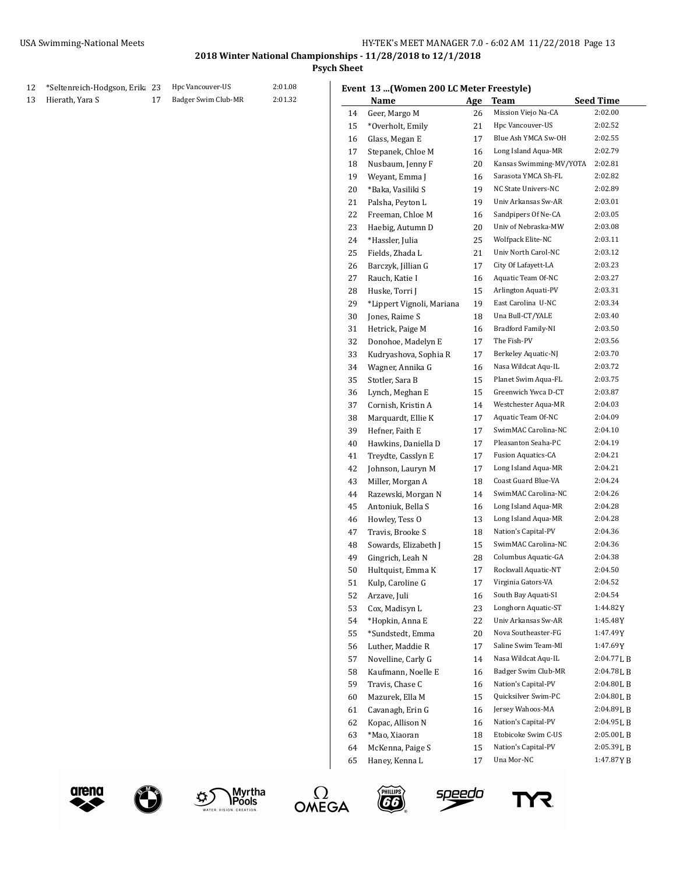**Psych Sheet**

## 12 \*Seltenreich-Hodgson, Erika 23 Hpc Vancouver-US 2:01.08 Hierath, Yara S 17 Badger Swim Club-MR 2:01.32

|  |  |  |  | Event 13  (Women 200 LC Meter Freestyle) |
|--|--|--|--|------------------------------------------|
|--|--|--|--|------------------------------------------|

|    | vent 13 (Women 200 LC Meter Freestyle) |     |                                            |                  |
|----|----------------------------------------|-----|--------------------------------------------|------------------|
|    | Name                                   | Age | <b>Team</b>                                | <b>Seed Time</b> |
| 14 | Geer, Margo M                          | 26  | Mission Viejo Na-CA                        | 2:02.00          |
| 15 | *Overholt, Emily                       | 21  | Hpc Vancouver-US                           | 2:02.52          |
| 16 | Glass, Megan E                         | 17  | Blue Ash YMCA Sw-OH                        | 2:02.55          |
| 17 | Stepanek, Chloe M                      | 16  | Long Island Aqua-MR                        | 2:02.79          |
| 18 | Nusbaum, Jenny F                       | 20  | Kansas Swimming-MV/YOTA                    | 2:02.81          |
| 19 | Weyant, Emma J                         | 16  | Sarasota YMCA Sh-FL                        | 2:02.82          |
| 20 | *Baka, Vasiliki S                      | 19  | NC State Univers-NC                        | 2:02.89          |
| 21 | Palsha, Peyton L                       | 19  | Univ Arkansas Sw-AR                        | 2:03.01          |
| 22 | Freeman. Chloe M                       | 16  | Sandpipers Of Ne-CA                        | 2:03.05          |
| 23 | Haebig, Autumn D                       | 20  | Univ of Nebraska-MW                        | 2:03.08          |
| 24 | *Hassler, Julia                        | 25  | Wolfpack Elite-NC                          | 2:03.11          |
| 25 | Fields, Zhada L                        | 21  | Univ North Carol-NC                        | 2:03.12          |
| 26 | Barczyk, Jillian G                     | 17  | City Of Lafayett-LA                        | 2:03.23          |
| 27 | Rauch, Katie I                         | 16  | Aquatic Team Of-NC                         | 2:03.27          |
| 28 | Huske, Torri J                         | 15  | Arlington Aquati-PV                        | 2:03.31          |
| 29 | *Lippert Vignoli, Mariana              | 19  | East Carolina U-NC                         | 2:03.34          |
| 30 | Jones, Raime S                         | 18  | Una Bull-CT/YALE                           | 2:03.40          |
| 31 | Hetrick, Paige M                       | 16  | <b>Bradford Family-NI</b>                  | 2:03.50          |
| 32 | Donohoe, Madelyn E                     | 17  | The Fish-PV                                | 2:03.56          |
| 33 | Kudryashova, Sophia R                  | 17  | Berkeley Aquatic-NJ                        | 2:03.70          |
| 34 | Wagner, Annika G                       | 16  | Nasa Wildcat Aqu-IL                        | 2:03.72          |
| 35 | Stotler, Sara B                        | 15  | Planet Swim Aqua-FL                        | 2:03.75          |
| 36 | Lynch, Meghan E                        | 15  | Greenwich Ywca D-CT                        | 2:03.87          |
| 37 | Cornish, Kristin A                     | 14  | Westchester Aqua-MR                        | 2:04.03          |
| 38 | Marquardt, Ellie K                     | 17  | Aquatic Team Of-NC                         | 2:04.09          |
| 39 | Hefner, Faith E                        | 17  | SwimMAC Carolina-NC                        | 2:04.10          |
| 40 | Hawkins, Daniella D                    | 17  | Pleasanton Seaha-PC                        | 2:04.19          |
| 41 | Treydte, Casslyn E                     | 17  | <b>Fusion Aquatics-CA</b>                  | 2:04.21          |
| 42 | Johnson, Lauryn M                      | 17  | Long Island Aqua-MR                        | 2:04.21          |
| 43 | Miller, Morgan A                       | 18  | Coast Guard Blue-VA                        | 2:04.24          |
| 44 | Razewski, Morgan N                     | 14  | SwimMAC Carolina-NC                        | 2:04.26          |
|    | Antoniuk, Bella S                      | 16  | Long Island Aqua-MR                        | 2:04.28          |
| 45 |                                        |     | Long Island Aqua-MR                        | 2:04.28          |
| 46 | Howley, Tess O                         | 13  | Nation's Capital-PV                        | 2:04.36          |
| 47 | Travis, Brooke S                       | 18  | SwimMAC Carolina-NC                        | 2:04.36          |
| 48 | Sowards, Elizabeth J                   | 15  |                                            |                  |
| 49 | Gingrich, Leah N                       | 28  | Columbus Aquatic-GA<br>Rockwall Aquatic-NT | 2:04.38          |
| 50 | Hultquist, Emma K                      | 17  |                                            | 2:04.50          |
| 51 | Kulp, Caroline G                       | 17  | Virginia Gators-VA                         | 2:04.52          |
| 52 | Arzave, Juli                           | 16  | South Bay Aquati-SI                        | 2:04.54          |
| 53 | Cox, Madisyn L                         | 23  | Longhorn Aquatic-ST                        | 1:44.82Y         |
| 54 | *Hopkin, Anna E                        | 22  | Univ Arkansas Sw-AR                        | 1:45.48Y         |
| 55 | *Sundstedt, Emma                       | 20  | Nova Southeaster-FG                        | 1:47.49 Y        |
| 56 | Luther, Maddie R                       | 17  | Saline Swim Team-MI                        | 1:47.69Y         |
| 57 | Novelline, Carly G                     | 14  | Nasa Wildcat Aqu-IL                        | 2:04.77LB        |
| 58 | Kaufmann, Noelle E                     | 16  | Badger Swim Club-MR                        | 2:04.78LB        |
| 59 | Travis, Chase C                        | 16  | Nation's Capital-PV                        | 2:04.80LB        |
| 60 | Mazurek, Ella M                        | 15  | Quicksilver Swim-PC                        | 2:04.80LB        |
| 61 | Cavanagh, Erin G                       | 16  | Jersey Wahoos-MA                           | 2:04.89LB        |
| 62 | Kopac, Allison N                       | 16  | Nation's Capital-PV                        | 2:04.95LB        |
| 63 | *Mao, Xiaoran                          | 18  | Etobicoke Swim C-US                        | 2:05.00LB        |
| 64 | McKenna, Paige S                       | 15  | Nation's Capital-PV                        | 2:05.39LB        |
| 65 | Haney, Kenna L                         | 17  | Una Mor-NC                                 | 1:47.87YB        |













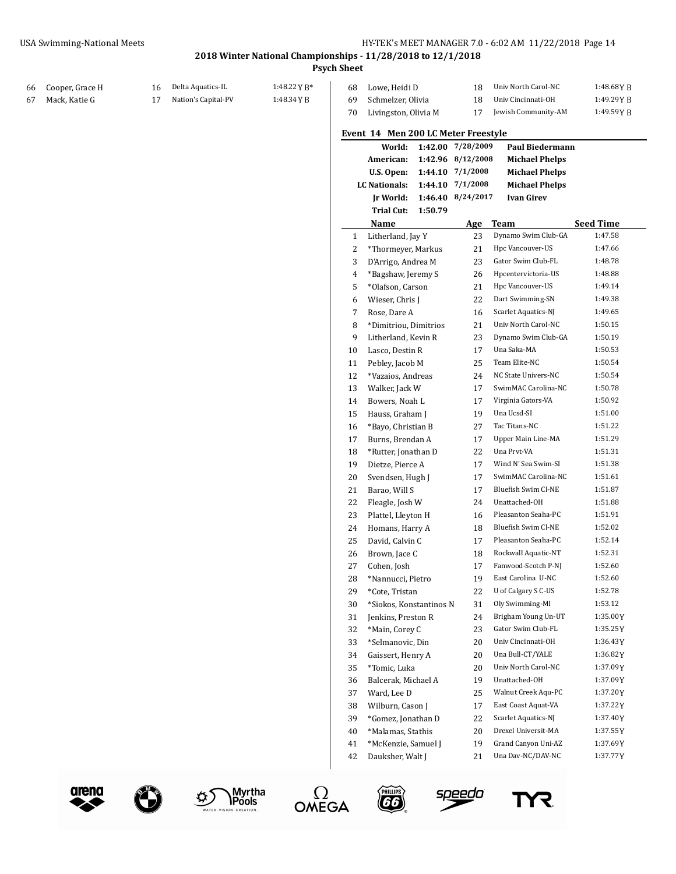#### **2018 Winter National Championships - 11/28/2018 to 12/1/2018 Psych Sheet**

| 66 | Cooper, Grace H | 16 | Delta Aquatics-IL   | 1:48.22 Y B* | 68           | Lowe, Heidi D                                    | 18                | Univ North Carol-NC                               | $1:48.68$ YB     |
|----|-----------------|----|---------------------|--------------|--------------|--------------------------------------------------|-------------------|---------------------------------------------------|------------------|
|    | Mack, Katie G   | 17 | Nation's Capital-PV | 1:48.34 Y B  | 69           | Schmelzer, Olivia                                | 18                | Univ Cincinnati-OH                                | 1:49.29YB        |
|    |                 |    |                     |              | 70           | Livingston, Olivia M                             | 17                | Jewish Community-AM                               | 1:49.59YB        |
|    |                 |    |                     |              |              | Event 14 Men 200 LC Meter Freestyle              |                   |                                                   |                  |
|    |                 |    |                     |              |              | World:                                           | 1:42.00 7/28/2009 | <b>Paul Biedermann</b>                            |                  |
|    |                 |    |                     |              |              | American:                                        | 1:42.96 8/12/2008 | <b>Michael Phelps</b>                             |                  |
|    |                 |    |                     |              |              | U.S. Open:                                       | 1:44.10 7/1/2008  | <b>Michael Phelps</b>                             |                  |
|    |                 |    |                     |              |              | LC Nationals:                                    | 1:44.10 7/1/2008  | <b>Michael Phelps</b>                             |                  |
|    |                 |    |                     |              |              | <b>Jr World:</b><br><b>Trial Cut:</b><br>1:50.79 | 1:46.40 8/24/2017 | <b>Ivan Girev</b>                                 |                  |
|    |                 |    |                     |              |              | Name                                             | <b>Age</b>        | <b>Team</b>                                       | <b>Seed Time</b> |
|    |                 |    |                     |              | $\mathbf{1}$ | Litherland, Jay Y                                | 23                | Dynamo Swim Club-GA                               | 1:47.58          |
|    |                 |    |                     |              | 2            | *Thormeyer, Markus                               | 21                | Hpc Vancouver-US                                  | 1:47.66          |
|    |                 |    |                     |              | 3            | D'Arrigo, Andrea M                               | 23                | Gator Swim Club-FL                                | 1:48.78          |
|    |                 |    |                     |              | 4            | *Bagshaw, Jeremy S                               | 26                | Hpcentervictoria-US                               | 1:48.88          |
|    |                 |    |                     |              | 5            | *Olafson, Carson                                 | 21                | Hpc Vancouver-US                                  | 1:49.14          |
|    |                 |    |                     |              | 6            | Wieser, Chris J                                  | 22                | Dart Swimming-SN                                  | 1:49.38          |
|    |                 |    |                     |              | 7            | Rose, Dare A                                     | 16                | Scarlet Aquatics-NJ                               | 1:49.65          |
|    |                 |    |                     |              | 8            | *Dimitriou, Dimitrios                            | 21                | Univ North Carol-NC                               | 1:50.15          |
|    |                 |    |                     |              | 9            | Litherland, Kevin R                              | 23                | Dynamo Swim Club-GA                               | 1:50.19          |
|    |                 |    |                     |              | 10           | Lasco, Destin R                                  | 17                | Una Saka-MA                                       | 1:50.53          |
|    |                 |    |                     |              | 11           | Pebley, Jacob M                                  | 25                | Team Elite-NC                                     | 1:50.54          |
|    |                 |    |                     |              | 12           | *Vazaios, Andreas                                | 24                | NC State Univers-NC                               | 1:50.54          |
|    |                 |    |                     |              | 13           | Walker, Jack W                                   | 17                | SwimMAC Carolina-NC                               | 1:50.78          |
|    |                 |    |                     |              | 14           | Bowers, Noah L                                   | 17                | Virginia Gators-VA                                | 1:50.92          |
|    |                 |    |                     |              | 15           | Hauss, Graham J                                  | 19                | Una Ucsd-SI                                       | 1:51.00          |
|    |                 |    |                     |              | 16           | *Bayo, Christian B                               | 27                | Tac Titans-NC                                     | 1:51.22          |
|    |                 |    |                     |              | 17           | Burns, Brendan A                                 | 17                | Upper Main Line-MA                                | 1:51.29          |
|    |                 |    |                     |              | 18           |                                                  | 22                | Una Prvt-VA                                       | 1:51.31          |
|    |                 |    |                     |              |              | *Rutter, Jonathan D<br>Dietze, Pierce A          | 17                | Wind N' Sea Swim-SI                               | 1:51.38          |
|    |                 |    |                     |              | 19           |                                                  |                   | SwimMAC Carolina-NC                               | 1:51.61          |
|    |                 |    |                     |              | 20           | Svendsen, Hugh J                                 | 17                | Bluefish Swim Cl-NE                               | 1:51.87          |
|    |                 |    |                     |              | 21           | Barao, Will S                                    | 17                | Unattached-OH                                     | 1:51.88          |
|    |                 |    |                     |              | 22           | Fleagle, Josh W                                  | 24                |                                                   |                  |
|    |                 |    |                     |              | 23           | Plattel, Lleyton H                               | 16                | Pleasanton Seaha-PC<br><b>Bluefish Swim Cl-NE</b> | 1:51.91          |
|    |                 |    |                     |              | 24           | Homans, Harry A                                  | 18                |                                                   | 1:52.02          |
|    |                 |    |                     |              | 25           | David, Calvin C                                  | 17                | Pleasanton Seaha-PC                               | 1:52.14          |
|    |                 |    |                     |              | 26           | Brown, Jace C                                    | 18                | Rockwall Aquatic-NT                               | 1:52.31          |
|    |                 |    |                     |              | 27           | Cohen, Josh                                      | 17                | Fanwood-Scotch P-NJ                               | 1:52.60          |
|    |                 |    |                     |              | 28           | *Nannucci, Pietro                                | 19                | East Carolina U-NC                                | 1:52.60          |
|    |                 |    |                     |              | 29           | *Cote, Tristan                                   | 22                | U of Calgary S C-US                               | 1:52.78          |
|    |                 |    |                     |              | 30           | *Siokos, Konstantinos N                          | 31                | Oly Swimming-MI                                   | 1:53.12          |
|    |                 |    |                     |              | 31           | Jenkins, Preston R                               | 24                | Brigham Young Un-UT                               | 1:35.00Y         |
|    |                 |    |                     |              | 32           | *Main, Corey C                                   | 23                | Gator Swim Club-FL                                | 1:35.25Y         |
|    |                 |    |                     |              | 33           | *Selmanovic, Din                                 | 20                | Univ Cincinnati-OH                                | 1:36.43Y         |
|    |                 |    |                     |              | 34           | Gaissert, Henry A                                | 20                | Una Bull-CT/YALE                                  | 1:36.82Y         |
|    |                 |    |                     |              | 35           | *Tomic, Luka                                     | 20                | Univ North Carol-NC                               | 1:37.09Y         |
|    |                 |    |                     |              | 36           | Balcerak, Michael A                              | 19                | Unattached-OH                                     | 1:37.09Y         |
|    |                 |    |                     |              | 37           | Ward, Lee D                                      | 25                | Walnut Creek Aqu-PC                               | 1:37.20Y         |
|    |                 |    |                     |              | 38           | Wilburn, Cason J                                 | 17                | East Coast Aquat-VA                               | 1:37.22Y         |
|    |                 |    |                     |              | 39           | *Gomez, Jonathan D                               | 22                | Scarlet Aquatics-NJ                               | 1:37.40Y         |
|    |                 |    |                     |              | 40           | *Malamas, Stathis                                | 20                | Drexel Universit-MA                               | 1:37.55Y         |
|    |                 |    |                     |              | 41           | *McKenzie, Samuel J                              | 19                | Grand Canyon Uni-AZ                               | 1:37.69Y         |
|    |                 |    |                     |              | 42           | Dauksher, Walt J                                 | 21                | Una Dav-NC/DAV-NC                                 | 1:37.77Y         |





 $\bigodot$ 







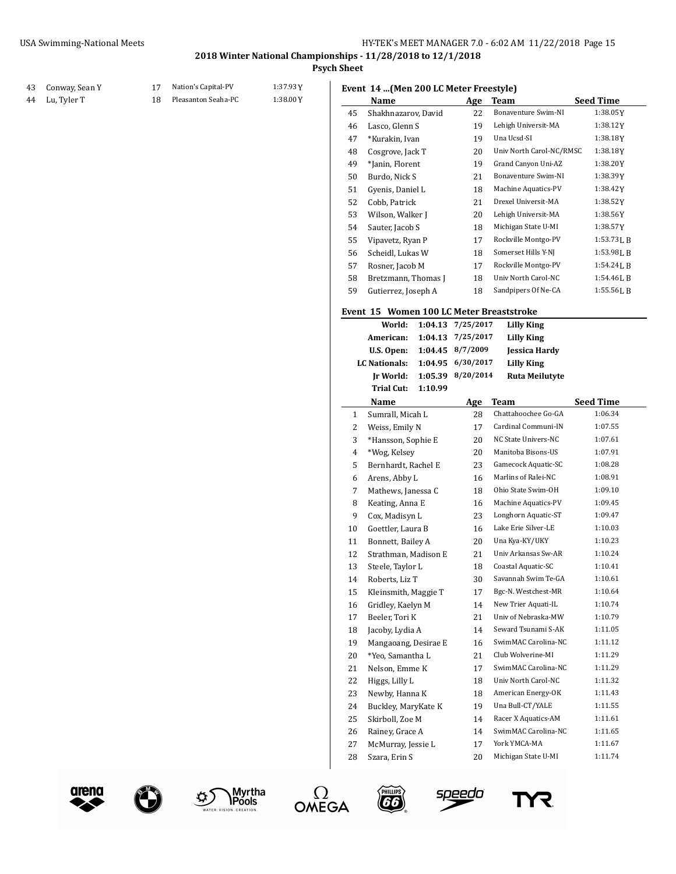## **Psych Sheet**

# Conway, Sean Y 17 Nation's Capital-PV 1:37.93Y

Lu, Tyler T 18 Pleasanton Seaha-PC 1:38.00Y

|  |  |  |  |  |  | Event 14  (Men 200 LC Meter Freestyle) |  |
|--|--|--|--|--|--|----------------------------------------|--|
|--|--|--|--|--|--|----------------------------------------|--|

|    | Event 17  (Men 200 LC Meter Preestyle)   |         |            |                          |                  |
|----|------------------------------------------|---------|------------|--------------------------|------------------|
|    | Name                                     |         | Age        | Team                     | <b>Seed Time</b> |
| 45 | Shakhnazarov, David                      |         | 22         | Bonaventure Swim-NI      | 1:38.05Y         |
| 46 | Lasco, Glenn S                           |         | 19         | Lehigh Universit-MA      | 1:38.12 Y        |
| 47 | *Kurakin, Ivan                           |         | 19         | Una Ucsd-SI              | 1:38.18Y         |
| 48 | Cosgrove, Jack T                         |         | 20         | Univ North Carol-NC/RMSC | 1:38.18Y         |
| 49 | *Janin, Florent                          |         | 19         | Grand Canyon Uni-AZ      | 1:38.20 Y        |
| 50 | Burdo, Nick S                            |         | 21         | Bonaventure Swim-NI      | 1:38.39Y         |
| 51 | Gyenis, Daniel L                         |         | 18         | Machine Aquatics-PV      | 1:38.42Y         |
| 52 | Cobb, Patrick                            |         | 21         | Drexel Universit-MA      | 1:38.52Y         |
| 53 | Wilson, Walker J                         |         | 20         | Lehigh Universit-MA      | 1:38.56Y         |
| 54 | Sauter, Jacob S                          |         | 18         | Michigan State U-MI      | 1:38.57 Y        |
| 55 | Vipavetz, Ryan P                         |         | 17         | Rockville Montgo-PV      | 1:53.73 L B      |
| 56 | Scheidl, Lukas W                         |         | 18         | Somerset Hills Y-NJ      | 1:53.98 L B      |
| 57 | Rosner, Jacob M                          |         | 17         | Rockville Montgo-PV      | 1:54.24 L B      |
| 58 | Bretzmann, Thomas J                      |         | 18         | Univ North Carol-NC      | 1:54.46 L B      |
| 59 | Gutierrez, Joseph A                      |         | 18         | Sandpipers Of Ne-CA      | 1:55.56LB        |
|    |                                          |         |            |                          |                  |
|    | Event 15 Women 100 LC Meter Breaststroke |         |            |                          |                  |
|    | World:                                   | 1:04.13 | 7/25/2017  | Lilly King               |                  |
|    | American:                                | 1:04.13 | 7/25/2017  | Lilly King               |                  |
|    | U.S. Open:                               | 1:04.45 | 8/7/2009   | <b>Jessica Hardy</b>     |                  |
|    | <b>LC</b> Nationals:                     | 1:04.95 | 6/30/2017  | <b>Lilly King</b>        |                  |
|    | Jr World:                                | 1:05.39 | 8/20/2014  | <b>Ruta Meilutyte</b>    |                  |
|    | <b>Trial Cut:</b>                        | 1:10.99 |            |                          |                  |
|    | Name                                     |         | <b>Age</b> | Team                     | <b>Seed Time</b> |
| 1  | Sumrall, Micah L                         |         | 28         | Chattahoochee Go-GA      | 1:06.34          |
| 2  | Weiss, Emily N                           |         | 17         | Cardinal Communi-IN      | 1:07.55          |
| 3  | *Hansson, Sophie E                       |         | 20         | NC State Univers-NC      | 1:07.61          |
| 4  | *Wog, Kelsey                             |         | 20         | Manitoba Bisons-US       | 1:07.91          |
| 5  | Bernhardt, Rachel E                      |         | 23         | Gamecock Aquatic-SC      | 1:08.28          |
| 6  | Arens, Abby L                            |         | 16         | Marlins of Ralei-NC      | 1:08.91          |
| 7  | Mathews, Janessa C                       |         | 18         | Ohio State Swim-OH       | 1:09.10          |
| 8  | Keating, Anna E                          |         | 16         | Machine Aquatics-PV      | 1:09.45          |
| 9  | Cox, Madisyn L                           |         | 23         | Longhorn Aquatic-ST      | 1:09.47          |
| 10 | Goettler, Laura B                        |         | 16         | Lake Erie Silver-LE      | 1:10.03          |
| 11 | Bonnett, Bailey A                        |         | 20         | Una Kya-KY/UKY           | 1:10.23          |
| 12 | Strathman, Madison E                     |         | 21         | Univ Arkansas Sw-AR      | 1:10.24          |
| 13 | Steele, Taylor L                         |         | 18         | Coastal Aquatic-SC       | 1:10.41          |
| 14 | Roberts, Liz T                           |         | 30         | Savannah Swim Te-GA      | 1:10.61          |
| 15 | Kleinsmith, Maggie T                     |         | 17         | Bgc-N. Westchest-MR      | 1:10.64          |
| 16 | Gridley, Kaelyn M                        |         | 14         | New Trier Aquati-IL      | 1:10.74          |
| 17 | Beeler, Tori K                           |         | 21         | Univ of Nebraska-MW      | 1:10.79          |
| 18 | Jacoby, Lydia A                          |         | 14         | Seward Tsunami S-AK      | 1:11.05          |
| 19 | Mangaoang, Desirae E                     |         | 16         | SwimMAC Carolina-NC      | 1:11.12          |
| 20 | *Yeo, Samantha L                         |         | 21         | Club Wolverine-MI        | 1:11.29          |
| 21 | Nelson, Emme K                           |         | 17         | SwimMAC Carolina-NC      | 1:11.29          |
| 22 | Higgs, Lilly L                           |         | 18         | Univ North Carol-NC      | 1:11.32          |
| 23 | Newby, Hanna K                           |         | 18         | American Energy-OK       | 1:11.43          |
| 24 | Buckley, MaryKate K                      |         | 19         | Una Bull-CT/YALE         | 1:11.55          |
| 25 | Skirboll, Zoe M                          |         | 14         | Racer X Aquatics-AM      | 1:11.61          |
| 26 | Rainey, Grace A                          |         | 14         | SwimMAC Carolina-NC      | 1:11.65          |
| 27 | McMurray, Jessie L                       |         | 17         | York YMCA-MA             | 1:11.67          |
| 28 | Szara, Erin S                            |         | 20         | Michigan State U-MI      | 1:11.74          |











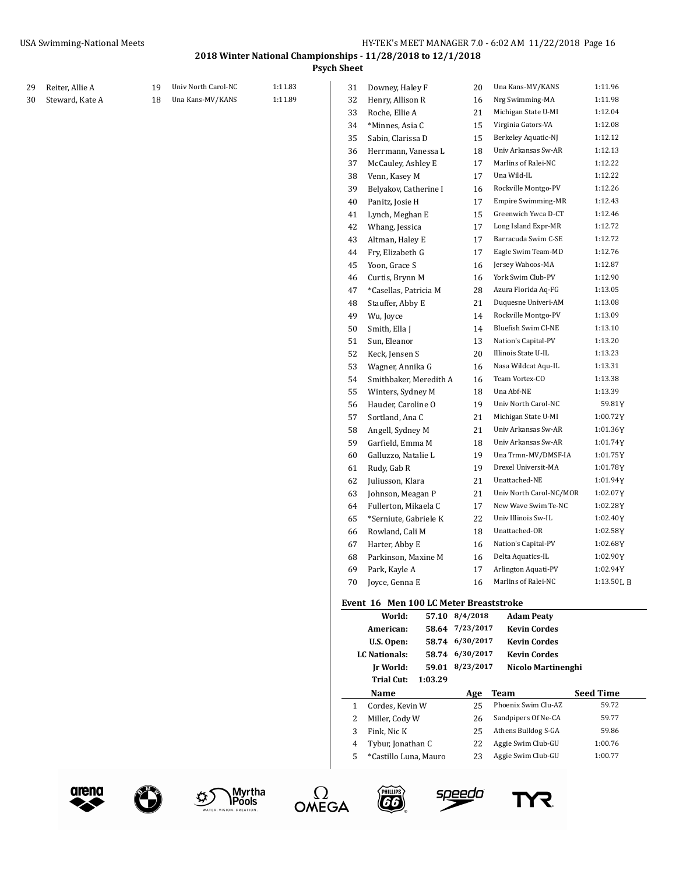**Psych Sheet**

|    | Reiter, Allie A | 19 | Univ North Carol-NC | 1:11.83 | 31 | Downey, Haley F                        |         | 20              | Una Kans-MV/KANS          | 1:11.96          |
|----|-----------------|----|---------------------|---------|----|----------------------------------------|---------|-----------------|---------------------------|------------------|
| 29 |                 |    | Una Kans-MV/KANS    | 1:11.89 |    |                                        |         |                 | Nrg Swimming-MA           | 1:11.98          |
| 30 | Steward, Kate A | 18 |                     |         | 32 | Henry, Allison R                       |         | 16              | Michigan State U-MI       | 1:12.04          |
|    |                 |    |                     |         | 33 | Roche, Ellie A                         |         | 21              |                           |                  |
|    |                 |    |                     |         | 34 | *Minnes, Asia C                        |         | 15              | Virginia Gators-VA        | 1:12.08          |
|    |                 |    |                     |         | 35 | Sabin, Clarissa D                      |         | 15              | Berkeley Aquatic-NJ       | 1:12.12          |
|    |                 |    |                     |         | 36 | Herrmann, Vanessa L                    |         | 18              | Univ Arkansas Sw-AR       | 1:12.13          |
|    |                 |    |                     |         | 37 | McCauley, Ashley E                     |         | 17              | Marlins of Ralei-NC       | 1:12.22          |
|    |                 |    |                     |         | 38 | Venn, Kasey M                          |         | 17              | Una Wild-IL               | 1:12.22          |
|    |                 |    |                     |         | 39 | Belyakov, Catherine I                  |         | 16              | Rockville Montgo-PV       | 1:12.26          |
|    |                 |    |                     |         | 40 | Panitz, Josie H                        |         | 17              | <b>Empire Swimming-MR</b> | 1:12.43          |
|    |                 |    |                     |         | 41 | Lynch, Meghan E                        |         | 15              | Greenwich Ywca D-CT       | 1:12.46          |
|    |                 |    |                     |         | 42 | Whang, Jessica                         |         | 17              | Long Island Expr-MR       | 1:12.72          |
|    |                 |    |                     |         | 43 | Altman, Haley E                        |         | 17              | Barracuda Swim C-SE       | 1:12.72          |
|    |                 |    |                     |         | 44 | Fry, Elizabeth G                       |         | 17              | Eagle Swim Team-MD        | 1:12.76          |
|    |                 |    |                     |         | 45 | Yoon, Grace S                          |         | 16              | Jersey Wahoos-MA          | 1:12.87          |
|    |                 |    |                     |         | 46 | Curtis, Brynn M                        |         | 16              | York Swim Club-PV         | 1:12.90          |
|    |                 |    |                     |         | 47 | *Casellas, Patricia M                  |         | 28              | Azura Florida Aq-FG       | 1:13.05          |
|    |                 |    |                     |         | 48 | Stauffer, Abby E                       |         | 21              | Duquesne Univeri-AM       | 1:13.08          |
|    |                 |    |                     |         | 49 | Wu, Joyce                              |         | 14              | Rockville Montgo-PV       | 1:13.09          |
|    |                 |    |                     |         | 50 | Smith, Ella J                          |         | 14              | Bluefish Swim Cl-NE       | 1:13.10          |
|    |                 |    |                     |         | 51 | Sun, Eleanor                           |         | 13              | Nation's Capital-PV       | 1:13.20          |
|    |                 |    |                     |         | 52 | Keck, Jensen S                         |         | 20              | Illinois State U-IL       | 1:13.23          |
|    |                 |    |                     |         | 53 | Wagner, Annika G                       |         | 16              | Nasa Wildcat Aqu-IL       | 1:13.31          |
|    |                 |    |                     |         | 54 | Smithbaker, Meredith A                 |         | 16              | Team Vortex-CO            | 1:13.38          |
|    |                 |    |                     |         | 55 | Winters, Sydney M                      |         | 18              | Una Abf-NE                | 1:13.39          |
|    |                 |    |                     |         | 56 | Hauder, Caroline O                     |         | 19              | Univ North Carol-NC       | 59.81Y           |
|    |                 |    |                     |         | 57 | Sortland, Ana C                        |         | 21              | Michigan State U-MI       | 1:00.72Y         |
|    |                 |    |                     |         | 58 | Angell, Sydney M                       |         | 21              | Univ Arkansas Sw-AR       | 1:01.36Y         |
|    |                 |    |                     |         | 59 | Garfield, Emma M                       |         | 18              | Univ Arkansas Sw-AR       | 1:01.74Y         |
|    |                 |    |                     |         | 60 | Galluzzo, Natalie L                    |         | 19              | Una Trmn-MV/DMSF-IA       | 1:01.75Y         |
|    |                 |    |                     |         | 61 | Rudy, Gab R                            |         | 19              | Drexel Universit-MA       | 1:01.78Y         |
|    |                 |    |                     |         | 62 | Juliusson, Klara                       |         | 21              | Unattached-NE             | 1:01.94Y         |
|    |                 |    |                     |         | 63 | Johnson, Meagan P                      |         | 21              | Univ North Carol-NC/MOR   | 1:02.07Y         |
|    |                 |    |                     |         | 64 | Fullerton, Mikaela C                   |         | 17              | New Wave Swim Te-NC       | 1:02.28Y         |
|    |                 |    |                     |         | 65 | *Serniute, Gabriele K                  |         | 22              | Univ Illinois Sw-IL       | 1:02.40Y         |
|    |                 |    |                     |         | 66 | Rowland, Cali M                        |         | 18              | Unattached-OR             | 1:02.58Y         |
|    |                 |    |                     |         | 67 | Harter, Abby E                         |         | 16              | Nation's Capital-PV       | $1:02.68$ Y      |
|    |                 |    |                     |         | 68 | Parkinson, Maxine M                    |         | 16              | Delta Aquatics-IL         | 1:02.90Y         |
|    |                 |    |                     |         | 69 | Park, Kayle A                          |         | 17              | Arlington Aquati-PV       | 1:02.94Y         |
|    |                 |    |                     |         |    | 70 Joyce, Genna E                      |         | 16              | Marlins of Ralei-NC       | 1:13.50LB        |
|    |                 |    |                     |         |    | Event 16 Men 100 LC Meter Breaststroke |         |                 |                           |                  |
|    |                 |    |                     |         |    | World:                                 |         | 57.10 8/4/2018  | <b>Adam Peaty</b>         |                  |
|    |                 |    |                     |         |    | American:                              |         | 58.64 7/23/2017 | <b>Kevin Cordes</b>       |                  |
|    |                 |    |                     |         |    | U.S. Open:                             |         | 58.74 6/30/2017 | <b>Kevin Cordes</b>       |                  |
|    |                 |    |                     |         |    | <b>LC Nationals:</b>                   |         | 58.74 6/30/2017 | <b>Kevin Cordes</b>       |                  |
|    |                 |    |                     |         |    | Jr World:                              |         | 59.01 8/23/2017 | Nicolo Martinenghi        |                  |
|    |                 |    |                     |         |    | Trial Cut:                             | 1:03.29 |                 |                           |                  |
|    |                 |    |                     |         |    | Name                                   |         | Age             | <b>Team</b>               | <b>Seed Time</b> |
|    |                 |    |                     |         | 1  | Cordes, Kevin W                        |         | 25              | Phoenix Swim Clu-AZ       | 59.72            |
|    |                 |    |                     |         | 2  | Miller, Cody W                         |         | 26              | Sandpipers Of Ne-CA       | 59.77            |
|    |                 |    |                     |         | 3  | Fink, Nic K                            |         | 25              | Athens Bulldog S-GA       | 59.86            |
|    |                 |    |                     |         | 4  | Tybur, Jonathan C                      |         | 22              | Aggie Swim Club-GU        | 1:00.76          |
|    |                 |    |                     |         | 5  | *Castillo Luna, Mauro                  |         | 23              | Aggie Swim Club-GU        | 1:00.77          |
|    |                 |    |                     |         |    |                                        |         |                 |                           |                  |



E







speedo

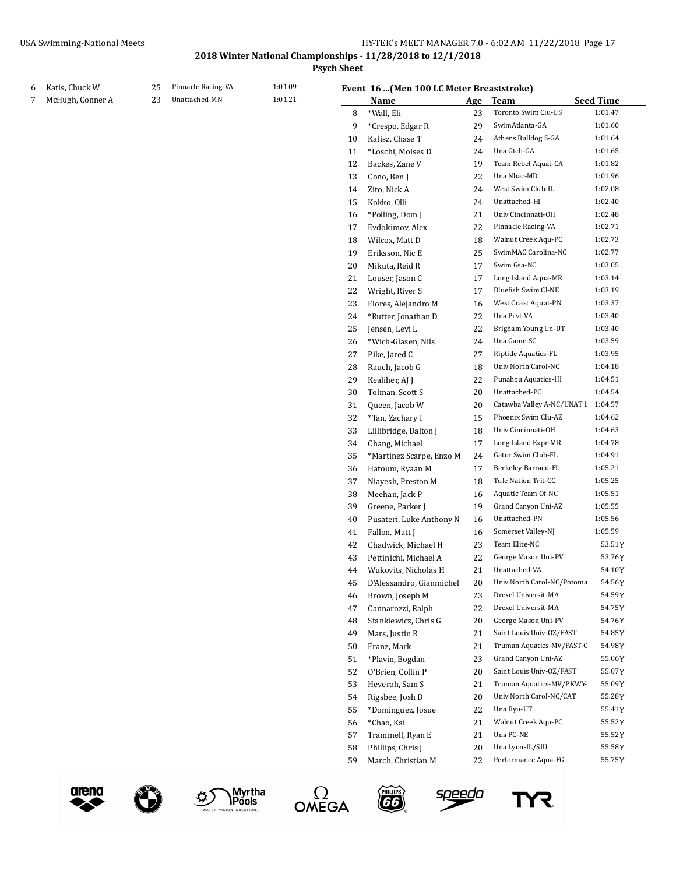**Psych Sheet**

#### Katis, Chuck W 25 Pinnacle Racing-VA 1:01.09

7 McHugh, Conner A 23 Unattached-MN 1:01.21

## **Event 16 ...(Men 100 LC Meter Breaststroke)**

|    | Name                     | <u>Age</u> | Team                                              | <b>Seed Time</b> |
|----|--------------------------|------------|---------------------------------------------------|------------------|
| 8  | *Wall, Eli               | 23         | Toronto Swim Clu-US                               | 1:01.47          |
| 9  | *Crespo, Edgar R         | 29         | SwimAtlanta-GA                                    | 1:01.60          |
| 10 | Kalisz, Chase T          | 24         | Athens Bulldog S-GA                               | 1:01.64          |
| 11 | *Loschi, Moises D        | 24         | Una Gtch-GA                                       | 1:01.65          |
| 12 | Backes, Zane V           | 19         | Team Rebel Aquat-CA                               | 1:01.82          |
| 13 | Cono, Ben J              | 22         | Una Nbac-MD                                       | 1:01.96          |
| 14 | Zito, Nick A             | 24         | West Swim Club-IL                                 | 1:02.08          |
| 15 | Kokko, Olli              | 24         | Unattached-HI                                     | 1:02.40          |
| 16 | *Polling, Dom J          | 21         | Univ Cincinnati-OH                                | 1:02.48          |
| 17 | Evdokimov, Alex          | 22         | Pinnacle Racing-VA                                | 1:02.71          |
| 18 | Wilcox, Matt D           | 18         | Walnut Creek Aqu-PC                               | 1:02.73          |
| 19 | Eriksson, Nic E          | 25         | SwimMAC Carolina-NC                               | 1:02.77          |
| 20 | Mikuta, Reid R           | 17         | Swim Gsa-NC                                       | 1:03.05          |
| 21 | Louser, Jason C          | 17         | Long Island Aqua-MR                               | 1:03.14          |
| 22 | Wright, River S          | 17         | Bluefish Swim Cl-NE                               | 1:03.19          |
| 23 | Flores, Alejandro M      | 16         | West Coast Aquat-PN                               | 1:03.37          |
| 24 | *Rutter, Jonathan D      | 22         | Una Prvt-VA                                       | 1:03.40          |
| 25 | Jensen, Levi L           | 22         | Brigham Young Un-UT                               | 1:03.40          |
| 26 | *Wich-Glasen, Nils       | 24         | Una Game-SC                                       | 1:03.59          |
| 27 | Pike, Jared C            | 27         | Riptide Aquatics-FL                               | 1:03.95          |
| 28 | Rauch, Jacob G           | 18         | Univ North Carol-NC                               | 1:04.18          |
| 29 | Kealiher, AJ J           | 22         | Punahou Aquatics-HI                               | 1:04.51          |
|    |                          | 20         | Unattached-PC                                     | 1:04.54          |
| 30 | Tolman, Scott S          |            |                                                   | 1:04.57          |
| 31 | Queen, Jacob W           | 20         | Catawba Valley A-NC/UNAT L<br>Phoenix Swim Clu-AZ |                  |
| 32 | *Tan, Zachary I          | 15         |                                                   | 1:04.62          |
| 33 | Lillibridge, Dalton J    | 18         | Univ Cincinnati-OH                                | 1:04.63          |
| 34 | Chang, Michael           | 17         | Long Island Expr-MR                               | 1:04.78          |
| 35 | *Martinez Scarpe, Enzo M | 24         | Gator Swim Club-FL                                | 1:04.91          |
| 36 | Hatoum, Ryaan M          | 17         | Berkeley Barracu-FL                               | 1:05.21          |
| 37 | Niayesh, Preston M       | 18         | Tule Nation Trit-CC                               | 1:05.25          |
| 38 | Meehan, Jack P           | 16         | Aquatic Team Of-NC                                | 1:05.51          |
| 39 | Greene, Parker J         | 19         | Grand Canyon Uni-AZ                               | 1:05.55          |
| 40 | Pusateri, Luke Anthony N | 16         | Unattached-PN                                     | 1:05.56          |
| 41 | Fallon, Matt J           | 16         | Somerset Valley-NJ                                | 1:05.59          |
| 42 | Chadwick, Michael H      | 23         | Team Elite-NC                                     | 53.51 Y          |
| 43 | Pettinichi, Michael A    | 22         | George Mason Uni-PV                               | 53.76Y           |
| 44 | Wukovits, Nicholas H     | 21         | Unattached-VA                                     | 54.10Y           |
| 45 | D'Alessandro, Gianmichel | 20         | Univ North Carol-NC/Potoma                        | 54.56 Y          |
| 46 | Brown, Joseph M          | 23         | Drexel Universit-MA                               | 54.59Y           |
| 47 | Cannarozzi, Ralph        | 22         | Drexel Universit-MA                               | 54.75Y           |
| 48 | Stankiewicz, Chris G     | 20         | George Mason Uni-PV                               | 54.76Y           |
| 49 | Mars, Justin R           | 21         | Saint Louis Univ-OZ/FAST                          | 54.85Y           |
| 50 | Franz, Mark              | 21         | Truman Aquatics-MV/FAST-C                         | 54.98Y           |
| 51 | *Plavin, Bogdan          | 23         | Grand Canyon Uni-AZ                               | 55.06Y           |
| 52 | O'Brien, Collin P        | 20         | Saint Louis Univ-OZ/FAST                          | 55.07Y           |
| 53 | Heveroh, Sam S           | 21         | Truman Aquatics-MV/PKWY-                          | 55.09Y           |
| 54 | Rigsbee, Josh D          | 20         | Univ North Carol-NC/CAT                           | 55.28 Y          |
| 55 | *Dominguez, Josue        | 22         | Una Byu-UT                                        | 55.41Y           |
| 56 | *Chao, Kai               | 21         | Walnut Creek Aqu-PC                               | 55.52Y           |
| 57 | Trammell, Ryan E         | 21         | Una PC-NE                                         | 55.52 Y          |
| 58 | Phillips, Chris J        | 20         | Una Lyon-IL/SIU                                   | 55.58Y           |
| 59 | March, Christian M       | 22         | Performance Aqua-FG                               | 55.75Y           |









speedo

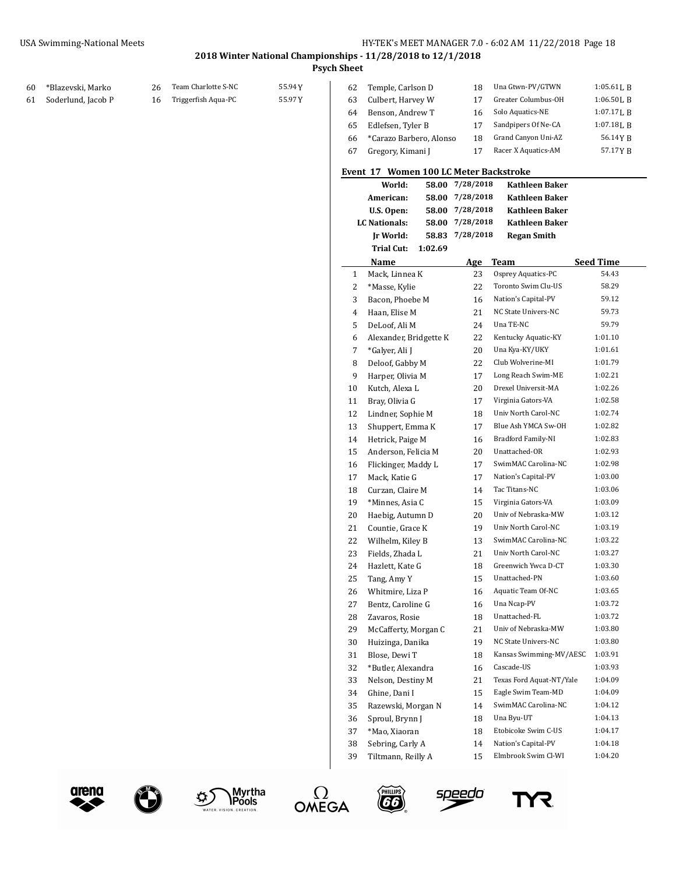**Psych Sheet**

 $\overline{\phantom{a}}$ 

| 60 | *Blazevski, Marko     |    | Team Charlotte S-NC | 55.94 Y |
|----|-----------------------|----|---------------------|---------|
|    | 61 Soderlund, Jacob P | 16 | Triggerfish Aqua-PC | 55.97 Y |

|                         |                   |                     | $1:05.61$ J, R   |
|-------------------------|-------------------|---------------------|------------------|
|                         |                   |                     |                  |
| Culbert, Harvey W       | 17                | Greater Columbus-OH | $1:06.50$ J, B   |
| Benson, Andrew T        | 16                | Solo Aquatics-NE    | $1:07.17$ J. R   |
| Edlefsen, Tyler B       | 17                | Sandpipers Of Ne-CA | $1:07.18$ J. R   |
| *Carazo Barbero, Alonso | 18                | Grand Canyon Uni-AZ | 56.14YB          |
| Gregory, Kimani J       |                   | Racer X Aquatics-AM | 57.17YR          |
|                         | Temple, Carlson D | 18                  | Una Gtwn-PV/GTWN |

### **Event 17 Women 100 LC Meter Backstroke**

|              | World:                 | 58.00   | 7/28/2018 | Kathleen Baker           |           |
|--------------|------------------------|---------|-----------|--------------------------|-----------|
|              | American:              | 58.00   | 7/28/2018 | <b>Kathleen Baker</b>    |           |
|              | U.S. Open:             | 58.00   | 7/28/2018 | <b>Kathleen Baker</b>    |           |
|              | <b>LC Nationals:</b>   | 58.00   | 7/28/2018 | Kathleen Baker           |           |
|              | Ir World:              | 58.83   | 7/28/2018 | <b>Regan Smith</b>       |           |
|              | <b>Trial Cut:</b>      | 1:02.69 |           |                          |           |
|              | Name                   |         | Age       | <b>Team</b>              | Seed Time |
| $\mathbf{1}$ | Mack, Linnea K         |         | 23        | Osprey Aquatics-PC       | 54.43     |
| 2            | *Masse, Kylie          |         | 22        | Toronto Swim Clu-US      | 58.29     |
| 3            | Bacon, Phoebe M        |         | 16        | Nation's Capital-PV      | 59.12     |
| 4            | Haan, Elise M          |         | 21        | NC State Univers-NC      | 59.73     |
| 5            | DeLoof, Ali M          |         | 24        | Una TE-NC                | 59.79     |
| 6            | Alexander, Bridgette K |         | 22        | Kentucky Aquatic-KY      | 1:01.10   |
| 7            | *Galyer, Ali J         |         | 20        | Una Kya-KY/UKY           | 1:01.61   |
| 8            | Deloof, Gabby M        |         | 22        | Club Wolverine-MI        | 1:01.79   |
| 9            | Harper, Olivia M       |         | 17        | Long Reach Swim-ME       | 1:02.21   |
| 10           | Kutch, Alexa L         |         | 20        | Drexel Universit-MA      | 1:02.26   |
| 11           | Bray, Olivia G         |         | 17        | Virginia Gators-VA       | 1:02.58   |
| 12           | Lindner, Sophie M      |         | 18        | Univ North Carol-NC      | 1:02.74   |
| 13           | Shuppert, Emma K       |         | 17        | Blue Ash YMCA Sw-OH      | 1:02.82   |
| 14           | Hetrick, Paige M       |         | 16        | Bradford Family-NI       | 1:02.83   |
| 15           | Anderson, Felicia M    |         | 20        | Unattached-OR            | 1:02.93   |
| 16           | Flickinger, Maddy L    |         | 17        | SwimMAC Carolina-NC      | 1:02.98   |
| 17           | Mack. Katie G          |         | 17        | Nation's Capital-PV      | 1:03.00   |
| 18           | Curzan, Claire M       |         | 14        | Tac Titans-NC            | 1:03.06   |
| 19           | *Minnes, Asia C        |         | 15        | Virginia Gators-VA       | 1:03.09   |
| 20           | Haebig, Autumn D       |         | 20        | Univ of Nebraska-MW      | 1:03.12   |
| 21           | Countie, Grace K       |         | 19        | Univ North Carol-NC      | 1:03.19   |
| 22           | Wilhelm, Kiley B       |         | 13        | SwimMAC Carolina-NC      | 1:03.22   |
| 23           | Fields, Zhada L        |         | 21        | Univ North Carol-NC      | 1:03.27   |
| 24           | Hazlett, Kate G        |         | 18        | Greenwich Ywca D-CT      | 1:03.30   |
| 25           | Tang, Amy Y            |         | 15        | Unattached-PN            | 1:03.60   |
| 26           | Whitmire, Liza P       |         | 16        | Aquatic Team Of-NC       | 1:03.65   |
| 27           | Bentz, Caroline G      |         | 16        | Una Ncap-PV              | 1:03.72   |
| 28           | Zavaros, Rosie         |         | 18        | Unattached-FL            | 1:03.72   |
| 29           | McCafferty, Morgan C   |         | 21        | Univ of Nebraska-MW      | 1:03.80   |
| 30           | Huizinga, Danika       |         | 19        | NC State Univers-NC      | 1:03.80   |
| 31           | Blose, Dewi T          |         | 18        | Kansas Swimming-MV/AESC  | 1:03.91   |
| 32           | *Butler, Alexandra     |         | 16        | Cascade-US               | 1:03.93   |
| 33           | Nelson, Destiny M      |         | 21        | Texas Ford Aquat-NT/Yale | 1:04.09   |
| 34           | Ghine, Dani I          |         | 15        | Eagle Swim Team-MD       | 1:04.09   |
| 35           | Razewski, Morgan N     |         | 14        | SwimMAC Carolina-NC      | 1:04.12   |
| 36           | Sproul, Brynn J        |         | 18        | Una Byu-UT               | 1:04.13   |
| 37           | *Mao, Xiaoran          |         | 18        | Etobicoke Swim C-US      | 1:04.17   |
| 38           | Sebring, Carly A       |         | 14        | Nation's Capital-PV      | 1:04.18   |
| 39           | Tiltmann, Reilly A     |         | 15        | Elmbrook Swim Cl-WI      | 1:04.20   |

**OMEGA** 

o)









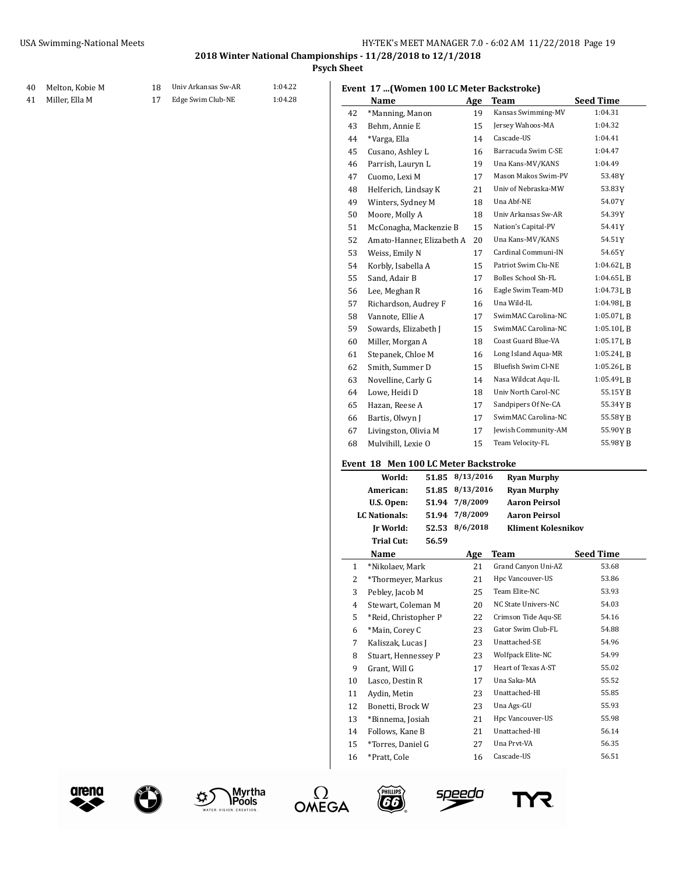**Psych Sheet**

| 40 | Melton, Kobie M | 18 Univ Arkansas Sw-AR | 1:04.22 |
|----|-----------------|------------------------|---------|
|    |                 |                        |         |

41 Miller, Ella M 17 Edge Swim Club-NE 1:04.28

|    | Lietu 17  (WOMEN 100 LC MEter Daenströne) |       |                 |                            |                  |
|----|-------------------------------------------|-------|-----------------|----------------------------|------------------|
|    | Name                                      |       | Age             | Team                       | <b>Seed Time</b> |
| 42 | *Manning, Manon                           |       | 19              | Kansas Swimming-MV         | 1:04.31          |
| 43 | Behm, Annie E                             |       | 15              | Jersey Wahoos-MA           | 1:04.32          |
| 44 | *Varga, Ella                              |       | 14              | Cascade-US                 | 1:04.41          |
| 45 | Cusano, Ashley L                          |       | 16              | Barracuda Swim C-SE        | 1:04.47          |
| 46 | Parrish, Lauryn L                         |       | 19              | Una Kans-MV/KANS           | 1:04.49          |
| 47 | Cuomo, Lexi M                             |       | 17              | Mason Makos Swim-PV        | 53.48Y           |
| 48 | Helferich, Lindsay K                      |       | 21              | Univ of Nebraska-MW        | 53.83Y           |
| 49 | Winters, Sydney M                         |       | 18              | Una Abf-NE                 | 54.07Y           |
| 50 | Moore, Molly A                            |       | 18              | Univ Arkansas Sw-AR        | 54.39Y           |
| 51 | McConagha, Mackenzie B                    |       | 15              | Nation's Capital-PV        | 54.41Y           |
| 52 | Amato-Hanner, Elizabeth A                 |       | 20              | Una Kans-MV/KANS           | 54.51Y           |
| 53 | Weiss, Emily N                            |       | 17              | Cardinal Communi-IN        | 54.65Y           |
| 54 | Korbly, Isabella A                        |       | 15              | Patriot Swim Clu-NE        | 1:04.62 L B      |
| 55 | Sand, Adair B                             |       | 17              | <b>Bolles School Sh-FL</b> | 1:04.65 L B      |
| 56 | Lee, Meghan R                             |       | 16              | Eagle Swim Team-MD         | $1:04.73$ J, B   |
| 57 | Richardson, Audrey F                      |       | 16              | Una Wild-IL                | 1:04.98LB        |
| 58 | Vannote, Ellie A                          |       | 17              | SwimMAC Carolina-NC        | 1:05.07LB        |
| 59 | Sowards, Elizabeth J                      |       | 15              | SwimMAC Carolina-NC        | $1:05.10$ J, B   |
| 60 | Miller, Morgan A                          |       | 18              | Coast Guard Blue-VA        | 1:05.17LB        |
| 61 | Stepanek, Chloe M                         |       | 16              | Long Island Aqua-MR        | 1:05.24L B       |
| 62 | Smith, Summer D                           |       | 15              | Bluefish Swim Cl-NE        | 1:05.26LB        |
| 63 | Novelline, Carly G                        |       | 14              | Nasa Wildcat Aqu-IL        | 1:05.49LB        |
| 64 | Lowe, Heidi D                             |       | 18              | Univ North Carol-NC        | 55.15YB          |
| 65 | Hazan, Reese A                            |       | 17              | Sandpipers Of Ne-CA        | 55.34YB          |
| 66 | Bartis, Olwyn J                           |       | 17              | SwimMAC Carolina-NC        | 55.58YB          |
| 67 | Livingston, Olivia M                      |       | 17              | Jewish Community-AM        | 55.90YB          |
| 68 | Mulvihill, Lexie O                        |       | 15              | Team Velocity-FL           | 55.98YB          |
|    |                                           |       |                 |                            |                  |
|    | Event  18   Men 100 LC Meter Backstroke   |       |                 |                            |                  |
|    | World:                                    |       | 51.85 8/13/2016 | <b>Ryan Murphy</b>         |                  |
|    | American:                                 |       | 51.85 8/13/2016 | <b>Ryan Murphy</b>         |                  |
|    | U.S. Open:                                |       | 51.94 7/8/2009  | <b>Aaron Peirsol</b>       |                  |
|    | <b>LC</b> Nationals:                      | 51.94 | 7/8/2009        | <b>Aaron Peirsol</b>       |                  |
|    | Jr World:                                 | 52.53 | 8/6/2018        | <b>Kliment Kolesnikov</b>  |                  |
|    | Trial Cut:                                | 56.59 |                 |                            |                  |
|    | Name                                      |       | <u>Age</u>      | Team                       | <b>Seed Time</b> |
| 1  | *Nikolaev, Mark                           |       | 21              | Grand Canyon Uni-AZ        | 53.68            |
| 2  | *Thormeyer, Markus                        |       | 21              | Hpc Vancouver-US           | 53.86            |
| 3  | Pebley, Jacob M                           |       | 25              | Team Elite-NC              | 53.93            |
| 4  | Stewart, Coleman M                        |       | 20              | NC State Univers-NC        | 54.03            |
| 5  | *Reid, Christopher P                      |       | 22              | Crimson Tide Aqu-SE        | 54.16            |
| 6  | *Main, Corey C                            |       | 23              | Gator Swim Club-FL         | 54.88            |
| 7  | Kaliszak, Lucas J                         |       | 23              | Unattached-SE              | 54.96            |
| 8  | Stuart, Hennessey P                       |       | 23              | Wolfpack Elite-NC          | 54.99            |

9 Grant, Will G 17 Heart of Texas A-ST 55.02 10 Lasco, Destin R 17 Una Saka-MA 55.52 Aydin, Metin 23 Unattached-HI 55.85 Bonetti, Brock W 23 Una Ags-GU 55.93 \*Binnema, Josiah 21 Hpc Vancouver-US 55.98 14 Follows, Kane B 21 Unattached-HI 56.14 \*Torres, Daniel G 27 Una Prvt-VA 56.35 16 \*Pratt, Cole 16 Cascade-US 56.51

arena









PHILLIPS

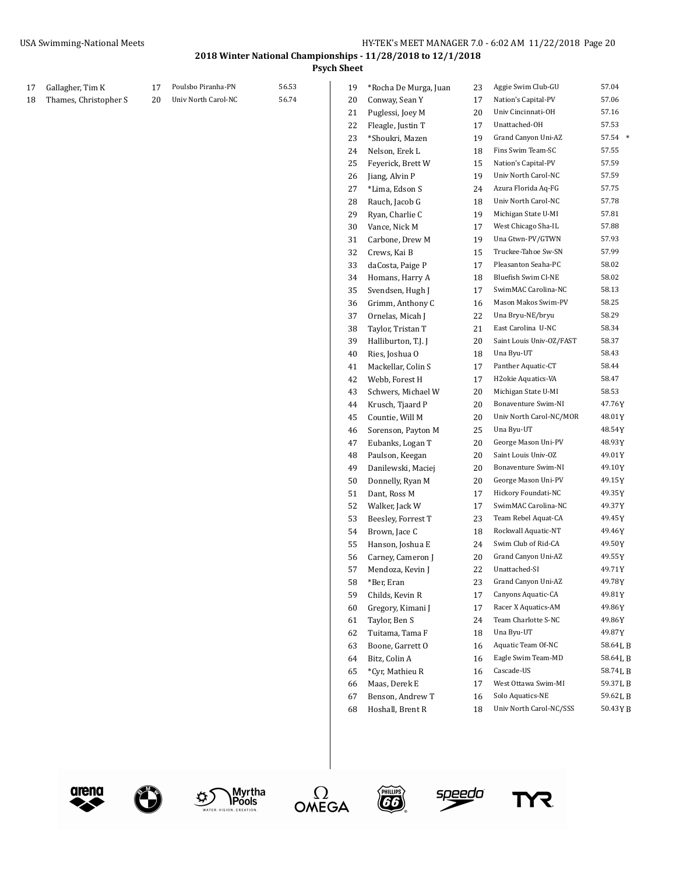**Psych Sheet**

| 17 | Gallagher, Tim K      | 17 | Poulsbo Piranha-PN  | 56.53 | 19 | *Rocha De Murga, Juan | 23 | Aggie Swim Club-GU       | 57.04     |
|----|-----------------------|----|---------------------|-------|----|-----------------------|----|--------------------------|-----------|
| 18 | Thames, Christopher S | 20 | Univ North Carol-NC | 56.74 | 20 | Conway, Sean Y        | 17 | Nation's Capital-PV      | 57.06     |
|    |                       |    |                     |       | 21 | Puglessi, Joey M      | 20 | Univ Cincinnati-OH       | 57.16     |
|    |                       |    |                     |       | 22 | Fleagle, Justin T     | 17 | Unattached-OH            | 57.53     |
|    |                       |    |                     |       | 23 | *Shoukri, Mazen       | 19 | Grand Canyon Uni-AZ      | 57.54 *   |
|    |                       |    |                     |       | 24 | Nelson, Erek L        | 18 | Fins Swim Team-SC        | 57.55     |
|    |                       |    |                     |       | 25 | Feyerick, Brett W     | 15 | Nation's Capital-PV      | 57.59     |
|    |                       |    |                     |       | 26 | Jiang, Alvin P        | 19 | Univ North Carol-NC      | 57.59     |
|    |                       |    |                     |       | 27 | *Lima, Edson S        | 24 | Azura Florida Aq-FG      | 57.75     |
|    |                       |    |                     |       | 28 | Rauch, Jacob G        | 18 | Univ North Carol-NC      | 57.78     |
|    |                       |    |                     |       | 29 | Ryan, Charlie C       | 19 | Michigan State U-MI      | 57.81     |
|    |                       |    |                     |       | 30 | Vance, Nick M         | 17 | West Chicago Sha-IL      | 57.88     |
|    |                       |    |                     |       | 31 | Carbone, Drew M       | 19 | Una Gtwn-PV/GTWN         | 57.93     |
|    |                       |    |                     |       | 32 | Crews, Kai B          | 15 | Truckee-Tahoe Sw-SN      | 57.99     |
|    |                       |    |                     |       | 33 | daCosta, Paige P      | 17 | Pleasanton Seaha-PC      | 58.02     |
|    |                       |    |                     |       | 34 | Homans, Harry A       | 18 | Bluefish Swim Cl-NE      | 58.02     |
|    |                       |    |                     |       | 35 | Svendsen, Hugh J      | 17 | SwimMAC Carolina-NC      | 58.13     |
|    |                       |    |                     |       | 36 | Grimm, Anthony C      | 16 | Mason Makos Swim-PV      | 58.25     |
|    |                       |    |                     |       | 37 | Ornelas, Micah J      | 22 | Una Bryu-NE/bryu         | 58.29     |
|    |                       |    |                     |       | 38 | Taylor, Tristan T     | 21 | East Carolina U-NC       | 58.34     |
|    |                       |    |                     |       | 39 | Halliburton, T.J. J   | 20 | Saint Louis Univ-OZ/FAST | 58.37     |
|    |                       |    |                     |       | 40 | Ries, Joshua O        | 18 | Una Byu-UT               | 58.43     |
|    |                       |    |                     |       | 41 | Mackellar, Colin S    | 17 | Panther Aquatic-CT       | 58.44     |
|    |                       |    |                     |       | 42 | Webb, Forest H        | 17 | H2okie Aquatics-VA       | 58.47     |
|    |                       |    |                     |       | 43 | Schwers, Michael W    | 20 | Michigan State U-MI      | 58.53     |
|    |                       |    |                     |       | 44 | Krusch, Tjaard P      | 20 | Bonaventure Swim-NI      | 47.76Y    |
|    |                       |    |                     |       | 45 | Countie, Will M       | 20 | Univ North Carol-NC/MOR  | 48.01 Y   |
|    |                       |    |                     |       | 46 | Sorenson, Payton M    | 25 | Una Byu-UT               | 48.54Y    |
|    |                       |    |                     |       | 47 | Eubanks, Logan T      | 20 | George Mason Uni-PV      | 48.93Y    |
|    |                       |    |                     |       | 48 | Paulson, Keegan       | 20 | Saint Louis Univ-OZ      | 49.01Y    |
|    |                       |    |                     |       | 49 | Danilewski, Maciej    | 20 | Bonaventure Swim-NI      | 49.10Y    |
|    |                       |    |                     |       | 50 | Donnelly, Ryan M      | 20 | George Mason Uni-PV      | 49.15Y    |
|    |                       |    |                     |       | 51 | Dant, Ross M          | 17 | Hickory Foundati-NC      | 49.35Y    |
|    |                       |    |                     |       | 52 | Walker, Jack W        | 17 | SwimMAC Carolina-NC      | 49.37Y    |
|    |                       |    |                     |       | 53 | Beesley, Forrest T    | 23 | Team Rebel Aquat-CA      | 49.45Y    |
|    |                       |    |                     |       | 54 | Brown, Jace C         | 18 | Rockwall Aquatic-NT      | 49.46 Y   |
|    |                       |    |                     |       | 55 | Hanson, Joshua E      | 24 | Swim Club of Rid-CA      | 49.50 Y   |
|    |                       |    |                     |       | 56 | Carney, Cameron J     | 20 | Grand Canyon Uni-AZ      | 49.55Y    |
|    |                       |    |                     |       | 57 | Mendoza, Kevin J      | 22 | Unattached-SI            | 49.71Y    |
|    |                       |    |                     |       | 58 | *Ber, Eran            | 23 | Grand Canyon Uni-AZ      | 49.78Y    |
|    |                       |    |                     |       | 59 | Childs, Kevin R       | 17 | Canyons Aquatic-CA       | 49.81Y    |
|    |                       |    |                     |       | 60 | Gregory, Kimani J     | 17 | Racer X Aquatics-AM      | 49.86Y    |
|    |                       |    |                     |       | 61 | Taylor, Ben S         | 24 | Team Charlotte S-NC      | 49.86Y    |
|    |                       |    |                     |       | 62 | Tuitama, Tama F       | 18 | Una Byu-UT               | 49.87Y    |
|    |                       |    |                     |       | 63 | Boone, Garrett O      | 16 | Aquatic Team Of-NC       | 58.64LB   |
|    |                       |    |                     |       | 64 | Bitz, Colin A         | 16 | Eagle Swim Team-MD       | 58.64LB   |
|    |                       |    |                     |       | 65 | *Cyr, Mathieu R       | 16 | Cascade-US               | 58.74LB   |
|    |                       |    |                     |       | 66 | Maas, Derek E         | 17 | West Ottawa Swim-MI      | 59.37 L B |
|    |                       |    |                     |       | 67 | Benson, Andrew T      | 16 | Solo Aquatics-NE         | 59.62 L B |
|    |                       |    |                     |       | 68 | Hoshall, Brent R      | 18 | Univ North Carol-NC/SSS  | 50.43YB   |
|    |                       |    |                     |       |    |                       |    |                          |           |









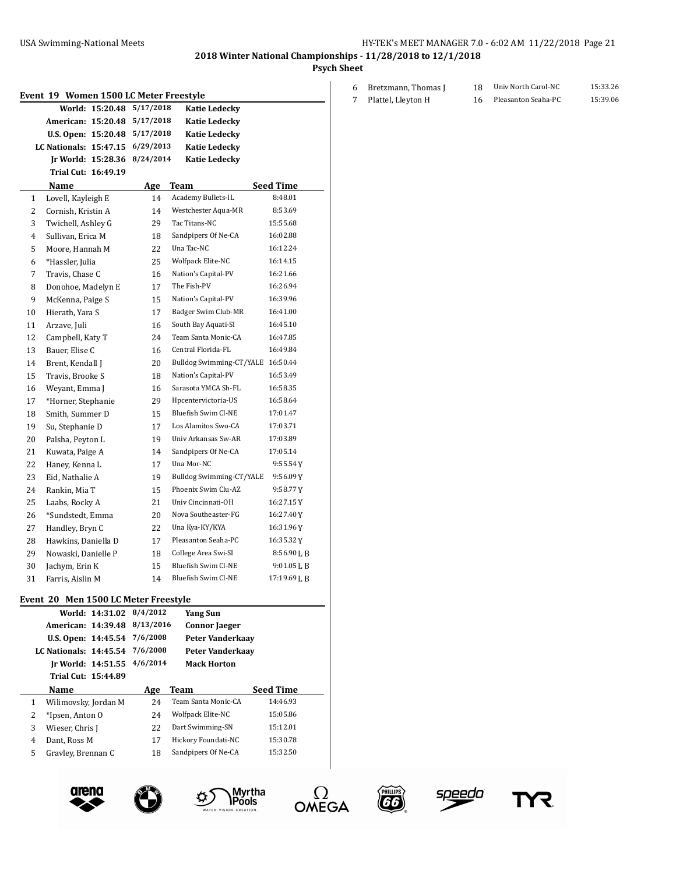**Psych Sheet**

|          | Event 19 Women 1500 LC Meter Freestyle |                 |           |                                            |                      |
|----------|----------------------------------------|-----------------|-----------|--------------------------------------------|----------------------|
|          |                                        | World: 15:20.48 | 5/17/2018 | <b>Katie Ledecky</b>                       |                      |
|          | American: 15:20.48                     |                 | 5/17/2018 | <b>Katie Ledecky</b>                       |                      |
|          | U.S. Open: 15:20.48                    |                 | 5/17/2018 | <b>Katie Ledecky</b>                       |                      |
|          | LC Nationals: 15:47.15                 |                 | 6/29/2013 | <b>Katie Ledecky</b>                       |                      |
|          | Jr World: 15:28.36                     |                 | 8/24/2014 | <b>Katie Ledecky</b>                       |                      |
|          | Trial Cut: 16:49.19                    |                 |           |                                            |                      |
|          | Name                                   |                 | Age       | Team                                       | Seed Time            |
| 1        | Lovell, Kayleigh E                     |                 | 14        | Academy Bullets-IL                         | 8:48.01              |
| 2        | Cornish, Kristin A                     |                 | 14        | Westchester Aqua-MR                        | 8:53.69              |
| 3        | Twichell, Ashley G                     |                 | 29        | Tac Titans-NC                              | 15:55.68             |
| 4        | Sullivan, Erica M                      |                 | 18        | Sandpipers Of Ne-CA                        | 16:02.88             |
| 5        | Moore, Hannah M                        |                 | 22        | Una Tac-NC                                 | 16:12.24             |
| 6        | *Hassler, Julia                        |                 | 25        | Wolfpack Elite-NC                          | 16:14.15             |
| 7        | Travis, Chase C                        |                 | 16        | Nation's Capital-PV                        | 16:21.66             |
| 8        | Donohoe, Madelyn E                     |                 | 17        | The Fish-PV                                | 16:26.94             |
| 9        | McKenna, Paige S                       |                 | 15        | Nation's Capital-PV                        | 16:39.96             |
| 10       | Hierath, Yara S                        |                 | 17        | Badger Swim Club-MR                        | 16:41.00             |
| 11       | Arzave, Juli                           |                 | 16        | South Bay Aquati-SI                        | 16:45.10             |
| 12       | Campbell, Katy T                       |                 | 24        | Team Santa Monic-CA                        | 16:47.85             |
| 13       | Bauer, Elise C                         |                 | 16        | Central Florida-FL                         | 16:49.84             |
| 14       | Brent, Kendall J                       |                 | 20        | Bulldog Swimming-CT/YALE 16:50.44          |                      |
| 15       | Travis, Brooke S                       |                 | 18        | Nation's Capital-PV                        | 16:53.49             |
| 16       | Weyant, Emma J                         |                 | 16        | Sarasota YMCA Sh-FL                        | 16:58.35<br>16:58.64 |
| 17       | *Horner, Stephanie                     |                 | 29        | Hpcentervictoria-US<br>Bluefish Swim Cl-NE | 17:01.47             |
| 18       | Smith, Summer D                        |                 | 15        | Los Alamitos Swo-CA                        | 17:03.71             |
| 19       | Su, Stephanie D                        |                 | 17        | Univ Arkansas Sw-AR                        | 17:03.89             |
| 20<br>21 | Palsha, Peyton L                       |                 | 19<br>14  | Sandpipers Of Ne-CA                        | 17:05.14             |
| 22       | Kuwata, Paige A<br>Haney, Kenna L      |                 | 17        | Una Mor-NC                                 | 9:55.54Y             |
| 23       | Eid, Nathalie A                        |                 | 19        | Bulldog Swimming-CT/YALE                   | 9:56.09Y             |
| 24       | Rankin, Mia T                          |                 | 15        | Phoenix Swim Clu-AZ                        | 9:58.77Y             |
| 25       | Laabs, Rocky A                         |                 | 21        | Univ Cincinnati-OH                         | 16:27.15Y            |
| 26       | *Sundstedt. Emma                       |                 | 20        | Nova Southeaster-FG                        | 16:27.40Y            |
| 27       | Handley, Bryn C                        |                 | 22        | Una Kya-KY/KYA                             | 16:31.96Y            |
| 28       | Hawkins, Daniella D                    |                 | 17        | Pleasanton Seaha-PC                        | 16:35.32Y            |
| 29       | Nowaski, Danielle P                    |                 | 18        | College Area Swi-SI                        | $8:56.90$ J, B       |
| 30       | Jachym, Erin K                         |                 | 15        | Bluefish Swim Cl-NE                        | 9:01.05LB            |
| 31       | Farris, Aislin M                       |                 | 14        | Bluefish Swim Cl-NE                        | 17:19.69 L B         |
|          |                                        |                 |           |                                            |                      |
|          | Event 20 Men 1500 LC Meter Freestyle   | World: 14:31.02 | 8/4/2012  | <b>Yang Sun</b>                            |                      |
|          | American: 14:39.48                     |                 | 8/13/2016 | <b>Connor Jaeger</b>                       |                      |
|          | U.S. Open: 14:45.54                    |                 | 7/6/2008  | <b>Peter Vanderkaav</b>                    |                      |
|          | <b>LC Nationals: 14:45.54</b>          |                 | 7/6/2008  | Peter Vanderkaay                           |                      |
|          | Jr World: 14:51.55                     |                 | 4/6/2014  | <b>Mack Horton</b>                         |                      |
|          | Trial Cut: 15:44.89                    |                 |           |                                            |                      |
|          | Name                                   |                 | Age       | <b>Team</b>                                | <b>Seed Time</b>     |
| 1        | Wilimovsky, Jordan M                   |                 | 24        | Team Santa Monic-CA                        | 14:46.93             |
| 2        | *Ipsen, Anton O                        |                 | 24        | Wolfpack Elite-NC                          | 15:05.86             |
| 3        | Wieser, Chris J                        |                 | 22        | Dart Swimming-SN                           | 15:12.01             |
|          |                                        |                 |           | Hickory Foundati-NC                        | 15:30.78             |
| 4        | Dant, Ross M                           |                 | 17        |                                            |                      |









(iii)



6 Bretzmann, Thomas J 18 Univ North Carol-NC 15:33.26 Plattel, Lleyton H 16 Pleasanton Seaha-PC 15:39.06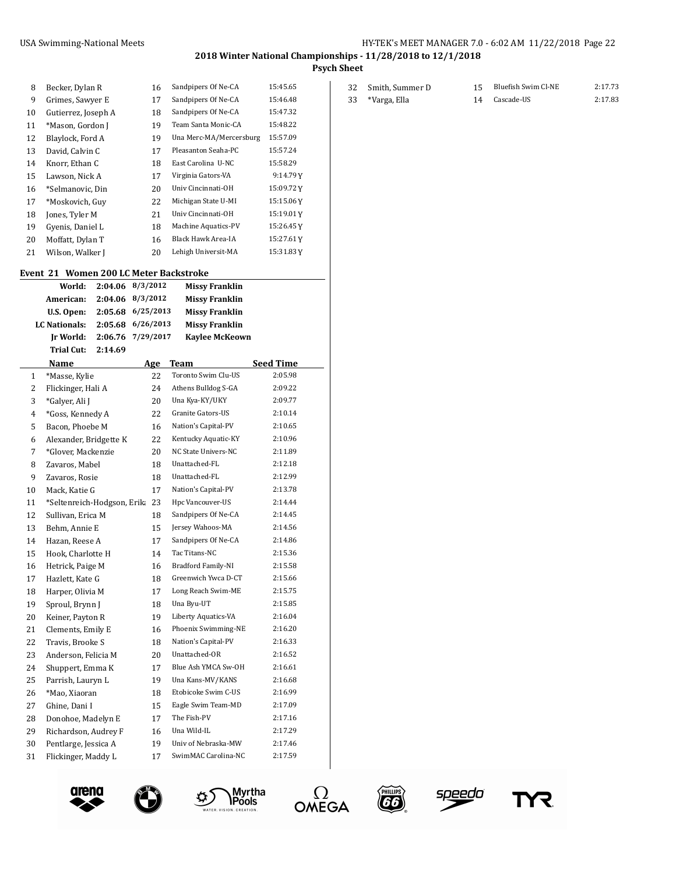Smith, Summer D 15 Bluefish Swim Cl-NE 2:17.73

**2018 Winter National Championships - 11/28/2018 to 12/1/2018**

**Psych Sheet**

| 8  | Becker, Dylan R     | 16 | Sandpipers Of Ne-CA     | 15:45.65  |
|----|---------------------|----|-------------------------|-----------|
| 9  | Grimes, Sawyer E    | 17 | Sandpipers Of Ne-CA     | 15:46.48  |
| 10 | Gutierrez, Joseph A | 18 | Sandpipers Of Ne-CA     | 15:47.32  |
| 11 | *Mason, Gordon J    | 19 | Team Santa Monic-CA     | 15:48.22  |
| 12 | Blaylock, Ford A    | 19 | Una Merc-MA/Mercersburg | 15:57.09  |
| 13 | David, Calvin C     | 17 | Pleasanton Seaha-PC     | 15:57.24  |
| 14 | Knorr, Ethan C      | 18 | East Carolina U-NC      | 15:58.29  |
| 15 | Lawson, Nick A      | 17 | Virginia Gators-VA      | 9:14.79Y  |
| 16 | *Selmanovic, Din    | 20 | Univ Cincinnati-OH      | 15:09.72Y |
| 17 | *Moskovich, Guy     | 22 | Michigan State U-MI     | 15:15.06Y |
| 18 | Jones, Tyler M      | 21 | Univ Cincinnati-OH      | 15:19.01Y |
| 19 | Gyenis, Daniel L    | 18 | Machine Aquatics-PV     | 15:26.45Y |
| 20 | Moffatt, Dylan T    | 16 | Black Hawk Area-IA      | 15:27.61Y |
| 21 | Wilson, Walker J    | 20 | Lehigh Universit-MA     | 15:31.83Y |
|    |                     |    |                         |           |

#### **Event 21 Women 200 LC Meter Backstroke**

 $\overline{a}$ 

|                | World:                         | 2:04.06 | 8/3/2012  |    | <b>Missy Franklin</b> |                  |
|----------------|--------------------------------|---------|-----------|----|-----------------------|------------------|
|                | American:                      | 2:04.06 | 8/3/2012  |    | <b>Missy Franklin</b> |                  |
|                | U.S. Open:                     | 2:05.68 | 6/25/2013 |    | <b>Missy Franklin</b> |                  |
|                | <b>LC</b> Nationals:           | 2:05.68 | 6/26/2013 |    | <b>Missy Franklin</b> |                  |
|                | Ir World:                      | 2:06.76 | 7/29/2017 |    | <b>Kaylee McKeown</b> |                  |
|                | Trial Cut:                     | 2:14.69 |           |    |                       |                  |
|                | Name                           |         | Age       |    | Team                  | <b>Seed Time</b> |
| $\mathbf{1}$   | *Masse, Kylie                  |         |           | 22 | Toronto Swim Clu-US   | 2:05.98          |
| $\overline{2}$ | Flickinger, Hali A             |         |           | 24 | Athens Bulldog S-GA   | 2:09.22          |
| 3              | *Galyer, Ali J                 |         |           | 20 | Una Kya-KY/UKY        | 2:09.77          |
| 4              | *Goss, Kennedy A               |         |           | 22 | Granite Gators-US     | 2:10.14          |
| 5              | Bacon, Phoebe M                |         |           | 16 | Nation's Capital-PV   | 2:10.65          |
| 6              | Alexander, Bridgette K         |         |           | 22 | Kentucky Aquatic-KY   | 2:10.96          |
| 7              | *Glover, Mackenzie             |         |           | 20 | NC State Univers-NC   | 2:11.89          |
| 8              | Zavaros, Mabel                 |         |           | 18 | Unattached-FL         | 2:12.18          |
| 9              | Zavaros, Rosie                 |         |           | 18 | Unattached-FL         | 2:12.99          |
| 10             | Mack, Katie G                  |         |           | 17 | Nation's Capital-PV   | 2:13.78          |
| 11             | *Seltenreich-Hodgson, Erik: 23 |         |           |    | Hpc Vancouver-US      | 2:14.44          |
| 12             | Sullivan, Erica M              |         |           | 18 | Sandpipers Of Ne-CA   | 2:14.45          |
| 13             | Behm, Annie E                  |         |           | 15 | Jersey Wahoos-MA      | 2:14.56          |
| 14             | Hazan, Reese A                 |         |           | 17 | Sandpipers Of Ne-CA   | 2:14.86          |
| 15             | Hook, Charlotte H              |         |           | 14 | Tac Titans-NC         | 2:15.36          |
| 16             | Hetrick, Paige M               |         |           | 16 | Bradford Family-NI    | 2:15.58          |
| 17             | Hazlett, Kate G                |         |           | 18 | Greenwich Ywca D-CT   | 2:15.66          |
| 18             | Harper, Olivia M               |         |           | 17 | Long Reach Swim-ME    | 2:15.75          |
| 19             | Sproul, Brynn J                |         |           | 18 | Una Byu-UT            | 2:15.85          |
| 20             | Keiner, Payton R               |         |           | 19 | Liberty Aquatics-VA   | 2:16.04          |
| 21             | Clements, Emily E              |         |           | 16 | Phoenix Swimming-NE   | 2:16.20          |
| 22             | Travis, Brooke S               |         |           | 18 | Nation's Capital-PV   | 2:16.33          |
| 23             | Anderson, Felicia M            |         |           | 20 | Unattached-OR         | 2:16.52          |
| 24             | Shuppert, Emma K               |         |           | 17 | Blue Ash YMCA Sw-OH   | 2:16.61          |
| 25             | Parrish, Lauryn L              |         |           | 19 | Una Kans-MV/KANS      | 2:16.68          |
| 26             | *Mao, Xiaoran                  |         |           | 18 | Etobicoke Swim C-US   | 2:16.99          |
| 27             | Ghine. Dani I                  |         |           | 15 | Eagle Swim Team-MD    | 2:17.09          |
| 28             | Donohoe, Madelyn E             |         |           | 17 | The Fish-PV           | 2:17.16          |
| 29             | Richardson, Audrey F           |         |           | 16 | Una Wild-IL           | 2:17.29          |
| 30             | Pentlarge, Jessica A           |         |           | 19 | Univ of Nebraska-MW   | 2:17.46          |
| 31             | Flickinger, Maddy L            |         |           | 17 | SwimMAC Carolina-NC   | 2:17.59          |











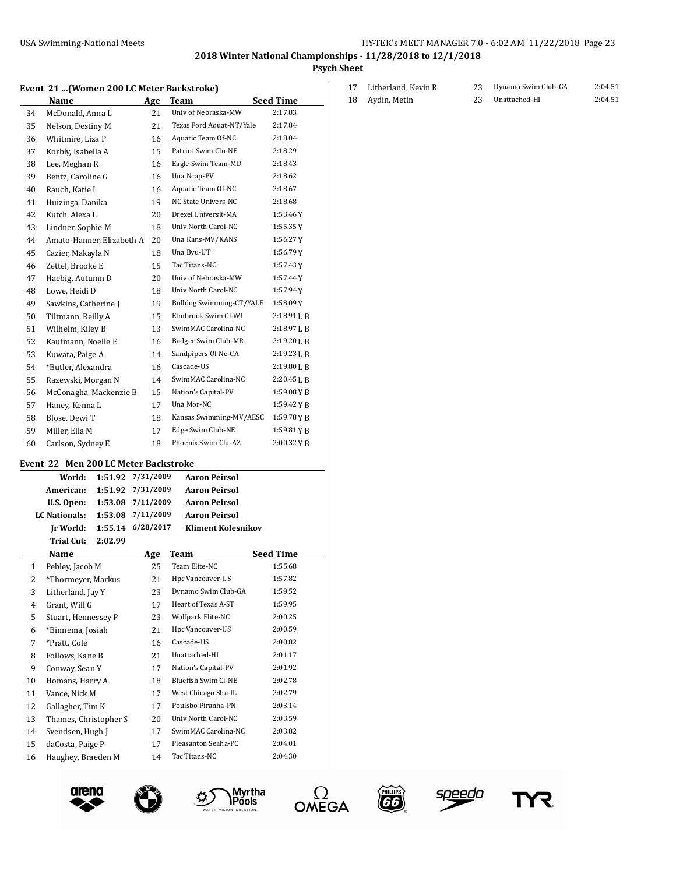Litherland, Kevin R 23 Dynamo Swim Club-GA 2:04.51 Aydin, Metin 23 Unattached-HI 2:04.51

**2018 Winter National Championships - 11/28/2018 to 12/1/2018**

**Psych Sheet**

#### **Event 21 ...(Women 200 LC Meter Backstroke)**

|    | Name                      | Age | <b>Team</b>              | <b>Seed Time</b> |
|----|---------------------------|-----|--------------------------|------------------|
| 34 | McDonald, Anna L          | 21  | Univ of Nebraska-MW      | 2:17.83          |
| 35 | Nelson, Destiny M         | 21  | Texas Ford Aquat-NT/Yale | 2:17.84          |
| 36 | Whitmire, Liza P          | 16  | Aquatic Team Of-NC       | 2:18.04          |
| 37 | Korbly, Isabella A        | 15  | Patriot Swim Clu-NE      | 2:18.29          |
| 38 | Lee, Meghan R             | 16  | Eagle Swim Team-MD       | 2:18.43          |
| 39 | Bentz, Caroline G         | 16  | Una Ncap-PV              | 2:18.62          |
| 40 | Rauch, Katie I            | 16  | Aquatic Team Of-NC       | 2:18.67          |
| 41 | Huizinga, Danika          | 19  | NC State Univers-NC      | 2:18.68          |
| 42 | Kutch, Alexa L            | 20  | Drexel Universit-MA      | 1:53.46Y         |
| 43 | Lindner, Sophie M         | 18  | Univ North Carol-NC      | 1:55.35Y         |
| 44 | Amato-Hanner, Elizabeth A | 20  | Una Kans-MV/KANS         | 1:56.27Y         |
| 45 | Cazier, Makayla N         | 18  | Una Byu-UT               | 1:56.79Y         |
| 46 | Zettel, Brooke E          | 15  | Tac Titans-NC            | 1:57.43Y         |
| 47 | Haebig, Autumn D          | 20  | Univ of Nebraska-MW      | 1:57.44Y         |
| 48 | Lowe, Heidi D             | 18  | Univ North Carol-NC      | 1:57.94Y         |
| 49 | Sawkins, Catherine J      | 19  | Bulldog Swimming-CT/YALE | 1:58.09Y         |
| 50 | Tiltmann, Reilly A        | 15  | Elmbrook Swim Cl-WI      | $2:18.91$ J, B   |
| 51 | Wilhelm, Kiley B          | 13  | SwimMAC Carolina-NC      | $2:18.97$ J, B   |
| 52 | Kaufmann, Noelle E        | 16  | Badger Swim Club-MR      | 2:19.20 L B      |
| 53 | Kuwata, Paige A           | 14  | Sandpipers Of Ne-CA      | 2:19.23L B       |
| 54 | *Butler, Alexandra        | 16  | Cascade-US               | $2:19.80$ J, B   |
| 55 | Razewski, Morgan N        | 14  | SwimMAC Carolina-NC      | 2:20.45 L B      |
| 56 | McConagha, Mackenzie B    | 15  | Nation's Capital-PV      | $1:59.08$ Y B    |
| 57 | Haney, Kenna L            | 17  | Una Mor-NC               | 1:59.42 Y B      |
| 58 | Blose, Dewi T             | 18  | Kansas Swimming-MV/AESC  | 1:59.78YB        |
| 59 | Miller, Ella M            | 17  | Edge Swim Club-NE        | 1:59.81YB        |
| 60 | Carlson, Sydney E         | 18  | Phoenix Swim Clu-AZ      | 2:00.32YB        |

### **Event 22 Men 200 LC Meter Backstroke**

|    | World:                | 1:51.92 | 7/31/2009 | <b>Aaron Peirsol</b>      |                  |
|----|-----------------------|---------|-----------|---------------------------|------------------|
|    | American:             | 1:51.92 | 7/31/2009 | <b>Aaron Peirsol</b>      |                  |
|    | U.S. Open:            | 1:53.08 | 7/11/2009 | <b>Aaron Peirsol</b>      |                  |
|    | <b>LC</b> Nationals:  | 1:53.08 | 7/11/2009 | <b>Aaron Peirsol</b>      |                  |
|    | Jr World:             | 1:55.14 | 6/28/2017 | <b>Kliment Kolesnikov</b> |                  |
|    | <b>Trial Cut:</b>     | 2:02.99 |           |                           |                  |
|    | Name                  |         | Age       | Team                      | <b>Seed Time</b> |
| 1  | Pebley, Jacob M       |         | 25        | Team Elite-NC             | 1:55.68          |
| 2  | *Thormeyer, Markus    |         | 21        | Hpc Vancouver-US          | 1:57.82          |
| 3  | Litherland, Jay Y     |         | 23        | Dynamo Swim Club-GA       | 1:59.52          |
| 4  | Grant, Will G         |         | 17        | Heart of Texas A-ST       | 1:59.95          |
| 5  | Stuart, Hennessey P   |         | 23        | Wolfpack Elite-NC         | 2:00.25          |
| 6  | *Binnema, Josiah      |         | 21        | Hpc Vancouver-US          | 2:00.59          |
| 7  | *Pratt, Cole          |         | 16        | Cascade-US                | 2:00.82          |
| 8  | Follows, Kane B       |         | 21        | Unattached-HI             | 2:01.17          |
| 9  | Conway, Sean Y        |         | 17        | Nation's Capital-PV       | 2:01.92          |
| 10 | Homans, Harry A       |         | 18        | Bluefish Swim Cl-NE       | 2:02.78          |
| 11 | Vance, Nick M         |         | 17        | West Chicago Sha-IL       | 2:02.79          |
| 12 | Gallagher, Tim K      |         | 17        | Poulsbo Piranha-PN        | 2:03.14          |
| 13 | Thames, Christopher S |         | 20        | Univ North Carol-NC       | 2:03.59          |
| 14 | Svendsen, Hugh J      |         | 17        | SwimMAC Carolina-NC       | 2:03.82          |
| 15 | daCosta, Paige P      |         | 17        | Pleasanton Seaha-PC       | 2:04.01          |
| 16 | Haughey, Braeden M    |         | 14        | Tac Titans-NC             | 2:04.30          |













YR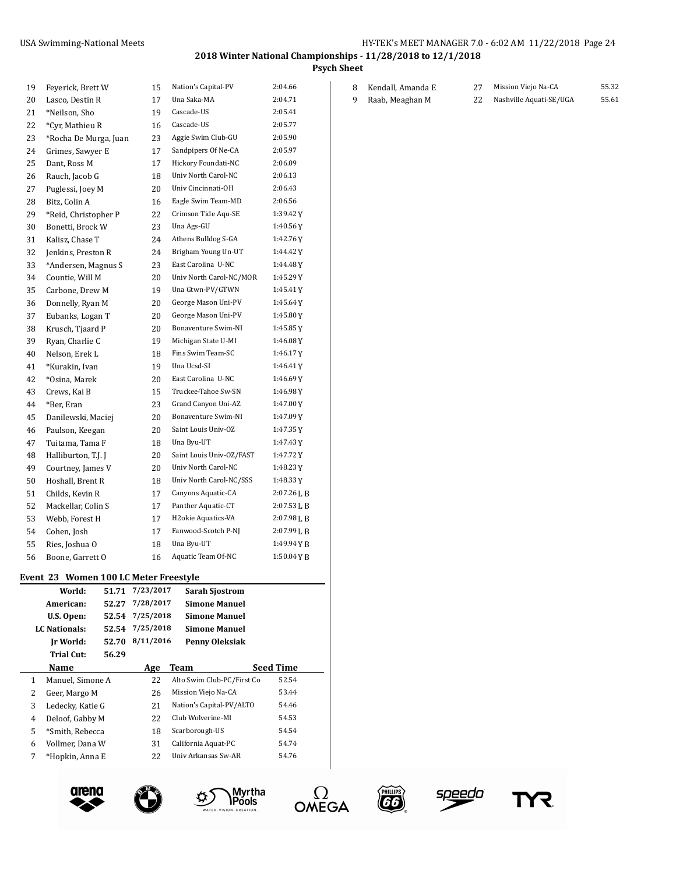**Psych Sheet**

| 19 | Feyerick, Brett W     | 15 | Nation's Capital-PV      | 2:04.66    |
|----|-----------------------|----|--------------------------|------------|
| 20 | Lasco, Destin R       | 17 | Una Saka-MA              | 2:04.71    |
| 21 | *Neilson, Sho         | 19 | Cascade-US               | 2:05.41    |
| 22 | *Cyr, Mathieu R       | 16 | Cascade-US               | 2:05.77    |
| 23 | *Rocha De Murga, Juan | 23 | Aggie Swim Club-GU       | 2:05.90    |
| 24 | Grimes, Sawyer E      | 17 | Sandpipers Of Ne-CA      | 2:05.97    |
| 25 | Dant, Ross M          | 17 | Hickory Foundati-NC      | 2:06.09    |
| 26 | Rauch, Jacob G        | 18 | Univ North Carol-NC      | 2:06.13    |
| 27 | Puglessi, Joey M      | 20 | Univ Cincinnati-OH       | 2:06.43    |
| 28 | Bitz, Colin A         | 16 | Eagle Swim Team-MD       | 2:06.56    |
| 29 | *Reid, Christopher P  | 22 | Crimson Tide Aqu-SE      | 1:39.42Y   |
| 30 | Bonetti, Brock W      | 23 | Una Ags-GU               | 1:40.56Y   |
| 31 | Kalisz. Chase T       | 24 | Athens Bulldog S-GA      | 1:42.76Y   |
| 32 | Jenkins, Preston R    | 24 | Brigham Young Un-UT      | 1:44.42Y   |
| 33 | *Andersen, Magnus S   | 23 | East Carolina U-NC       | 1:44.48Y   |
| 34 | Countie, Will M       | 20 | Univ North Carol-NC/MOR  | 1:45.29Y   |
| 35 | Carbone, Drew M       | 19 | Una Gtwn-PV/GTWN         | 1:45.41Y   |
| 36 | Donnelly, Ryan M      | 20 | George Mason Uni-PV      | 1:45.64Y   |
| 37 | Eubanks, Logan T      | 20 | George Mason Uni-PV      | 1:45.80Y   |
| 38 | Krusch, Tjaard P      | 20 | Bonaventure Swim-NI      | 1:45.85Y   |
| 39 | Ryan, Charlie C       | 19 | Michigan State U-MI      | 1:46.08Y   |
| 40 | Nelson, Erek L        | 18 | Fins Swim Team-SC        | 1:46.17Y   |
| 41 | *Kurakin, Ivan        | 19 | Una Ucsd-SI              | 1:46.41Y   |
| 42 | *Osina, Marek         | 20 | East Carolina U-NC       | 1:46.69Y   |
| 43 | Crews, Kai B          | 15 | Truckee-Tahoe Sw-SN      | 1:46.98Y   |
| 44 | *Ber, Eran            | 23 | Grand Canyon Uni-AZ      | 1:47.00Y   |
| 45 | Danilewski, Maciej    | 20 | Bonaventure Swim-NI      | 1:47.09Y   |
| 46 | Paulson, Keegan       | 20 | Saint Louis Univ-OZ      | 1:47.35Y   |
| 47 | Tuitama, Tama F       | 18 | Una Byu-UT               | 1:47.43Y   |
| 48 | Halliburton, T.J. J   | 20 | Saint Louis Univ-OZ/FAST | 1:47.72Y   |
| 49 | Courtney, James V     | 20 | Univ North Carol-NC      | 1:48.23Y   |
| 50 | Hoshall, Brent R      | 18 | Univ North Carol-NC/SSS  | 1:48.33Y   |
| 51 | Childs, Kevin R       | 17 | Canyons Aquatic-CA       | 2:07.26LB  |
| 52 | Mackellar, Colin S    | 17 | Panther Aquatic-CT       | 2:07.53L B |
| 53 | Webb, Forest H        | 17 | H2okie Aquatics-VA       | 2:07.98LB  |
| 54 | Cohen, Josh           | 17 | Fanwood-Scotch P-NJ      | 2:07.99LB  |
| 55 | Ries, Joshua O        | 18 | Una Byu-UT               | 1:49.94YB  |
| 56 | Boone, Garrett O      | 16 | Aquatic Team Of-NC       | 1:50.04YB  |
|    |                       |    |                          |            |

## **Event 23 Women 100 LC Meter Freestyle**

|   | World:           | 51.71 | 7/23/2017 | <b>Sarah Sjostrom</b>      |                  |
|---|------------------|-------|-----------|----------------------------|------------------|
|   | American:        | 52.27 | 7/28/2017 | Simone Manuel              |                  |
|   | U.S. Open:       | 52.54 | 7/25/2018 | Simone Manuel              |                  |
|   | LC Nationals:    | 52.54 | 7/25/2018 | Simone Manuel              |                  |
|   | Ir World:        | 52.70 | 8/11/2016 | Penny Oleksiak             |                  |
|   | Trial Cut:       | 56.29 |           |                            |                  |
|   | Name             |       | Age       | Team                       | <b>Seed Time</b> |
| 1 | Manuel, Simone A |       | 22        | Alto Swim Club-PC/First Co | 52.54            |
| 2 | Geer, Margo M    |       | 26        | Mission Viejo Na-CA        | 53.44            |
| 3 | Ledecky, Katie G |       | 21        | Nation's Capital-PV/ALTO   | 54.46            |
| 4 | Deloof, Gabby M  |       | 22        | Club Wolverine-MI          | 54.53            |
| 5 | *Smith, Rebecca  |       | 18        | Scarborough-US             | 54.54            |
| 6 | Vollmer, Dana W  |       | 31        | California Aquat-PC        | 54.74            |
| 7 | *Hopkin, Anna E  |       | 22        | Univ Arkansas Sw-AR        | 54.76            |













| 8 | Kendall, Amanda E | Mission Viejo Na-CA     | 55.32 |
|---|-------------------|-------------------------|-------|
| 9 | Raab, Meaghan M   | Nashville Aquati-SE/UGA | 55.61 |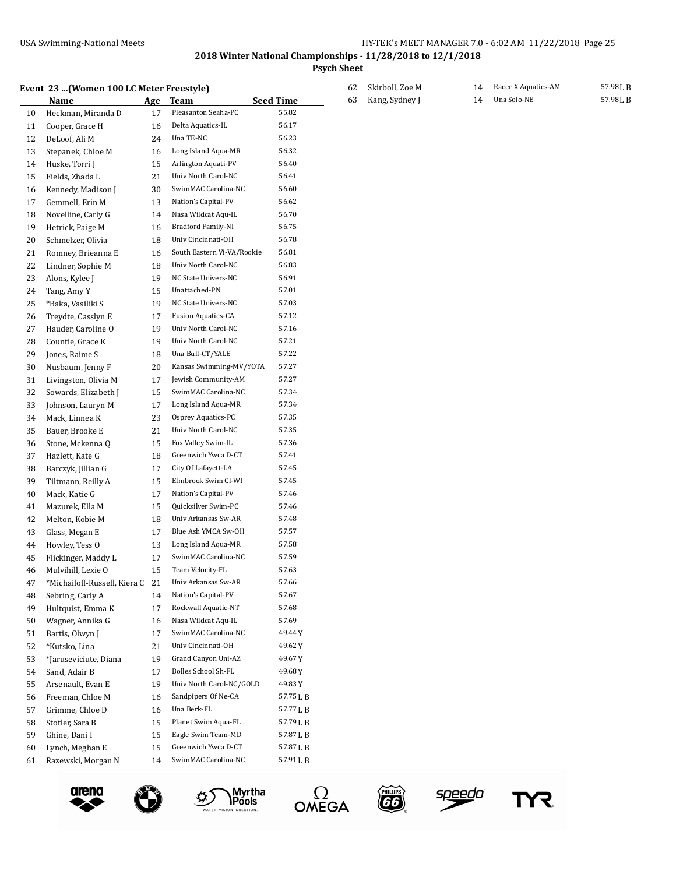arena

#### USA Swimming-National Meets **HY-TEK's MEET MANAGER 7.0 - 6:02 AM 11/22/2018** Page 25

**2018 Winter National Championships - 11/28/2018 to 12/1/2018**

**Psych Sheet**

### **Event 23 ...(Women 100 LC Meter Freestyle)**

|    | vcnc 20 …u<br>women 100 Be meter rreestyle) |    |                            |                  |
|----|---------------------------------------------|----|----------------------------|------------------|
|    | Name                                        |    | Age Team                   | <b>Seed Time</b> |
| 10 | Heckman, Miranda D                          | 17 | Pleasanton Seaha-PC        | 55.82            |
| 11 | Cooper, Grace H                             | 16 | Delta Aquatics-IL          | 56.17            |
| 12 | DeLoof, Ali M                               | 24 | Una TE-NC                  | 56.23            |
| 13 | Stepanek, Chloe M                           | 16 | Long Island Aqua-MR        | 56.32            |
| 14 | Huske, Torri J                              | 15 | Arlington Aquati-PV        | 56.40            |
| 15 | Fields, Zhada L                             | 21 | Univ North Carol-NC        | 56.41            |
| 16 | Kennedy, Madison J                          | 30 | SwimMAC Carolina-NC        | 56.60            |
| 17 | Gemmell, Erin M                             | 13 | Nation's Capital-PV        | 56.62            |
| 18 | Novelline, Carly G                          | 14 | Nasa Wildcat Aqu-IL        | 56.70            |
| 19 | Hetrick, Paige M                            | 16 | Bradford Family-NI         | 56.75            |
| 20 | Schmelzer, Olivia                           | 18 | Univ Cincinnati-OH         | 56.78            |
| 21 | Romney, Brieanna E                          | 16 | South Eastern Vi-VA/Rookie | 56.81            |
| 22 | Lindner, Sophie M                           | 18 | Univ North Carol-NC        | 56.83            |
| 23 | Alons, Kylee J                              | 19 | NC State Univers-NC        | 56.91            |
| 24 | Tang, Amy Y                                 | 15 | Unattached-PN              | 57.01            |
| 25 | *Baka, Vasiliki S                           | 19 | NC State Univers-NC        | 57.03            |
| 26 | Treydte, Casslyn E                          | 17 | <b>Fusion Aquatics-CA</b>  | 57.12            |
| 27 | Hauder, Caroline O                          | 19 | Univ North Carol-NC        | 57.16            |
| 28 | Countie, Grace K                            | 19 | Univ North Carol-NC        | 57.21            |
| 29 | Jones, Raime S                              | 18 | Una Bull-CT/YALE           | 57.22            |
| 30 | Nusbaum, Jenny F                            | 20 | Kansas Swimming-MV/YOTA    | 57.27            |
| 31 | Livingston, Olivia M                        | 17 | Jewish Community-AM        | 57.27            |
| 32 | Sowards, Elizabeth J                        | 15 | SwimMAC Carolina-NC        | 57.34            |
| 33 | Johnson, Lauryn M                           | 17 | Long Island Aqua-MR        | 57.34            |
| 34 | Mack, Linnea K                              | 23 | Osprey Aquatics-PC         | 57.35            |
| 35 | Bauer, Brooke E                             | 21 | Univ North Carol-NC        | 57.35            |
| 36 | Stone, Mckenna Q                            | 15 | Fox Valley Swim-IL         | 57.36            |
| 37 | Hazlett, Kate G                             | 18 | Greenwich Ywca D-CT        | 57.41            |
| 38 | Barczyk, Jillian G                          | 17 | City Of Lafayett-LA        | 57.45            |
| 39 | Tiltmann, Reilly A                          | 15 | Elmbrook Swim Cl-WI        | 57.45            |
| 40 | Mack, Katie G                               | 17 | Nation's Capital-PV        | 57.46            |
| 41 | Mazurek, Ella M                             | 15 | Quicksilver Swim-PC        | 57.46            |
| 42 | Melton, Kobie M                             | 18 | Univ Arkansas Sw-AR        | 57.48            |
| 43 | Glass, Megan E                              | 17 | Blue Ash YMCA Sw-OH        | 57.57            |
| 44 | Howley, Tess O                              | 13 | Long Island Aqua-MR        | 57.58            |
| 45 | Flickinger, Maddy L                         | 17 | SwimMAC Carolina-NC        | 57.59            |
| 46 | Mulvihill, Lexie O                          | 15 | Team Velocity-FL           | 57.63            |
| 47 | *Michailoff-Russell, Kiera C                | 21 | Univ Arkansas Sw-AR        | 57.66            |
| 48 | Sebring, Carly A                            | 14 | Nation's Capital-PV        | 57.67            |
| 49 | Hultquist, Emma K                           | 17 | Rockwall Aquatic-NT        | 57.68            |
| 50 | Wagner, Annika G                            | 16 | Nasa Wildcat Aqu-IL        | 57.69            |
| 51 | Bartis, Olwyn J                             | 17 | SwimMAC Carolina-NC        | 49.44 Y          |
| 52 | *Kutsko, Lina                               | 21 | Univ Cincinnati-OH         | 49.62Y           |
| 53 | *Jaruseviciute, Diana                       | 19 | Grand Canyon Uni-AZ        | 49.67Y           |
| 54 | Sand, Adair B                               | 17 | Bolles School Sh-FL        | 49.68 Y          |
| 55 | Arsenault, Evan E                           | 19 | Univ North Carol-NC/GOLD   | 49.83 Y          |
| 56 | Freeman, Chloe M                            | 16 | Sandpipers Of Ne-CA        | 57.75 L B        |
| 57 | Grimme, Chloe D                             | 16 | Una Berk-FL                | 57.77LB          |
| 58 | Stotler, Sara B                             | 15 | Planet Swim Aqua-FL        | 57.79 L B        |
| 59 | Ghine, Dani I                               | 15 | Eagle Swim Team-MD         | 57.87 L B        |
| 60 | Lynch, Meghan E                             | 15 | Greenwich Ywca D-CT        | 57.87 L B        |
| 61 | Razewski, Morgan N                          | 14 | SwimMAC Carolina-NC        | 57.91 L B        |
|    |                                             |    |                            |                  |

| 62 Skirboll, Zoe M | 14 Racer X Aquatics-AM | 57.98 J, B |
|--------------------|------------------------|------------|
| 63 Kang, Sydney J  | 14 Una Solo-NE         | 57.98 J.B  |







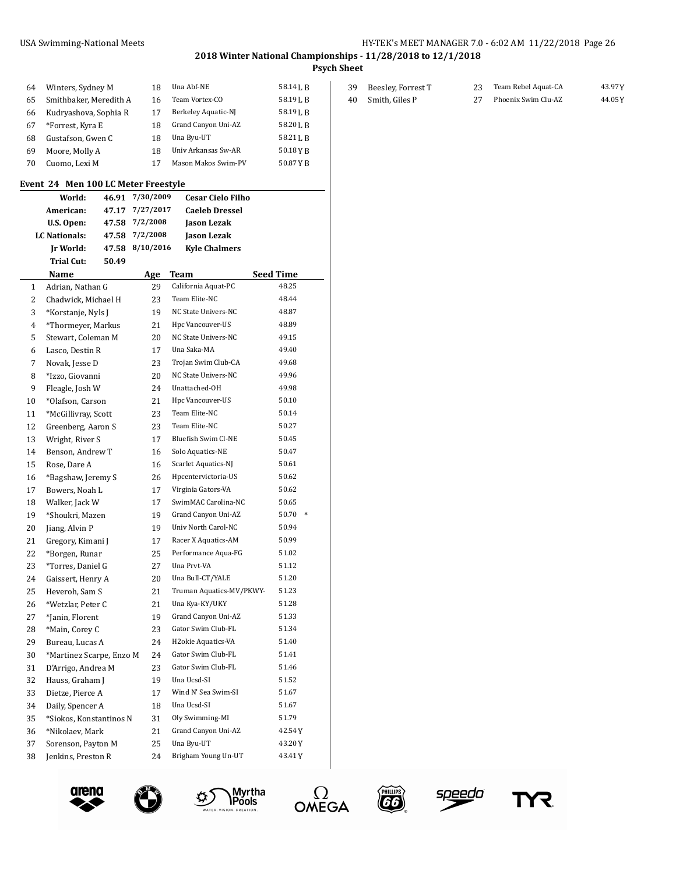**2018 Winter National Championships - 11/28/2018 to 12/1/2018**

**Psych Sheet**

| 64 | Winters, Sydney M      | 18 | Una Abf-NE                 | 58.141. R            |
|----|------------------------|----|----------------------------|----------------------|
| 65 | Smithbaker, Meredith A | 16 | Team Vortex-CO             | 58.19 <sub>L</sub> B |
| 66 | Kudryashova, Sophia R  | 17 | Berkeley Aquatic-NJ        | 58.19 <sub>L</sub> R |
| 67 | *Forrest, Kyra E       | 18 | Grand Canyon Uni-AZ        | 58.201. R            |
| 68 | Gustafson, Gwen C      | 18 | Una Byu-UT                 | 58.21 L B            |
| 69 | Moore, Molly A         | 18 | Univ Arkansas Sw-AR        | 50.18YR              |
| 70 | Cuomo, Lexi M          | 17 | <b>Mason Makos Swim-PV</b> | 50.87 Y R            |

### **Event 24 Men 100 LC Meter Freestyle**

|                | World:                   |       | 46.91 7/30/2009 | <b>Cesar Cielo Filho</b> |                 |
|----------------|--------------------------|-------|-----------------|--------------------------|-----------------|
|                | American:                |       | 47.17 7/27/2017 | <b>Caeleb Dressel</b>    |                 |
|                | U.S. Open:               |       | 47.58 7/2/2008  | <b>Jason Lezak</b>       |                 |
|                | <b>LC Nationals:</b>     |       | 47.58 7/2/2008  | <b>Jason Lezak</b>       |                 |
|                | Ir World:                | 47.58 | 8/10/2016       | <b>Kyle Chalmers</b>     |                 |
|                | Trial Cut:               | 50.49 |                 |                          |                 |
|                | Name                     |       | Age             | Team                     | Seed Time       |
| 1              | Adrian, Nathan G         |       | 29              | California Aquat-PC      | 48.25           |
| $\overline{2}$ | Chadwick, Michael H      |       | 23              | Team Elite-NC            | 48.44           |
| 3              | *Korstanje, Nyls J       |       | 19              | NC State Univers-NC      | 48.87           |
| 4              | *Thormeyer, Markus       |       | 21              | Hpc Vancouver-US         | 48.89           |
| 5              | Stewart, Coleman M       |       | 20              | NC State Univers-NC      | 49.15           |
| 6              | Lasco, Destin R          |       | 17              | Una Saka-MA              | 49.40           |
| 7              | Novak, Jesse D           |       | 23              | Trojan Swim Club-CA      | 49.68           |
| 8              | *Izzo, Giovanni          |       | 20              | NC State Univers-NC      | 49.96           |
| 9              | Fleagle, Josh W          |       | 24              | Unattached-OH            | 49.98           |
| 10             | *Olafson, Carson         |       | 21              | Hpc Vancouver-US         | 50.10           |
| 11             | *McGillivray, Scott      |       | 23              | Team Elite-NC            | 50.14           |
| 12             | Greenberg, Aaron S       |       | 23              | Team Elite-NC            | 50.27           |
| 13             | Wright, River S          |       | 17              | Bluefish Swim Cl-NE      | 50.45           |
| 14             | Benson, Andrew T         |       | 16              | Solo Aquatics-NE         | 50.47           |
| 15             | Rose, Dare A             |       | 16              | Scarlet Aquatics-NJ      | 50.61           |
| 16             | *Bagshaw, Jeremy S       |       | 26              | Hpcentervictoria-US      | 50.62           |
| 17             | Bowers, Noah L           |       | 17              | Virginia Gators-VA       | 50.62           |
| 18             | Walker, Jack W           |       | 17              | SwimMAC Carolina-NC      | 50.65           |
| 19             | *Shoukri, Mazen          |       | 19              | Grand Canyon Uni-AZ      | 50.70<br>$\ast$ |
| 20             | Jiang, Alvin P           |       | 19              | Univ North Carol-NC      | 50.94           |
| 21             | Gregory, Kimani J        |       | 17              | Racer X Aquatics-AM      | 50.99           |
| 22             | *Borgen, Runar           |       | 25              | Performance Aqua-FG      | 51.02           |
| 23             | *Torres, Daniel G        |       | 27              | Una Prvt-VA              | 51.12           |
| 24             | Gaissert, Henry A        |       | 20              | Una Bull-CT/YALE         | 51.20           |
| 25             | Heveroh, Sam S           |       | 21              | Truman Aquatics-MV/PKWY- | 51.23           |
| 26             | *Wetzlar, Peter C        |       | 21              | Una Kya-KY/UKY           | 51.28           |
| 27             | *Janin, Florent          |       | 19              | Grand Canyon Uni-AZ      | 51.33           |
| 28             | *Main, Corey C           |       | 23              | Gator Swim Club-FL       | 51.34           |
| 29             | Bureau, Lucas A          |       | 24              | H2okie Aquatics-VA       | 51.40           |
| 30             | *Martinez Scarpe, Enzo M |       | 24              | Gator Swim Club-FL       | 51.41           |
| 31             | D'Arrigo, Andrea M       |       | 23              | Gator Swim Club-FL       | 51.46           |
| 32             | Hauss, Graham J          |       | 19              | Una Ucsd-SI              | 51.52           |
| 33             | Dietze, Pierce A         |       | 17              | Wind N' Sea Swim-SI      | 51.67           |
| 34             | Daily, Spencer A         |       | 18              | Una Ucsd-SI              | 51.67           |
| 35             | *Siokos, Konstantinos N  |       | 31              | Oly Swimming-MI          | 51.79           |
| 36             | *Nikolaev, Mark          |       | 21              | Grand Canyon Uni-AZ      | 42.54Y          |
| 37             | Sorenson, Payton M       |       | 25              | Una Byu-UT               | 43.20Y          |
| 38             | Jenkins, Preston R       |       | 24              | Brigham Young Un-UT      | 43.41Y          |











YR

| 39 Beesley, Forrest T | Team Rebel Aquat-CA    | 43.97 Y |
|-----------------------|------------------------|---------|
| 40 Smith, Giles P     | 27 Phoenix Swim Clu-AZ | 44.05Y  |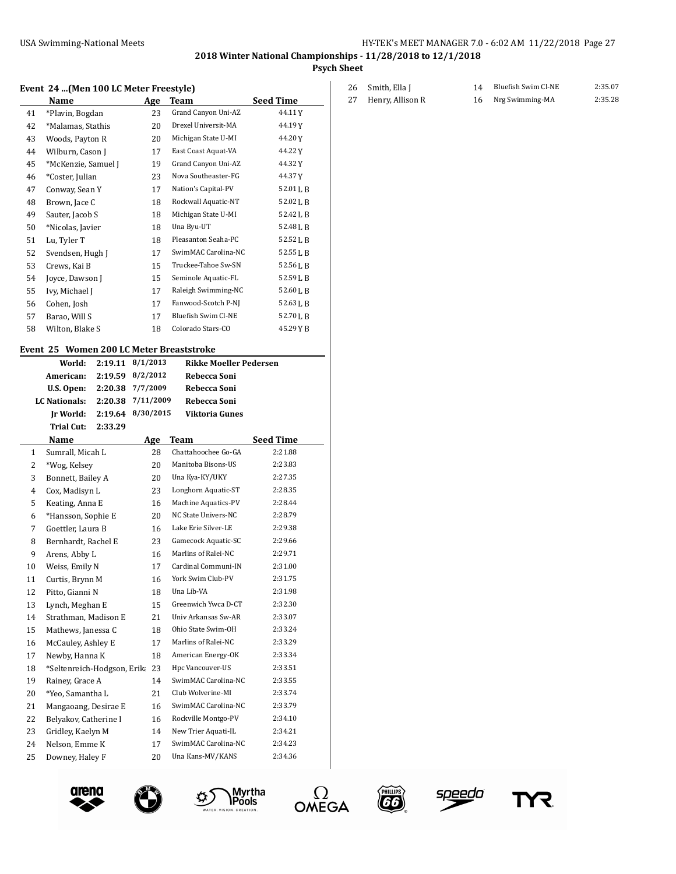**2018 Winter National Championships - 11/28/2018 to 12/1/2018**

**Psych Sheet**

#### **Event 24 ...(Men 100 LC Meter Freestyle)**

|    | Name                | Age | Team                | <b>Seed Time</b> |
|----|---------------------|-----|---------------------|------------------|
| 41 | *Plavin, Bogdan     | 23  | Grand Canyon Uni-AZ | 44.11Y           |
| 42 | *Malamas, Stathis   | 20  | Drexel Universit-MA | 44.19Y           |
| 43 | Woods, Payton R     | 20  | Michigan State U-MI | 44.20Y           |
| 44 | Wilburn, Cason J    | 17  | East Coast Aquat-VA | 44.22Y           |
| 45 | *McKenzie, Samuel J | 19  | Grand Canyon Uni-AZ | 44.32 Y          |
| 46 | *Coster, Julian     | 23  | Nova Southeaster-FG | 44.37Y           |
| 47 | Conway, Sean Y      | 17  | Nation's Capital-PV | 52.01LB          |
| 48 | Brown, Jace C       | 18  | Rockwall Aquatic-NT | 52.02 L B        |
| 49 | Sauter, Jacob S     | 18  | Michigan State U-MI | 52.42 J.B        |
| 50 | *Nicolas, Javier    | 18  | Una Byu-UT          | 52.48LB          |
| 51 | Lu, Tyler T         | 18  | Pleasanton Seaha-PC | 52.52 J.B        |
| 52 | Svendsen, Hugh J    | 17  | SwimMAC Carolina-NC | 52.55LB          |
| 53 | Crews, Kai B        | 15  | Truckee-Tahoe Sw-SN | 52.56LB          |
| 54 | Joyce, Dawson J     | 15  | Seminole Aquatic-FL | 52.59 L B        |
| 55 | Ivy, Michael J      | 17  | Raleigh Swimming-NC | 52.60 L B        |
| 56 | Cohen, Josh         | 17  | Fanwood-Scotch P-NJ | 52.63 L B        |
| 57 | Barao, Will S       | 17  | Bluefish Swim Cl-NE | 52.70 J.B        |
| 58 | Wilton, Blake S     | 18  | Colorado Stars-CO   | 45.29YB          |
|    |                     |     |                     |                  |

#### **Event 25 Women 200 LC Meter Breaststroke**

|                | World:                      | 2:19.11 | 8/1/2013  | <b>Rikke Moeller Pedersen</b> |                  |
|----------------|-----------------------------|---------|-----------|-------------------------------|------------------|
|                | American:                   | 2:19.59 | 8/2/2012  | Rebecca Soni                  |                  |
|                | U.S. Open:                  | 2:20.38 | 7/7/2009  | Rebecca Soni                  |                  |
|                | LC Nationals:               | 2:20.38 | 7/11/2009 | Rebecca Soni                  |                  |
|                | Jr World:                   | 2:19.64 | 8/30/2015 | <b>Viktoria Gunes</b>         |                  |
|                | <b>Trial Cut:</b>           | 2:33.29 |           |                               |                  |
|                | Name                        |         | Age       | Team                          | <b>Seed Time</b> |
| 1              | Sumrall, Micah L            |         | 28        | Chattahoochee Go-GA           | 2:21.88          |
| $\overline{2}$ | *Wog, Kelsey                |         | 20        | Manitoba Bisons-US            | 2:23.83          |
| 3              | Bonnett, Bailey A           |         | 20        | Una Kya-KY/UKY                | 2:27.35          |
| $\overline{4}$ | Cox, Madisyn L              |         | 23        | Longhorn Aquatic-ST           | 2:28.35          |
| 5              | Keating, Anna E             |         | 16        | Machine Aquatics-PV           | 2:28.44          |
| 6              | *Hansson, Sophie E          |         | 20        | NC State Univers-NC           | 2:28.79          |
| 7              | Goettler, Laura B           |         | 16        | Lake Erie Silver-LE           | 2:29.38          |
| 8              | Bernhardt, Rachel E         |         | 23        | Gamecock Aquatic-SC           | 2:29.66          |
| 9              | Arens, Abby L               |         | 16        | Marlins of Ralei-NC           | 2:29.71          |
| 10             | Weiss, Emily N              |         | 17        | Cardinal Communi-IN           | 2:31.00          |
| 11             | Curtis, Brynn M             |         | 16        | York Swim Club-PV             | 2:31.75          |
| 12             | Pitto, Gianni N             |         | 18        | Una Lib-VA                    | 2:31.98          |
| 13             | Lynch, Meghan E             |         | 15        | Greenwich Ywca D-CT           | 2:32.30          |
| 14             | Strathman, Madison E        |         | 21        | Univ Arkansas Sw-AR           | 2:33.07          |
| 15             | Mathews, Janessa C          |         | 18        | Ohio State Swim-OH            | 2:33.24          |
| 16             | McCauley, Ashley E          |         | 17        | Marlins of Ralei-NC           | 2:33.29          |
| 17             | Newby, Hanna K              |         | 18        | American Energy-OK            | 2:33.34          |
| 18             | *Seltenreich-Hodgson, Erika |         | 23        | Hpc Vancouver-US              | 2:33.51          |
| 19             | Rainey, Grace A             |         | 14        | SwimMAC Carolina-NC           | 2:33.55          |
| 20             | *Yeo, Samantha L            |         | 21        | Club Wolverine-MI             | 2:33.74          |
| 21             | Mangaoang, Desirae E        |         | 16        | SwimMAC Carolina-NC           | 2:33.79          |
| 22             | Belyakov, Catherine I       |         | 16        | Rockville Montgo-PV           | 2:34.10          |
| 23             | Gridley, Kaelyn M           |         | 14        | New Trier Aquati-IL           | 2:34.21          |
| 24             | Nelson, Emme K              |         | 17        | SwimMAC Carolina-NC           | 2:34.23          |
| 25             | Downey, Haley F             |         | 20        | Una Kans-MV/KANS              | 2:34.36          |









o)



YR

|    | 26 Smith, Ella J | 14 Bluefish Swim Cl-NE | 2:35.07 |
|----|------------------|------------------------|---------|
| 27 | Henry, Allison R | 16 Nrg Swimming-MA     | 2:35.28 |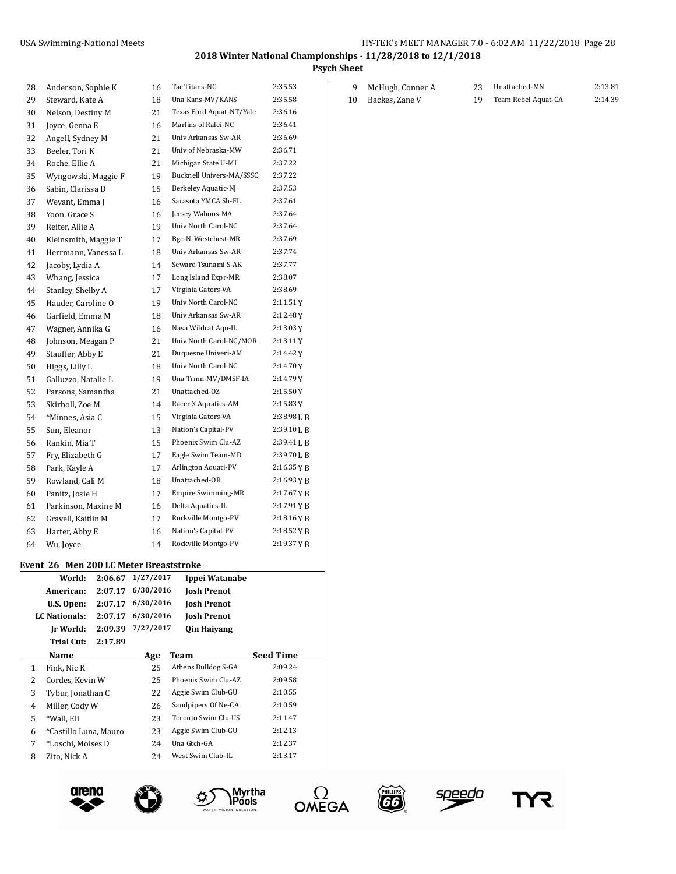9 McHugh, Conner A 23 Unattached-MN 2:13.81 10 Backes, Zane V 19 Team Rebel Aquat-CA 2:14.39

**2018 Winter National Championships - 11/28/2018 to 12/1/2018**

**Psych Sheet**

| 28 | Anderson, Sophie K   | 16 | Tac Titans-NC            | 2:35.53       |
|----|----------------------|----|--------------------------|---------------|
| 29 | Steward, Kate A      | 18 | Una Kans-MV/KANS         | 2:35.58       |
| 30 | Nelson, Destiny M    | 21 | Texas Ford Aquat-NT/Yale | 2:36.16       |
| 31 | Joyce, Genna E       | 16 | Marlins of Ralei-NC      | 2:36.41       |
| 32 | Angell, Sydney M     | 21 | Univ Arkansas Sw-AR      | 2:36.69       |
| 33 | Beeler, Tori K       | 21 | Univ of Nebraska-MW      | 2:36.71       |
| 34 | Roche, Ellie A       | 21 | Michigan State U-MI      | 2:37.22       |
| 35 | Wyngowski, Maggie F  | 19 | Bucknell Univers-MA/SSSC | 2:37.22       |
| 36 | Sabin, Clarissa D    | 15 | Berkeley Aquatic-NJ      | 2:37.53       |
| 37 | Weyant, Emma J       | 16 | Sarasota YMCA Sh-FL      | 2:37.61       |
| 38 | Yoon, Grace S        | 16 | Jersey Wahoos-MA         | 2:37.64       |
| 39 | Reiter, Allie A      | 19 | Univ North Carol-NC      | 2:37.64       |
| 40 | Kleinsmith, Maggie T | 17 | Bgc-N. Westchest-MR      | 2:37.69       |
| 41 | Herrmann, Vanessa L  | 18 | Univ Arkansas Sw-AR      | 2:37.74       |
| 42 | Jacoby, Lydia A      | 14 | Seward Tsunami S-AK      | 2:37.77       |
| 43 | Whang, Jessica       | 17 | Long Island Expr-MR      | 2:38.07       |
| 44 | Stanley, Shelby A    | 17 | Virginia Gators-VA       | 2:38.69       |
| 45 | Hauder, Caroline O   | 19 | Univ North Carol-NC      | 2:11.51 Y     |
| 46 | Garfield, Emma M     | 18 | Univ Arkansas Sw-AR      | 2:12.48Y      |
| 47 | Wagner, Annika G     | 16 | Nasa Wildcat Aqu-IL      | 2:13.03Y      |
| 48 | Johnson, Meagan P    | 21 | Univ North Carol-NC/MOR  | 2:13.11Y      |
| 49 | Stauffer, Abby E     | 21 | Duquesne Univeri-AM      | 2:14.42Y      |
| 50 | Higgs, Lilly L       | 18 | Univ North Carol-NC      | 2:14.70Y      |
| 51 | Galluzzo, Natalie L  | 19 | Una Trmn-MV/DMSF-IA      | 2:14.79Y      |
| 52 | Parsons, Samantha    | 21 | Unattached-OZ            | 2:15.50Y      |
| 53 | Skirboll, Zoe M      | 14 | Racer X Aquatics-AM      | 2:15.83Y      |
| 54 | *Minnes, Asia C      | 15 | Virginia Gators-VA       | 2:38.98 L B   |
| 55 | Sun. Eleanor         | 13 | Nation's Capital-PV      | 2:39.10 L B   |
| 56 | Rankin, Mia T        | 15 | Phoenix Swim Clu-AZ      | 2:39.41 L B   |
| 57 | Fry, Elizabeth G     | 17 | Eagle Swim Team-MD       | 2:39.70 L B   |
| 58 | Park, Kayle A        | 17 | Arlington Aquati-PV      | $2:16.35$ Y B |
| 59 | Rowland, Cali M      | 18 | Unattached-OR            | 2:16.93 Y B   |
| 60 | Panitz, Josie H      | 17 | Empire Swimming-MR       | 2:17.67 Y B   |
| 61 | Parkinson, Maxine M  | 16 | Delta Aquatics-IL        | $2:17.91$ Y B |
| 62 | Gravell, Kaitlin M   | 17 | Rockville Montgo-PV      | 2:18.16YB     |
| 63 | Harter, Abby E       | 16 | Nation's Capital-PV      | $2:18.52$ Y B |
| 64 | Wu, Joyce            | 14 | Rockville Montgo-PV      | 2:19.37YB     |

#### **Event 26 Men 200 LC Meter Breaststroke**

|   | World:<br>American:<br>U.S. Open:<br>LC Nationals: | 2:06.67<br>2:07.17<br>2:07.17<br>2:07.17 | 1/27/2017<br>6/30/2016<br>6/30/2016<br>6/30/2016 | Ippei Watanabe<br><b>Josh Prenot</b><br><b>Josh Prenot</b><br><b>Josh Prenot</b> |                  |
|---|----------------------------------------------------|------------------------------------------|--------------------------------------------------|----------------------------------------------------------------------------------|------------------|
|   | Ir World:                                          | 2:09.39                                  | 7/27/2017                                        | <b>Oin Haiyang</b>                                                               |                  |
|   | Trial Cut:                                         | 2:17.89                                  |                                                  |                                                                                  |                  |
|   | Name                                               |                                          | Age                                              | Team                                                                             | <b>Seed Time</b> |
| 1 | Fink, Nic K                                        |                                          | 25                                               | Athens Bulldog S-GA                                                              | 2:09.24          |
| 2 | Cordes, Kevin W                                    |                                          | 25                                               | Phoenix Swim Clu-AZ                                                              | 2:09.58          |
| 3 | Tybur, Jonathan C                                  |                                          | 22                                               | Aggie Swim Club-GU                                                               | 2:10.55          |
| 4 | Miller, Cody W                                     |                                          | 26                                               | Sandpipers Of Ne-CA                                                              | 2:10.59          |
| 5 | *Wall, Eli                                         |                                          | 23                                               | Toronto Swim Clu-US                                                              | 2:11.47          |
| 6 | *Castillo Luna, Mauro                              |                                          | 23                                               | Aggie Swim Club-GU                                                               | 2:12.13          |
| 7 | *Loschi, Moises D                                  |                                          | 24                                               | Una Gtch-GA                                                                      | 2:12.37          |
| 8 | Zito, Nick A                                       |                                          | 24                                               | West Swim Club-IL                                                                | 2:13.17          |











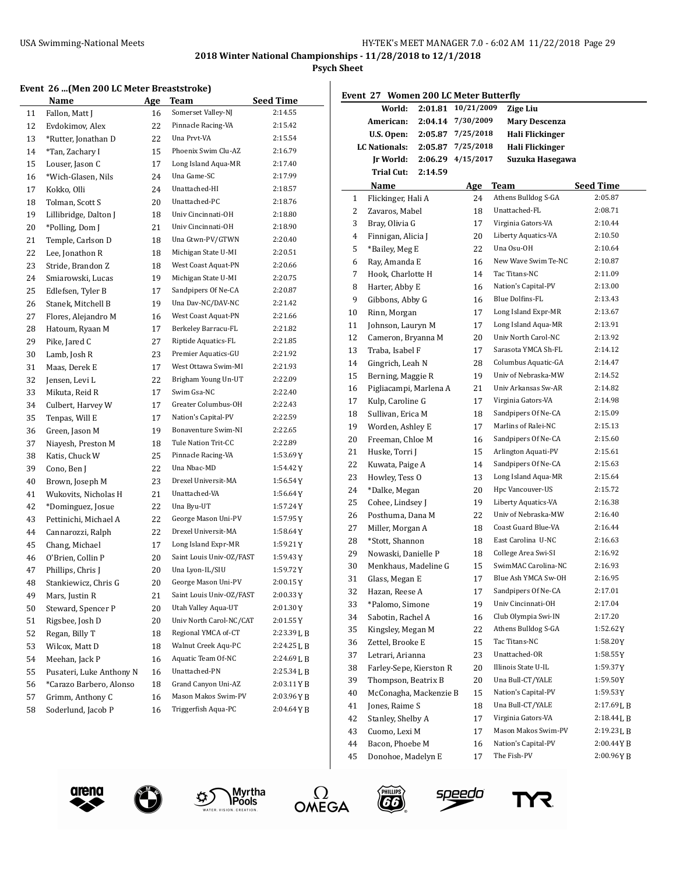**2018 Winter National Championships - 11/28/2018 to 12/1/2018**

**Psych Sheet**

### **Event 26 ...(Men 200 LC Meter Breaststroke)**

|    | Name                     | <u>Age</u> | <b>Team</b>                                | <b>Seed Time</b> |
|----|--------------------------|------------|--------------------------------------------|------------------|
| 11 | Fallon, Matt J           | 16         | Somerset Valley-NJ                         | 2:14.55          |
| 12 | Evdokimov, Alex          | 22         | Pinnacle Racing-VA                         | 2:15.42          |
| 13 | *Rutter, Jonathan D      | 22         | Una Prvt-VA                                | 2:15.54          |
| 14 | *Tan, Zachary I          | 15         | Phoenix Swim Clu-AZ                        | 2:16.79          |
| 15 | Louser, Jason C          | 17         | Long Island Aqua-MR                        | 2:17.40          |
| 16 | *Wich-Glasen, Nils       | 24         | Una Game-SC                                | 2:17.99          |
| 17 | Kokko, Olli              | 24         | Unattached-HI                              | 2:18.57          |
| 18 | Tolman, Scott S          | 20         | Unattached-PC                              | 2:18.76          |
| 19 | Lillibridge, Dalton J    | 18         | Univ Cincinnati-OH                         | 2:18.80          |
| 20 | *Polling, Dom J          | 21         | Univ Cincinnati-OH                         | 2:18.90          |
| 21 | Temple, Carlson D        | 18         | Una Gtwn-PV/GTWN                           | 2:20.40          |
| 22 | Lee, Jonathon R          | 18         | Michigan State U-MI                        | 2:20.51          |
| 23 | Stride, Brandon Z        | 18         | West Coast Aquat-PN                        | 2:20.66          |
| 24 | Smiarowski, Lucas        | 19         | Michigan State U-MI                        | 2:20.75          |
| 25 | Edlefsen, Tyler B        | 17         | Sandpipers Of Ne-CA                        | 2:20.87          |
| 26 | Stanek, Mitchell B       | 19         | Una Dav-NC/DAV-NC                          | 2:21.42          |
| 27 | Flores, Alejandro M      | 16         | West Coast Aquat-PN                        | 2:21.66          |
| 28 | Hatoum, Ryaan M          | 17         | Berkeley Barracu-FL                        | 2:21.82          |
| 29 | Pike, Jared C            | 27         | Riptide Aquatics-FL                        | 2:21.85          |
| 30 | Lamb, Josh R             | 23         | Premier Aquatics-GU                        | 2:21.92          |
| 31 | Maas, Derek E            | 17         | West Ottawa Swim-MI                        | 2:21.93          |
| 32 | Jensen, Levi L           | 22         | Brigham Young Un-UT                        | 2:22.09          |
| 33 | Mikuta, Reid R           | 17         | Swim Gsa-NC                                | 2:22.40          |
| 34 | Culbert, Harvey W        | 17         | Greater Columbus-OH                        | 2:22.43          |
| 35 | Tenpas, Will E           | 17         | Nation's Capital-PV                        | 2:22.59          |
| 36 | Green, Jason M           | 19         | Bonaventure Swim-NI                        | 2:22.65          |
| 37 | Niayesh, Preston M       | 18         | Tule Nation Trit-CC                        | 2:22.89          |
| 38 | Katis, Chuck W           | 25         | Pinnacle Racing-VA                         | 1:53.69Y         |
| 39 | Cono, Ben J              | 22         | Una Nbac-MD                                | 1:54.42 Y        |
| 40 | Brown, Joseph M          | 23         | Drexel Universit-MA                        | 1:56.54Y         |
| 41 | Wukovits, Nicholas H     | 21         | Unattached-VA                              | 1:56.64Y         |
| 42 | *Dominguez, Josue        | 22         | Una Byu-UT                                 | 1:57.24Y         |
| 43 | Pettinichi, Michael A    | 22         | George Mason Uni-PV                        | $1:57.95$ Y      |
| 44 | Cannarozzi, Ralph        | 22         | Drexel Universit-MA                        | 1:58.64Y         |
| 45 | Chang, Michael           | 17         | Long Island Expr-MR                        | 1:59.21Y         |
| 46 | O'Brien, Collin P        | 20         | Saint Louis Univ-OZ/FAST                   | $1:59.43$ Y      |
| 47 | Phillips, Chris J        | 20         | Una Lyon-IL/SIU                            | 1:59.72Y         |
| 48 | Stankiewicz, Chris G     | 20         | George Mason Uni-PV                        | $2:00.15$ Y      |
| 49 | Mars, Justin R           | 21         | Saint Louis Univ-OZ/FAST                   | 2:00.33 Y        |
| 50 | Steward, Spencer P       | 20         | Utah Valley Aqua-UT                        | 2:01.30Y         |
| 51 | Rigsbee, Josh D          | 20         | Univ North Carol-NC/CAT                    | $2:01.55$ Y      |
| 52 | Regan, Billy T           | 18         | Regional YMCA of-CT                        | 2:23.39 L B      |
| 53 | Wilcox, Matt D           | 18         | Walnut Creek Aqu-PC                        | 2:24.25 L B      |
| 54 | Meehan, Jack P           | 16         | Aquatic Team Of-NC                         | 2:24.69 L B      |
| 55 | Pusateri, Luke Anthony N | 16         | Unattached-PN                              | 2:25.34 L B      |
| 56 | *Carazo Barbero, Alonso  | 18         | Grand Canyon Uni-AZ<br>Mason Makos Swim-PV | 2:03.11YB        |
| 57 | Grimm, Anthony C         | 16         |                                            | 2:03.96 Y B      |
| 58 | Soderlund, Jacob P       | 16         | Triggerfish Aqua-PC                        | 2:04.64YB        |

| Event 27 Women 200 LC Meter Butterfly |                         |         |            |                      |                  |  |  |  |
|---------------------------------------|-------------------------|---------|------------|----------------------|------------------|--|--|--|
|                                       | World:                  | 2:01.81 | 10/21/2009 | <b>Zige Liu</b>      |                  |  |  |  |
|                                       | American:               | 2:04.14 | 7/30/2009  | <b>Mary Descenza</b> |                  |  |  |  |
|                                       | U.S. Open:              | 2:05.87 | 7/25/2018  | Hali Flickinger      |                  |  |  |  |
|                                       | LC Nationals:           | 2:05.87 | 7/25/2018  | Hali Flickinger      |                  |  |  |  |
|                                       | Ir World:               | 2:06.29 | 4/15/2017  | Suzuka Hasegawa      |                  |  |  |  |
|                                       | <b>Trial Cut:</b>       | 2:14.59 |            |                      |                  |  |  |  |
|                                       | Name                    |         | <u>Age</u> | Team                 | <b>Seed Time</b> |  |  |  |
| $\mathbf{1}$                          | Flickinger, Hali A      |         | 24         | Athens Bulldog S-GA  | 2:05.87          |  |  |  |
| 2                                     | Zavaros, Mabel          |         | 18         | Unattached-FL        | 2:08.71          |  |  |  |
| 3                                     | Bray, Olivia G          |         | 17         | Virginia Gators-VA   | 2:10.44          |  |  |  |
| 4                                     | Finnigan, Alicia J      |         | 20         | Liberty Aquatics-VA  | 2:10.50          |  |  |  |
| 5                                     | *Bailey, Meg E          |         | 22         | Una Osu-OH           | 2:10.64          |  |  |  |
| 6                                     | Ray, Amanda E           |         | 16         | New Wave Swim Te-NC  | 2:10.87          |  |  |  |
| 7                                     | Hook, Charlotte H       |         | 14         | Tac Titans-NC        | 2:11.09          |  |  |  |
| 8                                     | Harter, Abby E          |         | 16         | Nation's Capital-PV  | 2:13.00          |  |  |  |
| 9                                     | Gibbons, Abby G         |         | 16         | Blue Dolfins-FL      | 2:13.43          |  |  |  |
| 10                                    | Rinn, Morgan            |         | 17         | Long Island Expr-MR  | 2:13.67          |  |  |  |
| 11                                    | Johnson, Lauryn M       |         | 17         | Long Island Aqua-MR  | 2:13.91          |  |  |  |
| 12                                    | Cameron, Bryanna M      |         | 20         | Univ North Carol-NC  | 2:13.92          |  |  |  |
| 13                                    | Traba, Isabel F         |         | 17         | Sarasota YMCA Sh-FL  | 2:14.12          |  |  |  |
| 14                                    | Gingrich, Leah N        |         | 28         | Columbus Aquatic-GA  | 2:14.47          |  |  |  |
| 15                                    | Berning, Maggie R       |         | 19         | Univ of Nebraska-MW  | 2:14.52          |  |  |  |
| 16                                    | Pigliacampi, Marlena A  |         | 21         | Univ Arkansas Sw-AR  | 2:14.82          |  |  |  |
| 17                                    | Kulp, Caroline G        |         | 17         | Virginia Gators-VA   | 2:14.98          |  |  |  |
| 18                                    | Sullivan, Erica M       |         | 18         | Sandpipers Of Ne-CA  | 2:15.09          |  |  |  |
| 19                                    | Worden, Ashley E        |         | 17         | Marlins of Ralei-NC  | 2:15.13          |  |  |  |
| 20                                    | Freeman, Chloe M        |         | 16         | Sandpipers Of Ne-CA  | 2:15.60          |  |  |  |
| 21                                    | Huske, Torri J          |         | 15         | Arlington Aquati-PV  | 2:15.61          |  |  |  |
| 22                                    | Kuwata, Paige A         |         | 14         | Sandpipers Of Ne-CA  | 2:15.63          |  |  |  |
| 23                                    | Howley, Tess O          |         | 13         | Long Island Aqua-MR  | 2:15.64          |  |  |  |
| 24                                    | *Dalke, Megan           |         | 20         | Hpc Vancouver-US     | 2:15.72          |  |  |  |
| 25                                    | Cohee, Lindsey J        |         | 19         | Liberty Aquatics-VA  | 2:16.38          |  |  |  |
| 26                                    | Posthuma, Dana M        |         | 22         | Univ of Nebraska-MW  | 2:16.40          |  |  |  |
| 27                                    | Miller, Morgan A        |         | 18         | Coast Guard Blue-VA  | 2:16.44          |  |  |  |
| 28                                    | *Stott, Shannon         |         | 18         | East Carolina U-NC   | 2:16.63          |  |  |  |
| 29                                    | Nowaski, Danielle P     |         | 18         | College Area Swi-SI  | 2:16.92          |  |  |  |
| 30                                    | Menkhaus, Madeline G    |         | 15         | SwimMAC Carolina-NC  | 2:16.93          |  |  |  |
| 31                                    | Glass, Megan E          |         | 17         | Blue Ash YMCA Sw-OH  | 2:16.95          |  |  |  |
| 32                                    | Hazan, Reese A          |         | 17         | Sandpipers Of Ne-CA  | 2:17.01          |  |  |  |
| 33                                    | *Palomo, Simone         |         | 19         | Univ Cincinnati-OH   | 2:17.04          |  |  |  |
| 34                                    | Sabotin, Rachel A       |         | 16         | Club Olympia Swi-IN  | 2:17.20          |  |  |  |
| 35                                    | Kingsley, Megan M       |         | 22         | Athens Bulldog S-GA  | 1:52.62Y         |  |  |  |
| 36                                    | Zettel, Brooke E        |         | 15         | Tac Titans-NC        | 1:58.20Y         |  |  |  |
| 37                                    | Letrari, Arianna        |         | 23         | Unattached-OR        | 1:58.55Y         |  |  |  |
| 38                                    | Farley-Sepe, Kierston R |         | 20         | Illinois State U-IL  | 1:59.37Y         |  |  |  |
| 39                                    | Thompson, Beatrix B     |         | 20         | Una Bull-CT/YALE     | 1:59.50Y         |  |  |  |
| 40                                    | McConagha, Mackenzie B  |         | 15         | Nation's Capital-PV  | 1:59.53Y         |  |  |  |
| 41                                    | Jones, Raime S          |         | 18         | Una Bull-CT/YALE     | 2:17.69LB        |  |  |  |
| 42                                    | Stanley, Shelby A       |         | 17         | Virginia Gators-VA   | 2:18.44LB        |  |  |  |
| 43                                    | Cuomo, Lexi M           |         | 17         | Mason Makos Swim-PV  | 2:19.23 L B      |  |  |  |
| 44                                    | Bacon, Phoebe M         |         | 16         | Nation's Capital-PV  | 2:00.44YB        |  |  |  |
| 45                                    | Donohoe, Madelyn E      |         | 17         | The Fish-PV          | 2:00.96YB        |  |  |  |
|                                       |                         |         |            |                      |                  |  |  |  |











speedo